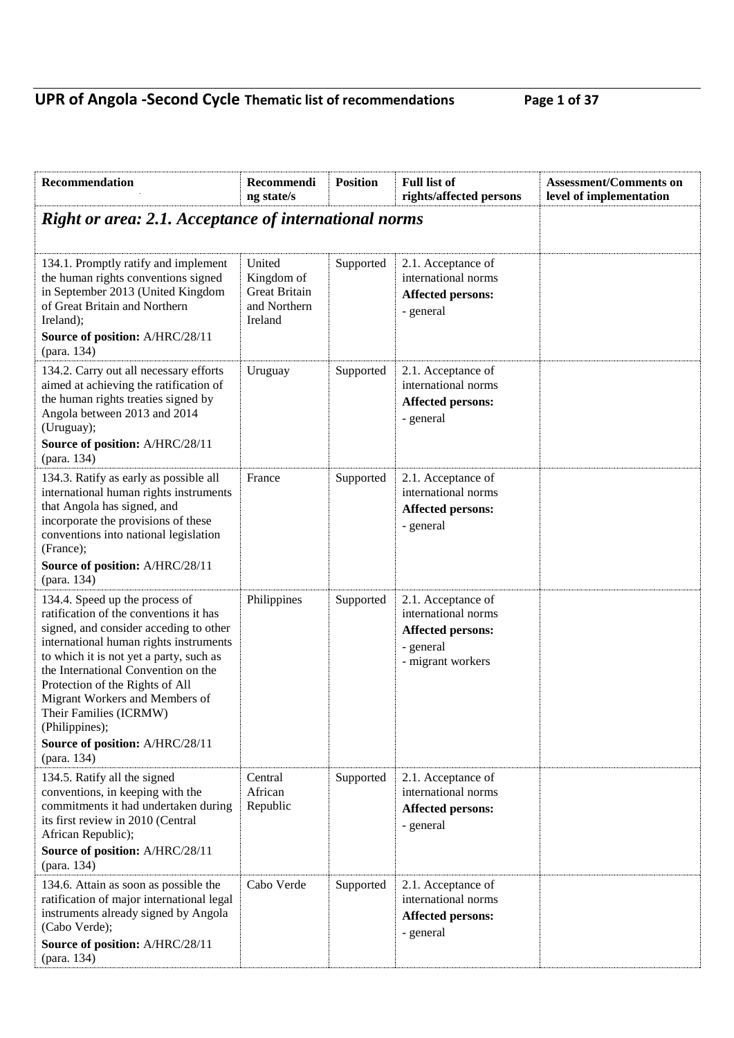## **UPR of Angola -Second Cycle Thematic list of recommendations Page 1 of 37**

| Right or area: 2.1. Acceptance of international norms<br>United                                                          |                                                                       |                                                                                                         |                    |
|--------------------------------------------------------------------------------------------------------------------------|-----------------------------------------------------------------------|---------------------------------------------------------------------------------------------------------|--------------------|
|                                                                                                                          |                                                                       |                                                                                                         |                    |
| <b>Great Britain</b><br>and Northern<br>Ireland                                                                          | Supported                                                             | 2.1. Acceptance of<br>international norms<br><b>Affected persons:</b><br>- general                      |                    |
| Uruguay                                                                                                                  | Supported                                                             | 2.1. Acceptance of<br>international norms<br><b>Affected persons:</b><br>- general                      |                    |
| France                                                                                                                   | Supported                                                             | 2.1. Acceptance of<br>international norms<br><b>Affected persons:</b><br>- general                      |                    |
|                                                                                                                          |                                                                       |                                                                                                         |                    |
| Philippines                                                                                                              | Supported                                                             | 2.1. Acceptance of<br>international norms<br><b>Affected persons:</b><br>- general<br>- migrant workers |                    |
|                                                                                                                          |                                                                       |                                                                                                         |                    |
| Central<br>African<br>Republic                                                                                           | Supported                                                             | 2.1. Acceptance of<br>international norms<br><b>Affected persons:</b><br>- general                      |                    |
|                                                                                                                          |                                                                       |                                                                                                         |                    |
|                                                                                                                          |                                                                       | international norms<br><b>Affected persons:</b><br>- general                                            |                    |
| international human rights instruments<br>international human rights instruments<br>commitments it had undertaken during | Kingdom of<br>Cabo Verde<br>ratification of major international legal | Supported                                                                                               | 2.1. Acceptance of |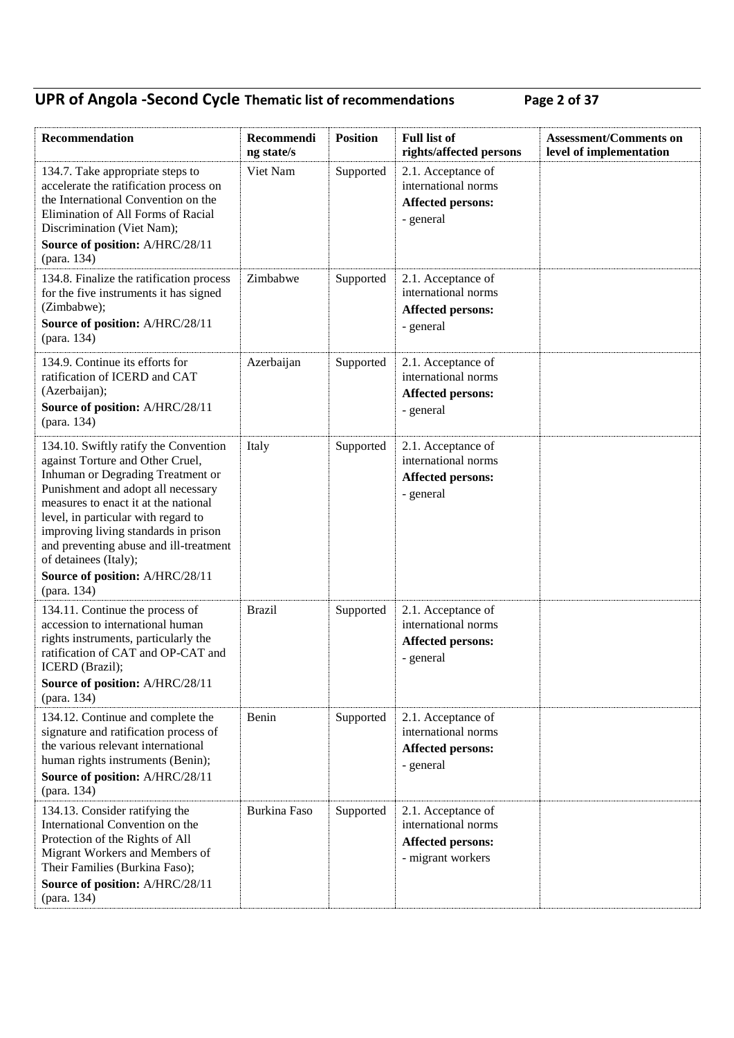## **UPR of Angola -Second Cycle Thematic list of recommendations Page 2 of 37**

| Recommendation                                                                                                                                                                                                                                                                                                                                 | Recommendi<br>ng state/s | <b>Position</b> | <b>Full list of</b><br>rights/affected persons                                             | <b>Assessment/Comments on</b><br>level of implementation |
|------------------------------------------------------------------------------------------------------------------------------------------------------------------------------------------------------------------------------------------------------------------------------------------------------------------------------------------------|--------------------------|-----------------|--------------------------------------------------------------------------------------------|----------------------------------------------------------|
| 134.7. Take appropriate steps to<br>accelerate the ratification process on<br>the International Convention on the<br>Elimination of All Forms of Racial<br>Discrimination (Viet Nam);<br>Source of position: A/HRC/28/11<br>(para. 134)                                                                                                        | Viet Nam                 | Supported       | 2.1. Acceptance of<br>international norms<br><b>Affected persons:</b><br>- general         |                                                          |
| 134.8. Finalize the ratification process<br>for the five instruments it has signed<br>(Zimbabwe);<br>Source of position: A/HRC/28/11<br>(para. 134)                                                                                                                                                                                            | Zimbabwe                 | Supported       | 2.1. Acceptance of<br>international norms<br>Affected persons:<br>- general                |                                                          |
| 134.9. Continue its efforts for<br>ratification of ICERD and CAT<br>(Azerbaijan);<br>Source of position: A/HRC/28/11<br>(para. 134)                                                                                                                                                                                                            | Azerbaijan               | Supported       | 2.1. Acceptance of<br>international norms<br><b>Affected persons:</b><br>- general         |                                                          |
| 134.10. Swiftly ratify the Convention<br>against Torture and Other Cruel,<br>Inhuman or Degrading Treatment or<br>Punishment and adopt all necessary<br>measures to enact it at the national<br>level, in particular with regard to<br>improving living standards in prison<br>and preventing abuse and ill-treatment<br>of detainees (Italy); | Italy                    | Supported       | 2.1. Acceptance of<br>international norms<br><b>Affected persons:</b><br>- general         |                                                          |
| Source of position: A/HRC/28/11<br>(para. 134)                                                                                                                                                                                                                                                                                                 |                          |                 |                                                                                            |                                                          |
| 134.11. Continue the process of<br>accession to international human<br>rights instruments, particularly the<br>ratification of CAT and OP-CAT and<br>ICERD (Brazil);<br>Source of position: A/HRC/28/11                                                                                                                                        | <b>Brazil</b>            | Supported       | 2.1. Acceptance of<br>international norms<br><b>Affected persons:</b><br>- general         |                                                          |
| (para. 134)<br>134.12. Continue and complete the<br>signature and ratification process of<br>the various relevant international<br>human rights instruments (Benin);<br>Source of position: A/HRC/28/11<br>(para. 134)                                                                                                                         | Benin                    | Supported       | 2.1. Acceptance of<br>international norms<br><b>Affected persons:</b><br>- general         |                                                          |
| 134.13. Consider ratifying the<br>International Convention on the<br>Protection of the Rights of All<br>Migrant Workers and Members of<br>Their Families (Burkina Faso);<br>Source of position: A/HRC/28/11<br>(para. 134)                                                                                                                     | Burkina Faso             | Supported       | 2.1. Acceptance of<br>international norms<br><b>Affected persons:</b><br>- migrant workers |                                                          |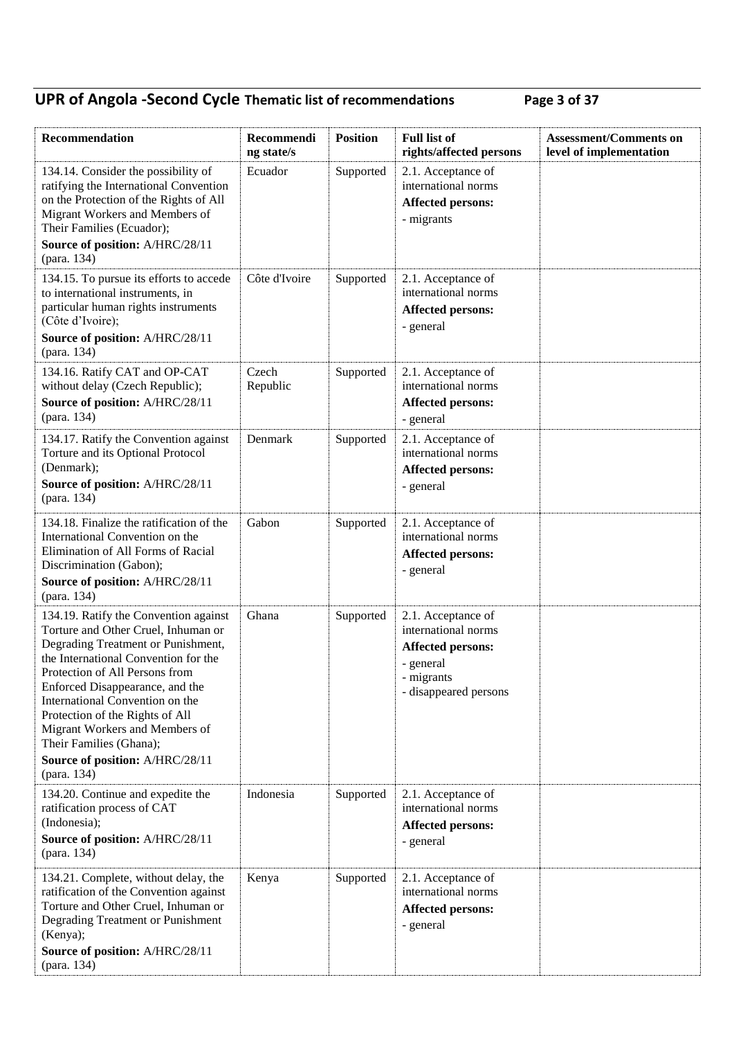## **UPR of Angola -Second Cycle Thematic list of recommendations Page 3 of 37**

| Recommendation                                                                                                                                                                                                                                                                                                                                                                                                       | Recommendi<br>ng state/s | <b>Position</b> | <b>Full list of</b><br>rights/affected persons                                                                            | <b>Assessment/Comments on</b><br>level of implementation |
|----------------------------------------------------------------------------------------------------------------------------------------------------------------------------------------------------------------------------------------------------------------------------------------------------------------------------------------------------------------------------------------------------------------------|--------------------------|-----------------|---------------------------------------------------------------------------------------------------------------------------|----------------------------------------------------------|
| 134.14. Consider the possibility of<br>ratifying the International Convention<br>on the Protection of the Rights of All<br>Migrant Workers and Members of<br>Their Families (Ecuador);<br>Source of position: A/HRC/28/11                                                                                                                                                                                            | Ecuador                  | Supported       | 2.1. Acceptance of<br>international norms<br><b>Affected persons:</b><br>- migrants                                       |                                                          |
| (para. 134)                                                                                                                                                                                                                                                                                                                                                                                                          |                          |                 |                                                                                                                           |                                                          |
| 134.15. To pursue its efforts to accede<br>to international instruments, in<br>particular human rights instruments<br>(Côte d'Ivoire);<br>Source of position: A/HRC/28/11<br>(para. 134)                                                                                                                                                                                                                             | Côte d'Ivoire            | Supported       | 2.1. Acceptance of<br>international norms<br><b>Affected persons:</b><br>- general                                        |                                                          |
| 134.16. Ratify CAT and OP-CAT<br>without delay (Czech Republic);<br>Source of position: A/HRC/28/11<br>(para. 134)                                                                                                                                                                                                                                                                                                   | Czech<br>Republic        | Supported       | 2.1. Acceptance of<br>international norms<br><b>Affected persons:</b><br>- general                                        |                                                          |
| 134.17. Ratify the Convention against<br>Torture and its Optional Protocol<br>(Denmark);<br>Source of position: A/HRC/28/11<br>(para. 134)                                                                                                                                                                                                                                                                           | Denmark                  | Supported       | 2.1. Acceptance of<br>international norms<br><b>Affected persons:</b><br>- general                                        |                                                          |
| 134.18. Finalize the ratification of the<br>International Convention on the<br>Elimination of All Forms of Racial<br>Discrimination (Gabon);<br>Source of position: A/HRC/28/11<br>(para. 134)                                                                                                                                                                                                                       | Gabon                    | Supported       | 2.1. Acceptance of<br>international norms<br><b>Affected persons:</b><br>- general                                        |                                                          |
| 134.19. Ratify the Convention against<br>Torture and Other Cruel, Inhuman or<br>Degrading Treatment or Punishment,<br>the International Convention for the<br>Protection of All Persons from<br>Enforced Disappearance, and the<br>International Convention on the<br>Protection of the Rights of All<br>Migrant Workers and Members of<br>Their Families (Ghana);<br>Source of position: A/HRC/28/11<br>(para. 134) | Ghana                    | Supported       | 2.1. Acceptance of<br>international norms<br><b>Affected persons:</b><br>- general<br>- migrants<br>- disappeared persons |                                                          |
| 134.20. Continue and expedite the<br>ratification process of CAT<br>(Indonesia);<br>Source of position: A/HRC/28/11<br>(para. 134)                                                                                                                                                                                                                                                                                   | Indonesia                | Supported       | 2.1. Acceptance of<br>international norms<br><b>Affected persons:</b><br>- general                                        |                                                          |
| 134.21. Complete, without delay, the<br>ratification of the Convention against<br>Torture and Other Cruel, Inhuman or<br>Degrading Treatment or Punishment<br>(Kenya);<br>Source of position: A/HRC/28/11<br>(para. 134)                                                                                                                                                                                             | Kenya                    | Supported       | 2.1. Acceptance of<br>international norms<br><b>Affected persons:</b><br>- general                                        |                                                          |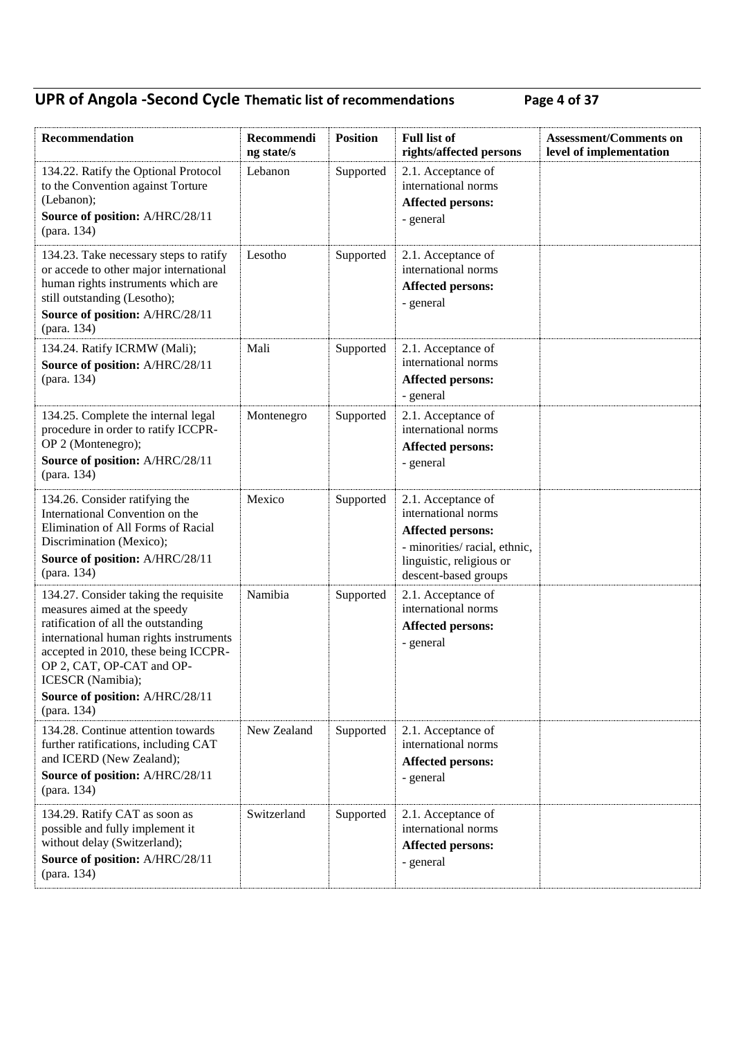## **UPR of Angola -Second Cycle Thematic list of recommendations Page 4 of 37**

| Recommendation                                                                                                                                                                                                                                                                                     | Recommendi<br>ng state/s | <b>Position</b> | <b>Full list of</b><br>rights/affected persons                                                                                                             | <b>Assessment/Comments on</b><br>level of implementation |
|----------------------------------------------------------------------------------------------------------------------------------------------------------------------------------------------------------------------------------------------------------------------------------------------------|--------------------------|-----------------|------------------------------------------------------------------------------------------------------------------------------------------------------------|----------------------------------------------------------|
| 134.22. Ratify the Optional Protocol<br>to the Convention against Torture<br>(Lebanon);<br>Source of position: A/HRC/28/11<br>(para. 134)                                                                                                                                                          | Lebanon                  | Supported       | 2.1. Acceptance of<br>international norms<br><b>Affected persons:</b><br>- general                                                                         |                                                          |
| 134.23. Take necessary steps to ratify<br>or accede to other major international<br>human rights instruments which are<br>still outstanding (Lesotho);<br>Source of position: A/HRC/28/11<br>(para. 134)                                                                                           | Lesotho                  | Supported       | 2.1. Acceptance of<br>international norms<br><b>Affected persons:</b><br>- general                                                                         |                                                          |
| 134.24. Ratify ICRMW (Mali);<br>Source of position: A/HRC/28/11<br>(para. 134)                                                                                                                                                                                                                     | Mali                     | Supported       | 2.1. Acceptance of<br>international norms<br><b>Affected persons:</b><br>- general                                                                         |                                                          |
| 134.25. Complete the internal legal<br>procedure in order to ratify ICCPR-<br>OP 2 (Montenegro);<br>Source of position: A/HRC/28/11<br>(para. 134)                                                                                                                                                 | Montenegro               | Supported       | 2.1. Acceptance of<br>international norms<br><b>Affected persons:</b><br>- general                                                                         |                                                          |
| 134.26. Consider ratifying the<br>International Convention on the<br>Elimination of All Forms of Racial<br>Discrimination (Mexico);<br>Source of position: A/HRC/28/11<br>(para. 134)                                                                                                              | Mexico                   | Supported       | 2.1. Acceptance of<br>international norms<br><b>Affected persons:</b><br>- minorities/ racial, ethnic,<br>linguistic, religious or<br>descent-based groups |                                                          |
| 134.27. Consider taking the requisite<br>measures aimed at the speedy<br>ratification of all the outstanding<br>international human rights instruments<br>accepted in 2010, these being ICCPR-<br>OP 2, CAT, OP-CAT and OP-<br>ICESCR (Namibia);<br>Source of position: A/HRC/28/11<br>(para. 134) | Namibia                  | Supported       | 2.1. Acceptance of<br>international norms<br><b>Affected persons:</b><br>- general                                                                         |                                                          |
| 134.28. Continue attention towards<br>further ratifications, including CAT<br>and ICERD (New Zealand);<br>Source of position: A/HRC/28/11<br>(para. 134)                                                                                                                                           | New Zealand              | Supported       | 2.1. Acceptance of<br>international norms<br><b>Affected persons:</b><br>- general                                                                         |                                                          |
| 134.29. Ratify CAT as soon as<br>possible and fully implement it<br>without delay (Switzerland);<br>Source of position: A/HRC/28/11<br>(para. 134)                                                                                                                                                 | Switzerland              | Supported       | 2.1. Acceptance of<br>international norms<br><b>Affected persons:</b><br>- general                                                                         |                                                          |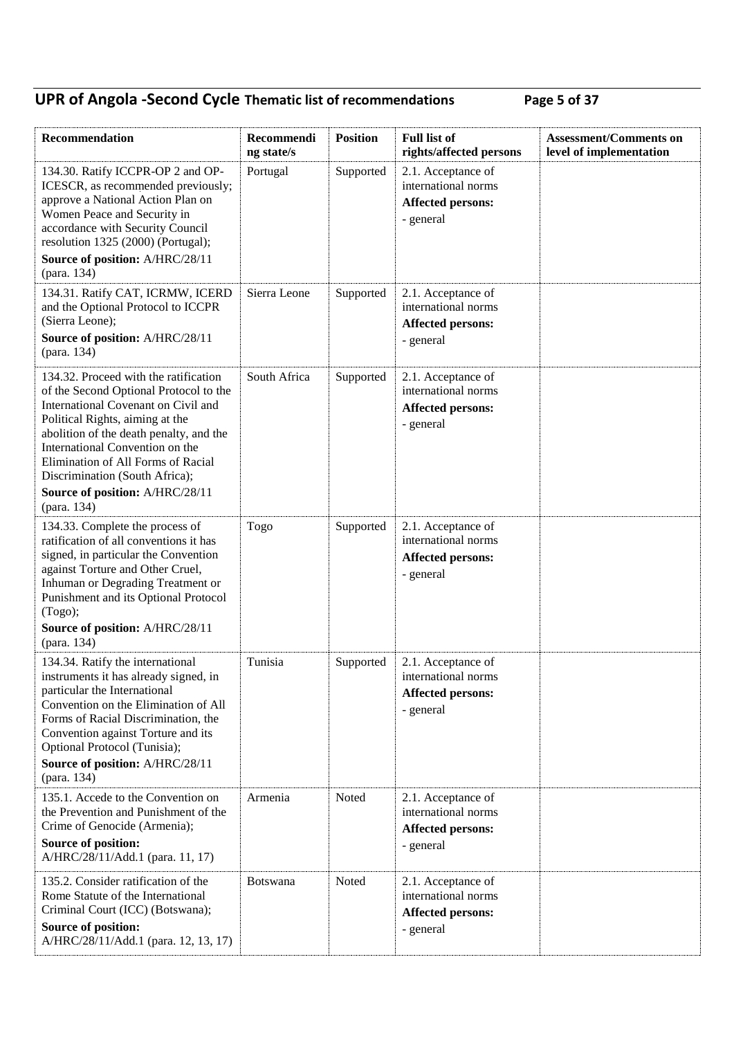## **UPR of Angola -Second Cycle Thematic list of recommendations Page 5 of 37**

| Recommendation                                                                                                                                                                                                                                                                                                                                     | Recommendi<br>ng state/s | <b>Position</b> | <b>Full list of</b><br>rights/affected persons                                     | <b>Assessment/Comments on</b><br>level of implementation |
|----------------------------------------------------------------------------------------------------------------------------------------------------------------------------------------------------------------------------------------------------------------------------------------------------------------------------------------------------|--------------------------|-----------------|------------------------------------------------------------------------------------|----------------------------------------------------------|
| 134.30. Ratify ICCPR-OP 2 and OP-<br>ICESCR, as recommended previously;<br>approve a National Action Plan on<br>Women Peace and Security in<br>accordance with Security Council<br>resolution 1325 (2000) (Portugal);<br>Source of position: A/HRC/28/11                                                                                           | Portugal                 | Supported       | 2.1. Acceptance of<br>international norms<br>Affected persons:<br>- general        |                                                          |
| (para. 134)<br>134.31. Ratify CAT, ICRMW, ICERD<br>and the Optional Protocol to ICCPR<br>(Sierra Leone);<br>Source of position: A/HRC/28/11<br>(para. 134)                                                                                                                                                                                         | Sierra Leone             | Supported       | 2.1. Acceptance of<br>international norms<br><b>Affected persons:</b><br>- general |                                                          |
| 134.32. Proceed with the ratification<br>of the Second Optional Protocol to the<br>International Covenant on Civil and<br>Political Rights, aiming at the<br>abolition of the death penalty, and the<br>International Convention on the<br>Elimination of All Forms of Racial<br>Discrimination (South Africa);<br>Source of position: A/HRC/28/11 | South Africa             | Supported       | 2.1. Acceptance of<br>international norms<br><b>Affected persons:</b><br>- general |                                                          |
| (para. 134)<br>134.33. Complete the process of<br>ratification of all conventions it has<br>signed, in particular the Convention<br>against Torture and Other Cruel,<br>Inhuman or Degrading Treatment or<br>Punishment and its Optional Protocol<br>(Togo);<br>Source of position: A/HRC/28/11<br>(para. 134)                                     | Togo                     | Supported       | 2.1. Acceptance of<br>international norms<br><b>Affected persons:</b><br>- general |                                                          |
| 134.34. Ratify the international<br>instruments it has already signed, in<br>particular the International<br>Convention on the Elimination of All<br>Forms of Racial Discrimination, the<br>Convention against Torture and its<br>Optional Protocol (Tunisia);<br>Source of position: A/HRC/28/11<br>(para. 134)                                   | Tunisia                  | Supported       | 2.1. Acceptance of<br>international norms<br><b>Affected persons:</b><br>- general |                                                          |
| 135.1. Accede to the Convention on<br>the Prevention and Punishment of the<br>Crime of Genocide (Armenia);<br><b>Source of position:</b><br>A/HRC/28/11/Add.1 (para. 11, 17)                                                                                                                                                                       | Armenia                  | Noted           | 2.1. Acceptance of<br>international norms<br><b>Affected persons:</b><br>- general |                                                          |
| 135.2. Consider ratification of the<br>Rome Statute of the International<br>Criminal Court (ICC) (Botswana);<br>Source of position:<br>A/HRC/28/11/Add.1 (para. 12, 13, 17)                                                                                                                                                                        | <b>Botswana</b>          | Noted           | 2.1. Acceptance of<br>international norms<br><b>Affected persons:</b><br>- general |                                                          |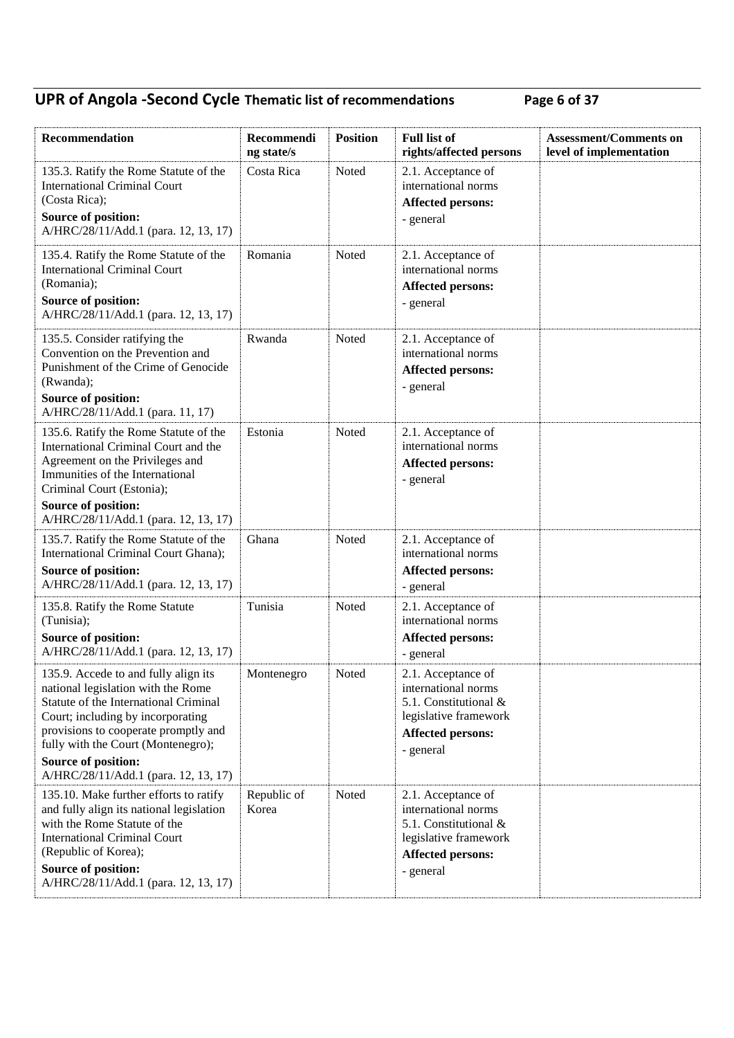## **UPR of Angola -Second Cycle Thematic list of recommendations Page 6 of 37**

| Recommendation                                                                                                                                                                                                                                                                                        | Recommendi<br>ng state/s | <b>Position</b> | <b>Full list of</b><br>rights/affected persons                                                                                       | <b>Assessment/Comments on</b><br>level of implementation |
|-------------------------------------------------------------------------------------------------------------------------------------------------------------------------------------------------------------------------------------------------------------------------------------------------------|--------------------------|-----------------|--------------------------------------------------------------------------------------------------------------------------------------|----------------------------------------------------------|
| 135.3. Ratify the Rome Statute of the<br><b>International Criminal Court</b><br>(Costa Rica);<br>Source of position:<br>A/HRC/28/11/Add.1 (para. 12, 13, 17)                                                                                                                                          | Costa Rica               | Noted           | 2.1. Acceptance of<br>international norms<br><b>Affected persons:</b><br>- general                                                   |                                                          |
| 135.4. Ratify the Rome Statute of the<br><b>International Criminal Court</b><br>(Romania);<br><b>Source of position:</b><br>A/HRC/28/11/Add.1 (para. 12, 13, 17)                                                                                                                                      | Romania                  | Noted           | 2.1. Acceptance of<br>international norms<br><b>Affected persons:</b><br>- general                                                   |                                                          |
| 135.5. Consider ratifying the<br>Convention on the Prevention and<br>Punishment of the Crime of Genocide<br>(Rwanda);<br><b>Source of position:</b><br>A/HRC/28/11/Add.1 (para. 11, 17)                                                                                                               | Rwanda                   | Noted           | 2.1. Acceptance of<br>international norms<br><b>Affected persons:</b><br>- general                                                   |                                                          |
| 135.6. Ratify the Rome Statute of the<br>International Criminal Court and the<br>Agreement on the Privileges and<br>Immunities of the International<br>Criminal Court (Estonia);                                                                                                                      | Estonia                  | Noted           | 2.1. Acceptance of<br>international norms<br><b>Affected persons:</b><br>- general                                                   |                                                          |
| <b>Source of position:</b><br>A/HRC/28/11/Add.1 (para. 12, 13, 17)                                                                                                                                                                                                                                    |                          |                 |                                                                                                                                      |                                                          |
| 135.7. Ratify the Rome Statute of the<br>International Criminal Court Ghana);<br>Source of position:<br>A/HRC/28/11/Add.1 (para. 12, 13, 17)                                                                                                                                                          | Ghana                    | Noted           | 2.1. Acceptance of<br>international norms<br><b>Affected persons:</b><br>- general                                                   |                                                          |
| 135.8. Ratify the Rome Statute<br>(Tunisia);<br>Source of position:<br>A/HRC/28/11/Add.1 (para. 12, 13, 17)                                                                                                                                                                                           | Tunisia                  | Noted           | 2.1. Acceptance of<br>international norms<br><b>Affected persons:</b><br>- general                                                   |                                                          |
| 135.9. Accede to and fully align its<br>national legislation with the Rome<br>Statute of the International Criminal<br>Court; including by incorporating<br>provisions to cooperate promptly and<br>fully with the Court (Montenegro);<br>Source of position:<br>A/HRC/28/11/Add.1 (para. 12, 13, 17) | Montenegro               | Noted           | 2.1. Acceptance of<br>international norms<br>5.1. Constitutional &<br>legislative framework<br>Affected persons:<br>- general        |                                                          |
| 135.10. Make further efforts to ratify<br>and fully align its national legislation<br>with the Rome Statute of the<br><b>International Criminal Court</b><br>(Republic of Korea);<br>Source of position:<br>A/HRC/28/11/Add.1 (para. 12, 13, 17)                                                      | Republic of<br>Korea     | Noted           | 2.1. Acceptance of<br>international norms<br>5.1. Constitutional &<br>legislative framework<br><b>Affected persons:</b><br>- general |                                                          |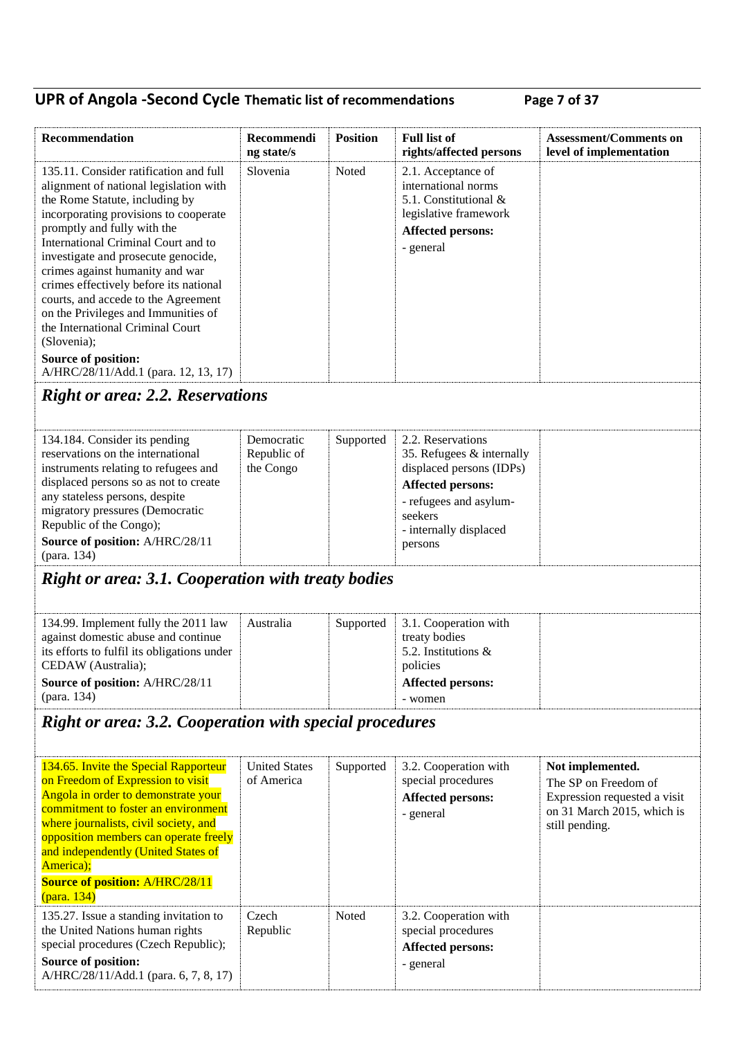## **UPR of Angola -Second Cycle Thematic list of recommendations Page 7 of 37**

| Recommendation                                                                                                                                                                                                                                                                                                                                                                                                                                                                                                                                        | Recommendi<br>ng state/s               | <b>Position</b> | <b>Full list of</b><br>rights/affected persons                                                                                                                                   | <b>Assessment/Comments on</b><br>level of implementation                                                                 |
|-------------------------------------------------------------------------------------------------------------------------------------------------------------------------------------------------------------------------------------------------------------------------------------------------------------------------------------------------------------------------------------------------------------------------------------------------------------------------------------------------------------------------------------------------------|----------------------------------------|-----------------|----------------------------------------------------------------------------------------------------------------------------------------------------------------------------------|--------------------------------------------------------------------------------------------------------------------------|
| 135.11. Consider ratification and full<br>alignment of national legislation with<br>the Rome Statute, including by<br>incorporating provisions to cooperate<br>promptly and fully with the<br>International Criminal Court and to<br>investigate and prosecute genocide,<br>crimes against humanity and war<br>crimes effectively before its national<br>courts, and accede to the Agreement<br>on the Privileges and Immunities of<br>the International Criminal Court<br>(Slovenia);<br>Source of position:<br>A/HRC/28/11/Add.1 (para. 12, 13, 17) | Slovenia                               | Noted           | 2.1. Acceptance of<br>international norms<br>5.1. Constitutional &<br>legislative framework<br>Affected persons:<br>- general                                                    |                                                                                                                          |
| <b>Right or area: 2.2. Reservations</b>                                                                                                                                                                                                                                                                                                                                                                                                                                                                                                               |                                        |                 |                                                                                                                                                                                  |                                                                                                                          |
| 134.184. Consider its pending<br>reservations on the international<br>instruments relating to refugees and<br>displaced persons so as not to create<br>any stateless persons, despite<br>migratory pressures (Democratic<br>Republic of the Congo);<br>Source of position: A/HRC/28/11<br>(para. 134)                                                                                                                                                                                                                                                 | Democratic<br>Republic of<br>the Congo | Supported       | 2.2. Reservations<br>35. Refugees & internally<br>displaced persons (IDPs)<br><b>Affected persons:</b><br>- refugees and asylum-<br>seekers<br>- internally displaced<br>persons |                                                                                                                          |
| <b>Right or area: 3.1. Cooperation with treaty bodies</b>                                                                                                                                                                                                                                                                                                                                                                                                                                                                                             |                                        |                 |                                                                                                                                                                                  |                                                                                                                          |
| 134.99. Implement fully the 2011 law<br>against domestic abuse and continue<br>its efforts to fulfil its obligations under<br>CEDAW (Australia);<br>Source of position: A/HRC/28/11<br>(para. 134)                                                                                                                                                                                                                                                                                                                                                    | Australia                              | Supported       | 3.1. Cooperation with<br>treaty bodies<br>5.2. Institutions &<br>policies<br><b>Affected persons:</b><br>- women                                                                 |                                                                                                                          |
| <b>Right or area: 3.2. Cooperation with special procedures</b>                                                                                                                                                                                                                                                                                                                                                                                                                                                                                        |                                        |                 |                                                                                                                                                                                  |                                                                                                                          |
| 134.65. Invite the Special Rapporteur<br>on Freedom of Expression to visit<br>Angola in order to demonstrate your<br>commitment to foster an environment<br>where journalists, civil society, and<br>opposition members can operate freely<br>and independently (United States of<br>America);<br><b>Source of position: A/HRC/28/11</b><br>(para. 134)                                                                                                                                                                                               | <b>United States</b><br>of America     | Supported       | 3.2. Cooperation with<br>special procedures<br><b>Affected persons:</b><br>- general                                                                                             | Not implemented.<br>The SP on Freedom of<br>Expression requested a visit<br>on 31 March 2015, which is<br>still pending. |
| 135.27. Issue a standing invitation to<br>the United Nations human rights<br>special procedures (Czech Republic);<br>Source of position:<br>A/HRC/28/11/Add.1 (para. 6, 7, 8, 17)                                                                                                                                                                                                                                                                                                                                                                     | Czech<br>Republic                      | Noted           | 3.2. Cooperation with<br>special procedures<br>Affected persons:<br>- general                                                                                                    |                                                                                                                          |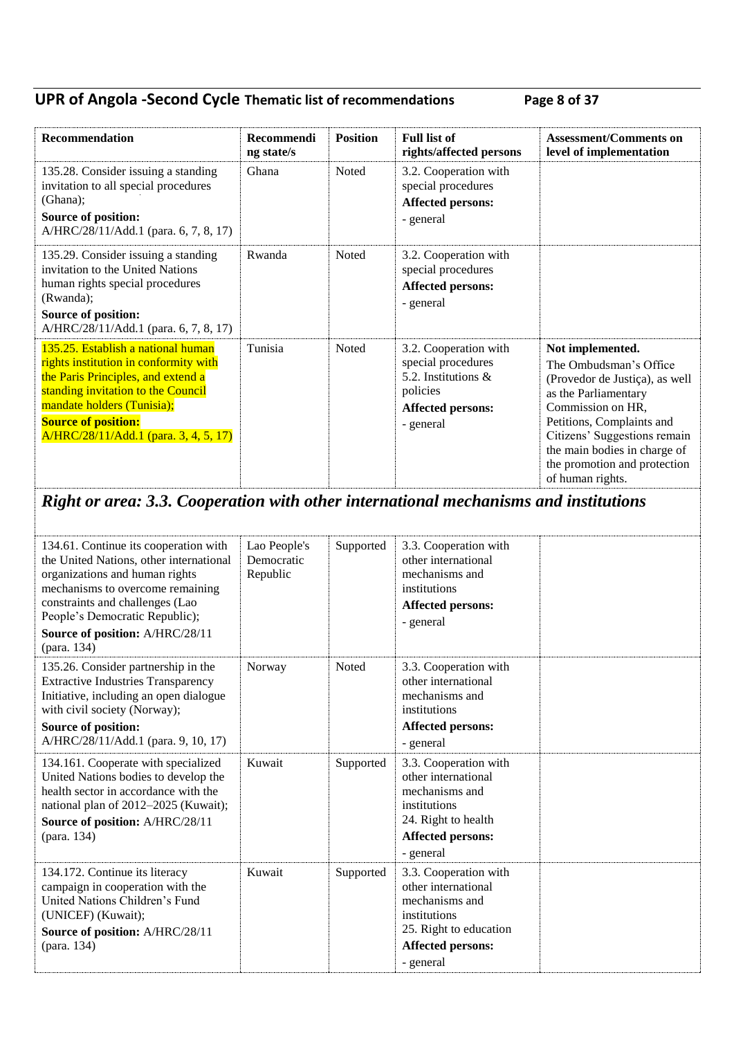### **UPR of Angola -Second Cycle Thematic list of recommendations Page 8 of 37**

| <b>Recommendation</b>                                                                                                                                                                                                                                        | <b>Recommendi</b><br>ng state/s | <b>Position</b> | <b>Full list of</b><br>rights/affected persons                                                                   | <b>Assessment/Comments on</b><br>level of implementation                                                                                                                                                                                                                   |
|--------------------------------------------------------------------------------------------------------------------------------------------------------------------------------------------------------------------------------------------------------------|---------------------------------|-----------------|------------------------------------------------------------------------------------------------------------------|----------------------------------------------------------------------------------------------------------------------------------------------------------------------------------------------------------------------------------------------------------------------------|
| 135.28. Consider issuing a standing<br>invitation to all special procedures<br>(Ghana);<br><b>Source of position:</b><br>A/HRC/28/11/Add.1 (para. 6, 7, 8, 17)                                                                                               | Ghana                           | Noted           | 3.2. Cooperation with<br>special procedures<br><b>Affected persons:</b><br>- general                             |                                                                                                                                                                                                                                                                            |
| 135.29. Consider issuing a standing<br>invitation to the United Nations<br>human rights special procedures<br>(Rwanda);<br>Source of position:<br>A/HRC/28/11/Add.1 (para. 6, 7, 8, 17)                                                                      | Rwanda                          | Noted           | 3.2. Cooperation with<br>special procedures<br><b>Affected persons:</b><br>- general                             |                                                                                                                                                                                                                                                                            |
| 135.25. Establish a national human<br>rights institution in conformity with<br>the Paris Principles, and extend a<br>standing invitation to the Council<br>mandate holders (Tunisia);<br><b>Source of position:</b><br>A/HRC/28/11/Add.1 (para. 3, 4, 5, 17) | Tunisia                         | Noted           | 3.2. Cooperation with<br>special procedures<br>5.2. Institutions &<br>policies<br>Affected persons:<br>- general | Not implemented.<br>The Ombudsman's Office<br>(Provedor de Justiça), as well<br>as the Parliamentary<br>Commission on HR,<br>Petitions, Complaints and<br>Citizens' Suggestions remain<br>the main bodies in charge of<br>the promotion and protection<br>of human rights. |

# *Right or area: 3.3. Cooperation with other international mechanisms and institutions*

| 134.61. Continue its cooperation with<br>the United Nations, other international<br>organizations and human rights<br>mechanisms to overcome remaining<br>constraints and challenges (Lao<br>People's Democratic Republic);<br>Source of position: A/HRC/28/11<br>(para. 134) | Lao People's<br>Democratic<br>Republic | Supported    | 3.3. Cooperation with<br>other international<br>mechanisms and<br>institutions<br><b>Affected persons:</b><br>- general                           |  |
|-------------------------------------------------------------------------------------------------------------------------------------------------------------------------------------------------------------------------------------------------------------------------------|----------------------------------------|--------------|---------------------------------------------------------------------------------------------------------------------------------------------------|--|
| 135.26. Consider partnership in the<br><b>Extractive Industries Transparency</b><br>Initiative, including an open dialogue<br>with civil society (Norway);<br><b>Source of position:</b><br>A/HRC/28/11/Add.1 (para. 9, 10, 17)                                               | Norway                                 | <b>Noted</b> | 3.3. Cooperation with<br>other international<br>mechanisms and<br>institutions<br><b>Affected persons:</b><br>- general                           |  |
| 134.161. Cooperate with specialized<br>United Nations bodies to develop the<br>health sector in accordance with the<br>national plan of 2012–2025 (Kuwait);<br>Source of position: A/HRC/28/11<br>(para. 134)                                                                 | Kuwait                                 | Supported    | 3.3. Cooperation with<br>other international<br>mechanisms and<br>institutions<br>24. Right to health<br><b>Affected persons:</b><br>- general    |  |
| 134.172. Continue its literacy<br>campaign in cooperation with the<br>United Nations Children's Fund<br>(UNICEF) (Kuwait);<br>Source of position: A/HRC/28/11<br>(para. 134)                                                                                                  | Kuwait                                 | Supported    | 3.3. Cooperation with<br>other international<br>mechanisms and<br>institutions<br>25. Right to education<br><b>Affected persons:</b><br>- general |  |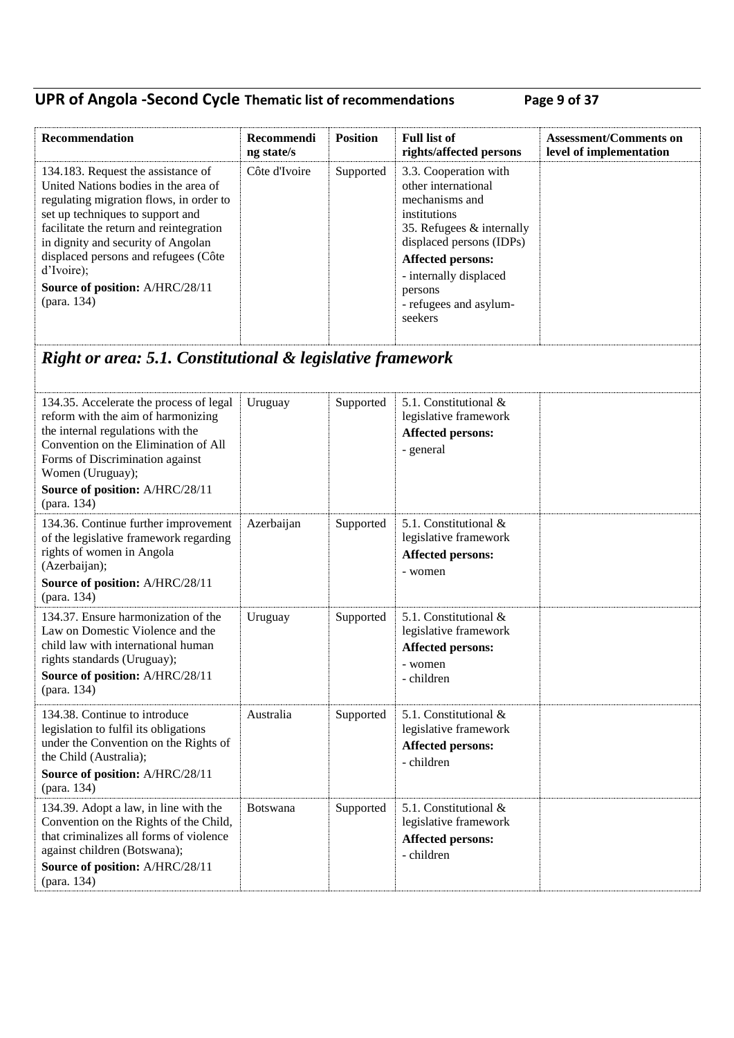## **UPR of Angola -Second Cycle Thematic list of recommendations Page 9 of 37**

| Recommendation                                                                                                                                                                                                                                                                                                                                     | Recommendi<br>ng state/s | <b>Position</b> | <b>Full list of</b><br>rights/affected persons                                                                                                                                                                                                | <b>Assessment/Comments on</b><br>level of implementation |
|----------------------------------------------------------------------------------------------------------------------------------------------------------------------------------------------------------------------------------------------------------------------------------------------------------------------------------------------------|--------------------------|-----------------|-----------------------------------------------------------------------------------------------------------------------------------------------------------------------------------------------------------------------------------------------|----------------------------------------------------------|
| 134.183. Request the assistance of<br>United Nations bodies in the area of<br>regulating migration flows, in order to<br>set up techniques to support and<br>facilitate the return and reintegration<br>in dignity and security of Angolan<br>displaced persons and refugees (Côte<br>d'Ivoire);<br>Source of position: A/HRC/28/11<br>(para. 134) | Côte d'Ivoire            | Supported       | 3.3. Cooperation with<br>other international<br>mechanisms and<br>institutions<br>35. Refugees & internally<br>displaced persons (IDPs)<br><b>Affected persons:</b><br>- internally displaced<br>persons<br>- refugees and asylum-<br>seekers |                                                          |
| Right or area: 5.1. Constitutional & legislative framework                                                                                                                                                                                                                                                                                         |                          |                 |                                                                                                                                                                                                                                               |                                                          |
| 134.35. Accelerate the process of legal<br>reform with the aim of harmonizing<br>the internal regulations with the<br>Convention on the Elimination of All<br>Forms of Discrimination against<br>Women (Uruguay);<br>Source of position: A/HRC/28/11<br>(para. 134)                                                                                | Uruguay                  | Supported       | 5.1. Constitutional &<br>legislative framework<br><b>Affected persons:</b><br>- general                                                                                                                                                       |                                                          |
| 134.36. Continue further improvement<br>of the legislative framework regarding<br>rights of women in Angola<br>(Azerbaijan);<br>Source of position: A/HRC/28/11<br>(para. 134)                                                                                                                                                                     | Azerbaijan               | Supported       | 5.1. Constitutional &<br>legislative framework<br><b>Affected persons:</b><br>- women                                                                                                                                                         |                                                          |
| 134.37. Ensure harmonization of the<br>Law on Domestic Violence and the<br>child law with international human<br>rights standards (Uruguay);<br>Source of position: A/HRC/28/11<br>(para. 134)                                                                                                                                                     | Uruguay                  | Supported       | 5.1. Constitutional &<br>legislative framework<br><b>Affected persons:</b><br>- women<br>- children                                                                                                                                           |                                                          |
| 134.38. Continue to introduce<br>legislation to fulfil its obligations<br>under the Convention on the Rights of<br>the Child (Australia);<br>Source of position: A/HRC/28/11<br>(para. 134)                                                                                                                                                        | Australia                | Supported       | 5.1. Constitutional &<br>legislative framework<br><b>Affected persons:</b><br>- children                                                                                                                                                      |                                                          |
| 134.39. Adopt a law, in line with the<br>Convention on the Rights of the Child,<br>that criminalizes all forms of violence<br>against children (Botswana);<br>Source of position: A/HRC/28/11<br>(para. 134)                                                                                                                                       | Botswana                 | Supported       | 5.1. Constitutional &<br>legislative framework<br><b>Affected persons:</b><br>- children                                                                                                                                                      |                                                          |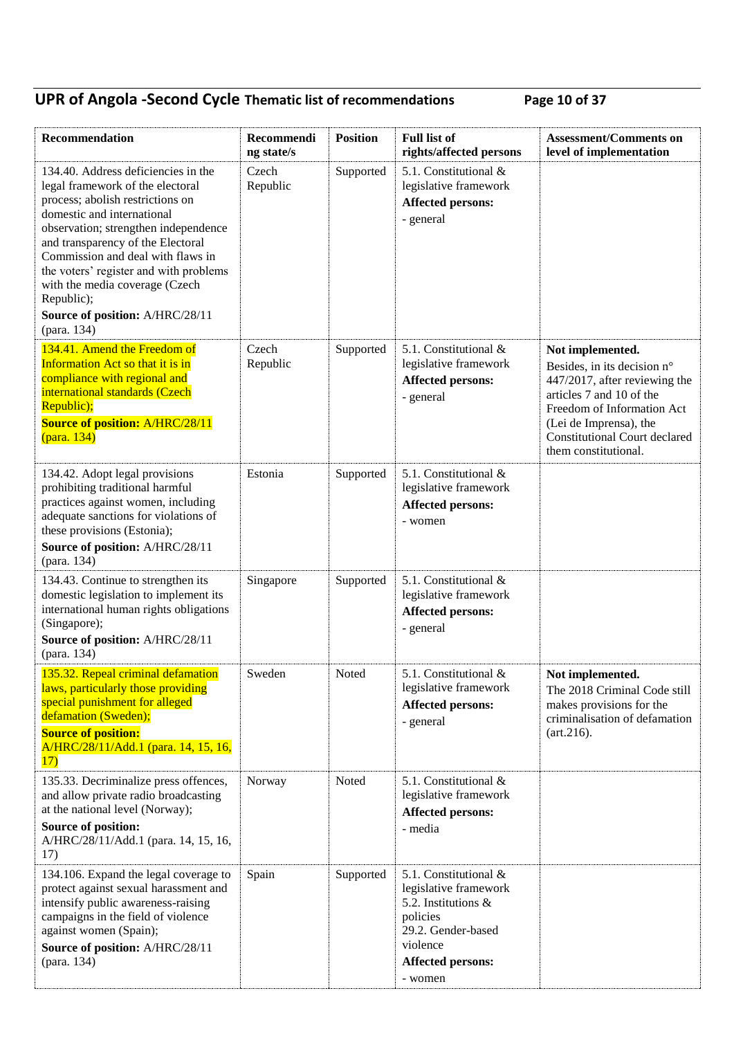## **UPR of Angola -Second Cycle Thematic list of recommendations Page 10 of 37**

| Recommendation                                                                                                                                                                                                                                                                                                                                                                                          | Recommendi<br>ng state/s | <b>Position</b> | <b>Full list of</b><br>rights/affected persons                                                                                                             | <b>Assessment/Comments on</b><br>level of implementation                                                                                                                                                                             |
|---------------------------------------------------------------------------------------------------------------------------------------------------------------------------------------------------------------------------------------------------------------------------------------------------------------------------------------------------------------------------------------------------------|--------------------------|-----------------|------------------------------------------------------------------------------------------------------------------------------------------------------------|--------------------------------------------------------------------------------------------------------------------------------------------------------------------------------------------------------------------------------------|
| 134.40. Address deficiencies in the<br>legal framework of the electoral<br>process; abolish restrictions on<br>domestic and international<br>observation; strengthen independence<br>and transparency of the Electoral<br>Commission and deal with flaws in<br>the voters' register and with problems<br>with the media coverage (Czech<br>Republic);<br>Source of position: A/HRC/28/11<br>(para. 134) | Czech<br>Republic        | Supported       | 5.1. Constitutional &<br>legislative framework<br><b>Affected persons:</b><br>- general                                                                    |                                                                                                                                                                                                                                      |
| 134.41. Amend the Freedom of<br>Information Act so that it is in<br>compliance with regional and<br>international standards (Czech<br>Republic);<br><b>Source of position: A/HRC/28/11</b><br>(para. 134)                                                                                                                                                                                               | Czech<br>Republic        | Supported       | 5.1. Constitutional &<br>legislative framework<br><b>Affected persons:</b><br>- general                                                                    | Not implemented.<br>Besides, in its decision n°<br>447/2017, after reviewing the<br>articles 7 and 10 of the<br>Freedom of Information Act<br>(Lei de Imprensa), the<br><b>Constitutional Court declared</b><br>them constitutional. |
| 134.42. Adopt legal provisions<br>prohibiting traditional harmful<br>practices against women, including<br>adequate sanctions for violations of<br>these provisions (Estonia);<br>Source of position: A/HRC/28/11<br>(para. 134)                                                                                                                                                                        | Estonia                  | Supported       | 5.1. Constitutional &<br>legislative framework<br><b>Affected persons:</b><br>- women                                                                      |                                                                                                                                                                                                                                      |
| 134.43. Continue to strengthen its<br>domestic legislation to implement its<br>international human rights obligations<br>(Singapore);<br>Source of position: A/HRC/28/11<br>(para. 134)                                                                                                                                                                                                                 | Singapore                | Supported       | 5.1. Constitutional &<br>legislative framework<br><b>Affected persons:</b><br>- general                                                                    |                                                                                                                                                                                                                                      |
| 135.32. Repeal criminal defamation<br>laws, particularly those providing<br>special punishment for alleged<br>defamation (Sweden);<br><b>Source of position:</b><br>A/HRC/28/11/Add.1 (para. 14, 15, 16,<br>17)                                                                                                                                                                                         | Sweden                   | Noted           | 5.1. Constitutional &<br>legislative framework<br>Affected persons:<br>- general                                                                           | Not implemented.<br>The 2018 Criminal Code still<br>makes provisions for the<br>criminalisation of defamation<br>(art.216).                                                                                                          |
| 135.33. Decriminalize press offences,<br>and allow private radio broadcasting<br>at the national level (Norway);<br>Source of position:<br>A/HRC/28/11/Add.1 (para. 14, 15, 16,<br>17)                                                                                                                                                                                                                  | Norway                   | Noted           | 5.1. Constitutional &<br>legislative framework<br><b>Affected persons:</b><br>- media                                                                      |                                                                                                                                                                                                                                      |
| 134.106. Expand the legal coverage to<br>protect against sexual harassment and<br>intensify public awareness-raising<br>campaigns in the field of violence<br>against women (Spain);<br>Source of position: A/HRC/28/11<br>(para. 134)                                                                                                                                                                  | Spain                    | Supported       | 5.1. Constitutional &<br>legislative framework<br>5.2. Institutions &<br>policies<br>29.2. Gender-based<br>violence<br><b>Affected persons:</b><br>- women |                                                                                                                                                                                                                                      |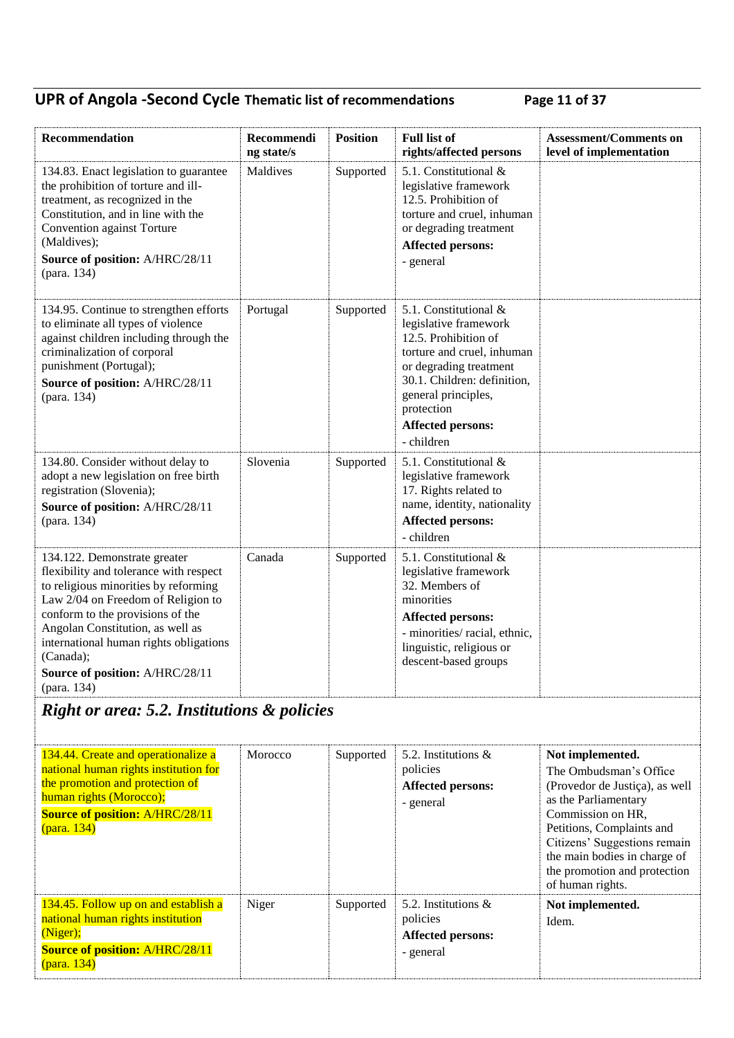## **UPR of Angola -Second Cycle Thematic list of recommendations Page 11 of 37**

| Recommendation                                                                                                                                                                                                                                                                                                                        | Recommendi<br>ng state/s | <b>Position</b> | <b>Full list of</b><br>rights/affected persons                                                                                                                                                                                               | <b>Assessment/Comments on</b><br>level of implementation                                                                                               |  |
|---------------------------------------------------------------------------------------------------------------------------------------------------------------------------------------------------------------------------------------------------------------------------------------------------------------------------------------|--------------------------|-----------------|----------------------------------------------------------------------------------------------------------------------------------------------------------------------------------------------------------------------------------------------|--------------------------------------------------------------------------------------------------------------------------------------------------------|--|
| 134.83. Enact legislation to guarantee<br>the prohibition of torture and ill-<br>treatment, as recognized in the<br>Constitution, and in line with the<br>Convention against Torture<br>(Maldives);<br>Source of position: A/HRC/28/11<br>(para. 134)                                                                                 | Maldives                 | Supported       | 5.1. Constitutional &<br>legislative framework<br>12.5. Prohibition of<br>torture and cruel, inhuman<br>or degrading treatment<br><b>Affected persons:</b><br>- general                                                                      |                                                                                                                                                        |  |
| 134.95. Continue to strengthen efforts<br>to eliminate all types of violence<br>against children including through the<br>criminalization of corporal<br>punishment (Portugal);<br>Source of position: A/HRC/28/11<br>(para. 134)                                                                                                     | Portugal                 | Supported       | 5.1. Constitutional &<br>legislative framework<br>12.5. Prohibition of<br>torture and cruel, inhuman<br>or degrading treatment<br>30.1. Children: definition,<br>general principles,<br>protection<br><b>Affected persons:</b><br>- children |                                                                                                                                                        |  |
| 134.80. Consider without delay to<br>adopt a new legislation on free birth<br>registration (Slovenia);<br>Source of position: A/HRC/28/11<br>(para. 134)                                                                                                                                                                              | Slovenia                 | Supported       | 5.1. Constitutional &<br>legislative framework<br>17. Rights related to<br>name, identity, nationality<br><b>Affected persons:</b><br>- children                                                                                             |                                                                                                                                                        |  |
| 134.122. Demonstrate greater<br>flexibility and tolerance with respect<br>to religious minorities by reforming<br>Law 2/04 on Freedom of Religion to<br>conform to the provisions of the<br>Angolan Constitution, as well as<br>international human rights obligations<br>(Canada);<br>Source of position: A/HRC/28/11<br>(para. 134) | Canada                   | Supported       | 5.1. Constitutional &<br>legislative framework<br>32. Members of<br>minorities<br><b>Affected persons:</b><br>- minorities/racial, ethnic,<br>linguistic, religious or<br>descent-based groups                                               |                                                                                                                                                        |  |
| <b>Right or area: 5.2. Institutions &amp; policies</b>                                                                                                                                                                                                                                                                                |                          |                 |                                                                                                                                                                                                                                              |                                                                                                                                                        |  |
| 134.44. Create and operationalize a<br>national human rights institution for<br>the promotion and protection of<br>human rights (Morocco);<br><b>Source of position: A/HRC/28/11</b><br>(para. 134)                                                                                                                                   | Morocco                  | Supported       | 5.2. Institutions &<br>policies<br><b>Affected persons:</b><br>- general                                                                                                                                                                     | Not implemented.<br>The Ombudsman's Office<br>(Provedor de Justiça), as well<br>as the Parliamentary<br>Commission on HR,<br>Petitions, Complaints and |  |

| <b>Source of position: A/HRC/28/11</b> |       |           |                          | Commission on HR,            |
|----------------------------------------|-------|-----------|--------------------------|------------------------------|
| (para. 134)                            |       |           |                          | Petitions, Complaints and    |
|                                        |       |           |                          | Citizens' Suggestions remain |
|                                        |       |           |                          | the main bodies in charge of |
|                                        |       |           |                          | the promotion and protection |
|                                        |       |           |                          | of human rights.             |
| 134.45. Follow up on and establish a   | Niger | Supported | 5.2. Institutions $\&$   | Not implemented.             |
| national human rights institution      |       |           | policies                 | Idem.                        |
| (Niger);                               |       |           | <b>Affected persons:</b> |                              |
| <b>Source of position: A/HRC/28/11</b> |       |           | - general                |                              |
| (para. 134)                            |       |           |                          |                              |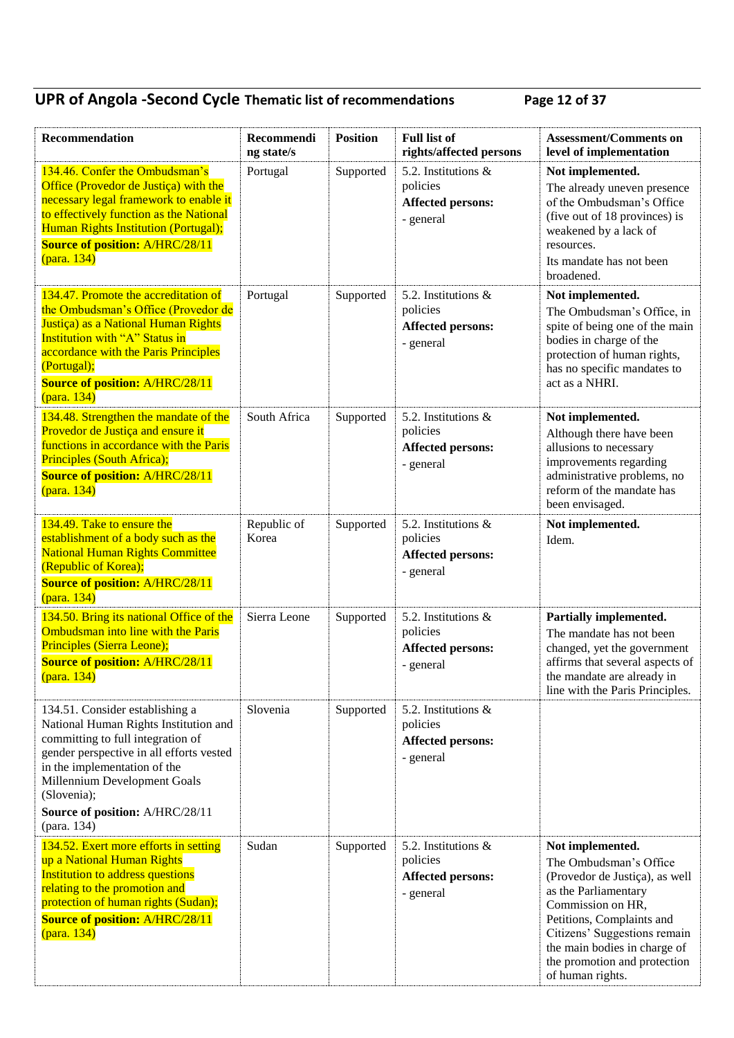## **UPR of Angola -Second Cycle Thematic list of recommendations Page 12 of 37**

| Recommendation                                                                                                                                                                                                                                                                             | Recommendi<br>ng state/s | <b>Position</b> | <b>Full list of</b><br>rights/affected persons                           | <b>Assessment/Comments on</b><br>level of implementation                                                                                                                                                                                                                   |
|--------------------------------------------------------------------------------------------------------------------------------------------------------------------------------------------------------------------------------------------------------------------------------------------|--------------------------|-----------------|--------------------------------------------------------------------------|----------------------------------------------------------------------------------------------------------------------------------------------------------------------------------------------------------------------------------------------------------------------------|
| 134.46. Confer the Ombudsman's<br>Office (Provedor de Justiça) with the<br>necessary legal framework to enable it<br>to effectively function as the National<br>Human Rights Institution (Portugal);<br><b>Source of position: A/HRC/28/11</b><br>(para. 134)                              | Portugal                 | Supported       | 5.2. Institutions &<br>policies<br><b>Affected persons:</b><br>- general | Not implemented.<br>The already uneven presence<br>of the Ombudsman's Office<br>(five out of 18 provinces) is<br>weakened by a lack of<br>resources.<br>Its mandate has not been<br>broadened.                                                                             |
| 134.47. Promote the accreditation of<br>the Ombudsman's Office (Provedor de<br>Justiça) as a National Human Rights<br>Institution with "A" Status in<br>accordance with the Paris Principles<br>(Portugal);<br><b>Source of position: A/HRC/28/11</b><br>(para. 134)                       | Portugal                 | Supported       | 5.2. Institutions &<br>policies<br><b>Affected persons:</b><br>- general | Not implemented.<br>The Ombudsman's Office, in<br>spite of being one of the main<br>bodies in charge of the<br>protection of human rights,<br>has no specific mandates to<br>act as a NHRI.                                                                                |
| 134.48. Strengthen the mandate of the<br>Provedor de Justiça and ensure it<br>functions in accordance with the Paris<br>Principles (South Africa);<br><b>Source of position: A/HRC/28/11</b><br>(para. 134)                                                                                | South Africa             | Supported       | 5.2. Institutions &<br>policies<br><b>Affected persons:</b><br>- general | Not implemented.<br>Although there have been<br>allusions to necessary<br>improvements regarding<br>administrative problems, no<br>reform of the mandate has<br>been envisaged.                                                                                            |
| 134.49. Take to ensure the<br>establishment of a body such as the<br><b>National Human Rights Committee</b><br>(Republic of Korea);<br><b>Source of position: A/HRC/28/11</b><br>(para. 134)                                                                                               | Republic of<br>Korea     | Supported       | 5.2. Institutions &<br>policies<br><b>Affected persons:</b><br>- general | Not implemented.<br>Idem.                                                                                                                                                                                                                                                  |
| 134.50. Bring its national Office of the<br>Ombudsman into line with the Paris<br>Principles (Sierra Leone);<br><b>Source of position: A/HRC/28/11</b><br>(para. 134)                                                                                                                      | Sierra Leone             | Supported       | 5.2. Institutions &<br>policies<br><b>Affected persons:</b><br>- general | Partially implemented.<br>The mandate has not been<br>changed, yet the government<br>affirms that several aspects of<br>the mandate are already in<br>line with the Paris Principles.                                                                                      |
| 134.51. Consider establishing a<br>National Human Rights Institution and<br>committing to full integration of<br>gender perspective in all efforts vested<br>in the implementation of the<br>Millennium Development Goals<br>(Slovenia);<br>Source of position: A/HRC/28/11<br>(para. 134) | Slovenia                 | Supported       | 5.2. Institutions &<br>policies<br><b>Affected persons:</b><br>- general |                                                                                                                                                                                                                                                                            |
| 134.52. Exert more efforts in setting<br>up a National Human Rights<br>Institution to address questions<br>relating to the promotion and<br>protection of human rights (Sudan);<br><b>Source of position: A/HRC/28/11</b><br>(para. 134)                                                   | Sudan                    | Supported       | 5.2. Institutions &<br>policies<br>Affected persons:<br>- general        | Not implemented.<br>The Ombudsman's Office<br>(Provedor de Justiça), as well<br>as the Parliamentary<br>Commission on HR,<br>Petitions, Complaints and<br>Citizens' Suggestions remain<br>the main bodies in charge of<br>the promotion and protection<br>of human rights. |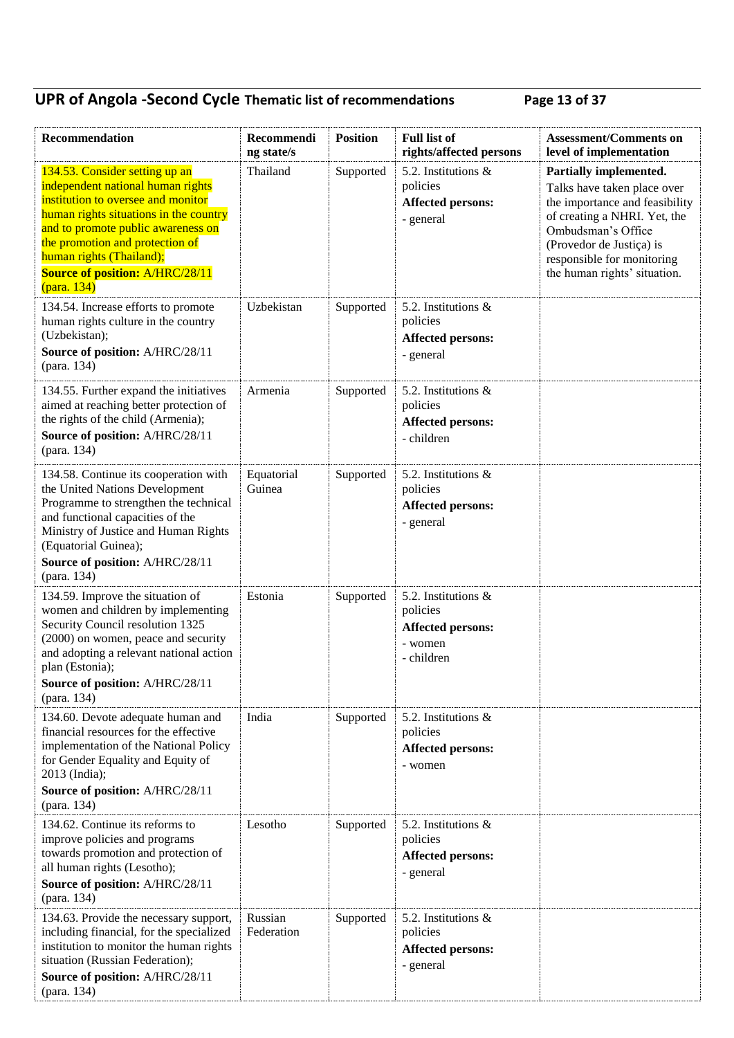## **UPR of Angola -Second Cycle Thematic list of recommendations Page 13 of 37**

| Recommendation                                                                                                                                                                                                                                                                                                    | Recommendi<br>ng state/s | <b>Position</b> | <b>Full list of</b><br>rights/affected persons                                       | <b>Assessment/Comments on</b><br>level of implementation                                                                                                                                                                                |
|-------------------------------------------------------------------------------------------------------------------------------------------------------------------------------------------------------------------------------------------------------------------------------------------------------------------|--------------------------|-----------------|--------------------------------------------------------------------------------------|-----------------------------------------------------------------------------------------------------------------------------------------------------------------------------------------------------------------------------------------|
| 134.53. Consider setting up an<br>independent national human rights<br>institution to oversee and monitor<br>human rights situations in the country<br>and to promote public awareness on<br>the promotion and protection of<br>human rights (Thailand);<br><b>Source of position: A/HRC/28/11</b><br>(para. 134) | Thailand                 | Supported       | 5.2. Institutions $\&$<br>policies<br><b>Affected persons:</b><br>- general          | Partially implemented.<br>Talks have taken place over<br>the importance and feasibility<br>of creating a NHRI. Yet, the<br>Ombudsman's Office<br>(Provedor de Justiça) is<br>responsible for monitoring<br>the human rights' situation. |
| 134.54. Increase efforts to promote<br>human rights culture in the country<br>(Uzbekistan);<br>Source of position: A/HRC/28/11<br>(para. 134)                                                                                                                                                                     | Uzbekistan               | Supported       | 5.2. Institutions $\&$<br>policies<br><b>Affected persons:</b><br>- general          |                                                                                                                                                                                                                                         |
| 134.55. Further expand the initiatives<br>aimed at reaching better protection of<br>the rights of the child (Armenia);<br>Source of position: A/HRC/28/11<br>(para. 134)                                                                                                                                          | Armenia                  | Supported       | 5.2. Institutions &<br>policies<br><b>Affected persons:</b><br>- children            |                                                                                                                                                                                                                                         |
| 134.58. Continue its cooperation with<br>the United Nations Development<br>Programme to strengthen the technical<br>and functional capacities of the<br>Ministry of Justice and Human Rights<br>(Equatorial Guinea);<br>Source of position: A/HRC/28/11<br>(para. 134)                                            | Equatorial<br>Guinea     | Supported       | 5.2. Institutions &<br>policies<br><b>Affected persons:</b><br>- general             |                                                                                                                                                                                                                                         |
| 134.59. Improve the situation of<br>women and children by implementing<br>Security Council resolution 1325<br>(2000) on women, peace and security<br>and adopting a relevant national action<br>plan (Estonia);<br>Source of position: A/HRC/28/11<br>(para. 134)                                                 | Estonia                  | Supported       | 5.2. Institutions &<br>policies<br><b>Affected persons:</b><br>- women<br>- children |                                                                                                                                                                                                                                         |
| 134.60. Devote adequate human and<br>financial resources for the effective<br>implementation of the National Policy<br>for Gender Equality and Equity of<br>2013 (India);<br>Source of position: A/HRC/28/11<br>(para. 134)                                                                                       | India                    | Supported       | 5.2. Institutions &<br>policies<br><b>Affected persons:</b><br>- women               |                                                                                                                                                                                                                                         |
| 134.62. Continue its reforms to<br>improve policies and programs<br>towards promotion and protection of<br>all human rights (Lesotho);<br>Source of position: A/HRC/28/11<br>(para. 134)                                                                                                                          | Lesotho                  | Supported       | 5.2. Institutions $\&$<br>policies<br><b>Affected persons:</b><br>- general          |                                                                                                                                                                                                                                         |
| 134.63. Provide the necessary support,<br>including financial, for the specialized<br>institution to monitor the human rights<br>situation (Russian Federation);<br>Source of position: A/HRC/28/11<br>(para. 134)                                                                                                | Russian<br>Federation    | Supported       | 5.2. Institutions &<br>policies<br><b>Affected persons:</b><br>- general             |                                                                                                                                                                                                                                         |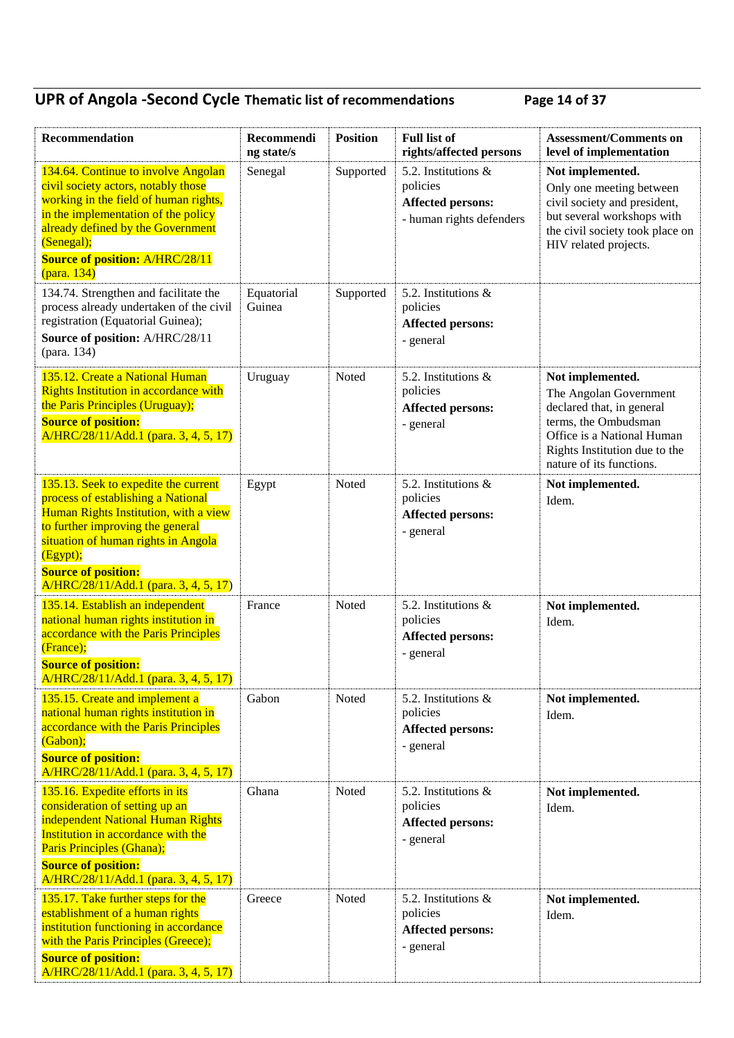## **UPR of Angola -Second Cycle Thematic list of recommendations Page 14 of 37**

| Recommendation                                                                                                                                                                                                                                                                    | Recommendi<br>ng state/s | <b>Position</b> | <b>Full list of</b><br>rights/affected persons                                          | <b>Assessment/Comments on</b><br>level of implementation                                                                                                                                   |
|-----------------------------------------------------------------------------------------------------------------------------------------------------------------------------------------------------------------------------------------------------------------------------------|--------------------------|-----------------|-----------------------------------------------------------------------------------------|--------------------------------------------------------------------------------------------------------------------------------------------------------------------------------------------|
| 134.64. Continue to involve Angolan<br>civil society actors, notably those<br>working in the field of human rights,<br>in the implementation of the policy<br>already defined by the Government<br>(Senegal);<br><b>Source of position: A/HRC/28/11</b><br>(para. 134)            | Senegal                  | Supported       | 5.2. Institutions &<br>policies<br><b>Affected persons:</b><br>- human rights defenders | Not implemented.<br>Only one meeting between<br>civil society and president,<br>but several workshops with<br>the civil society took place on<br>HIV related projects.                     |
| 134.74. Strengthen and facilitate the<br>process already undertaken of the civil<br>registration (Equatorial Guinea);<br>Source of position: A/HRC/28/11<br>(para. 134)                                                                                                           | Equatorial<br>Guinea     | Supported       | 5.2. Institutions $\&$<br>policies<br><b>Affected persons:</b><br>- general             |                                                                                                                                                                                            |
| 135.12. Create a National Human<br><b>Rights Institution in accordance with</b><br>the Paris Principles (Uruguay);<br><b>Source of position:</b><br>A/HRC/28/11/Add.1 (para. 3, 4, 5, 17)                                                                                         | Uruguay                  | Noted           | 5.2. Institutions &<br>policies<br><b>Affected persons:</b><br>- general                | Not implemented.<br>The Angolan Government<br>declared that, in general<br>terms, the Ombudsman<br>Office is a National Human<br>Rights Institution due to the<br>nature of its functions. |
| 135.13. Seek to expedite the current<br>process of establishing a National<br>Human Rights Institution, with a view<br>to further improving the general<br>situation of human rights in Angola<br>(Egypt);<br><b>Source of position:</b><br>A/HRC/28/11/Add.1 (para. 3, 4, 5, 17) | Egypt                    | Noted           | 5.2. Institutions &<br>policies<br>Affected persons:<br>- general                       | Not implemented.<br>Idem.                                                                                                                                                                  |
| 135.14. Establish an independent<br>national human rights institution in<br>accordance with the Paris Principles<br>(France);<br><b>Source of position:</b><br>A/HRC/28/11/Add.1 (para. 3, 4, 5, 17)                                                                              | France                   | Noted           | 5.2. Institutions &<br>policies<br><b>Affected persons:</b><br>- general                | Not implemented.<br>Idem.                                                                                                                                                                  |
| 135.15. Create and implement a<br>national human rights institution in<br>accordance with the Paris Principles<br>(Gabon);<br><b>Source of position:</b><br>A/HRC/28/11/Add.1 (para. 3, 4, 5, 17)                                                                                 | Gabon                    | Noted           | 5.2. Institutions $\&$<br>policies<br><b>Affected persons:</b><br>- general             | Not implemented.<br>Idem.                                                                                                                                                                  |
| 135.16. Expedite efforts in its<br>consideration of setting up an<br>independent National Human Rights<br>Institution in accordance with the<br>Paris Principles (Ghana);<br><b>Source of position:</b><br>A/HRC/28/11/Add.1 (para. 3, 4, 5, 17)                                  | Ghana                    | Noted           | 5.2. Institutions $\&$<br>policies<br><b>Affected persons:</b><br>- general             | Not implemented.<br>Idem.                                                                                                                                                                  |
| 135.17. Take further steps for the<br>establishment of a human rights<br>institution functioning in accordance<br>with the Paris Principles (Greece);<br><b>Source of position:</b><br>A/HRC/28/11/Add.1 (para. 3, 4, 5, 17)                                                      | Greece                   | Noted           | 5.2. Institutions $\&$<br>policies<br>Affected persons:<br>- general                    | Not implemented.<br>Idem.                                                                                                                                                                  |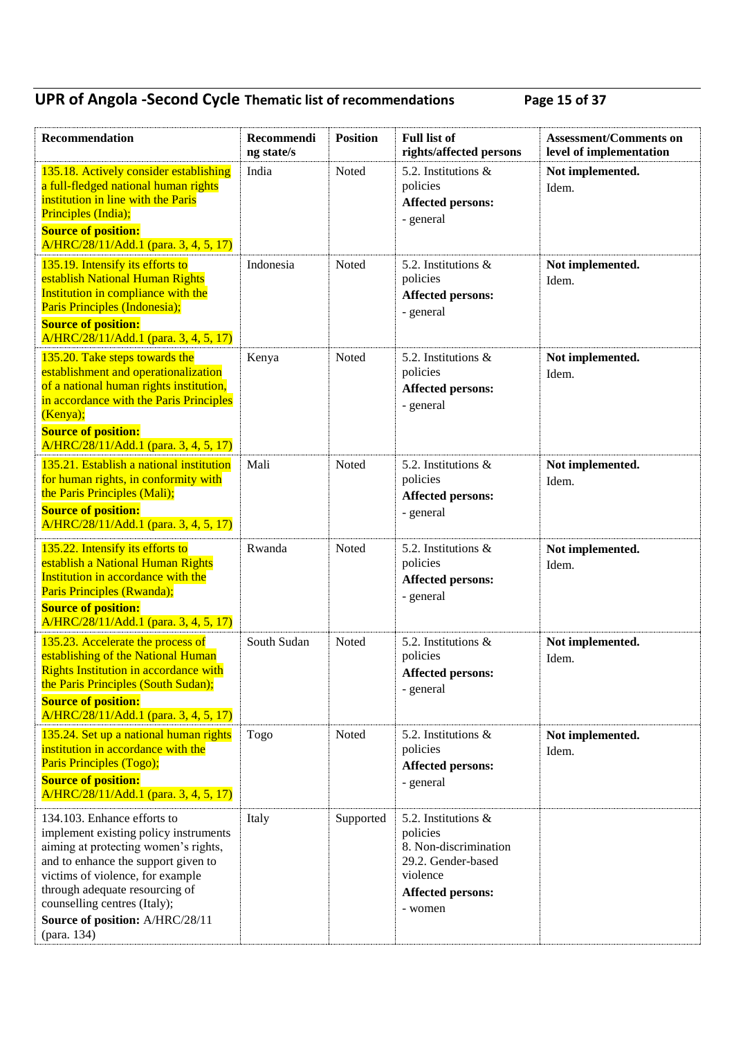## **UPR of Angola -Second Cycle Thematic list of recommendations Page 15 of 37**

| Recommendation                                                                                                                                                                                                                                                                                              | Recommendi<br>ng state/s | <b>Position</b> | <b>Full list of</b><br>rights/affected persons                                                                                    | <b>Assessment/Comments on</b><br>level of implementation |
|-------------------------------------------------------------------------------------------------------------------------------------------------------------------------------------------------------------------------------------------------------------------------------------------------------------|--------------------------|-----------------|-----------------------------------------------------------------------------------------------------------------------------------|----------------------------------------------------------|
| 135.18. Actively consider establishing<br>a full-fledged national human rights<br>institution in line with the Paris<br>Principles (India);<br><b>Source of position:</b><br>A/HRC/28/11/Add.1 (para. 3, 4, 5, 17)                                                                                          | India                    | Noted           | 5.2. Institutions &<br>policies<br><b>Affected persons:</b><br>- general                                                          | Not implemented.<br>Idem.                                |
| 135.19. Intensify its efforts to<br>establish National Human Rights<br>Institution in compliance with the<br>Paris Principles (Indonesia);<br><b>Source of position:</b><br>A/HRC/28/11/Add.1 (para. 3, 4, 5, 17)                                                                                           | Indonesia                | Noted           | 5.2. Institutions &<br>policies<br><b>Affected persons:</b><br>- general                                                          | Not implemented.<br>Idem.                                |
| 135.20. Take steps towards the<br>establishment and operationalization<br>of a national human rights institution,<br>in accordance with the Paris Principles<br>(Kenya);<br><b>Source of position:</b><br>A/HRC/28/11/Add.1 (para. 3, 4, 5, 17)                                                             | Kenya                    | Noted           | 5.2. Institutions &<br>policies<br><b>Affected persons:</b><br>- general                                                          | Not implemented.<br>Idem.                                |
| 135.21. Establish a national institution<br>for human rights, in conformity with<br>the Paris Principles (Mali);<br><b>Source of position:</b><br>A/HRC/28/11/Add.1 (para. 3, 4, 5, 17)                                                                                                                     | Mali                     | Noted           | 5.2. Institutions &<br>policies<br><b>Affected persons:</b><br>- general                                                          | Not implemented.<br>Idem.                                |
| 135.22. Intensify its efforts to<br>establish a National Human Rights<br>Institution in accordance with the<br>Paris Principles (Rwanda);<br><b>Source of position:</b><br>A/HRC/28/11/Add.1 (para. 3, 4, 5, 17)                                                                                            | Rwanda                   | Noted           | 5.2. Institutions &<br>policies<br><b>Affected persons:</b><br>- general                                                          | Not implemented.<br>Idem.                                |
| 135.23. Accelerate the process of<br>establishing of the National Human<br><b>Rights Institution in accordance with</b><br>the Paris Principles (South Sudan);<br><b>Source of position:</b><br>A/HRC/28/11/Add.1 (para. 3, 4, 5, 17)                                                                       | South Sudan              | Noted           | 5.2. Institutions &<br>policies<br><b>Affected persons:</b><br>- general                                                          | Not implemented.<br>Idem.                                |
| 135.24. Set up a national human rights<br>institution in accordance with the<br>Paris Principles (Togo);<br><b>Source of position:</b><br>A/HRC/28/11/Add.1 (para. 3, 4, 5, 17)                                                                                                                             | Togo                     | Noted           | 5.2. Institutions &<br>policies<br><b>Affected persons:</b><br>- general                                                          | Not implemented.<br>Idem.                                |
| 134.103. Enhance efforts to<br>implement existing policy instruments<br>aiming at protecting women's rights,<br>and to enhance the support given to<br>victims of violence, for example<br>through adequate resourcing of<br>counselling centres (Italy);<br>Source of position: A/HRC/28/11<br>(para. 134) | Italy                    | Supported       | 5.2. Institutions &<br>policies<br>8. Non-discrimination<br>29.2. Gender-based<br>violence<br><b>Affected persons:</b><br>- women |                                                          |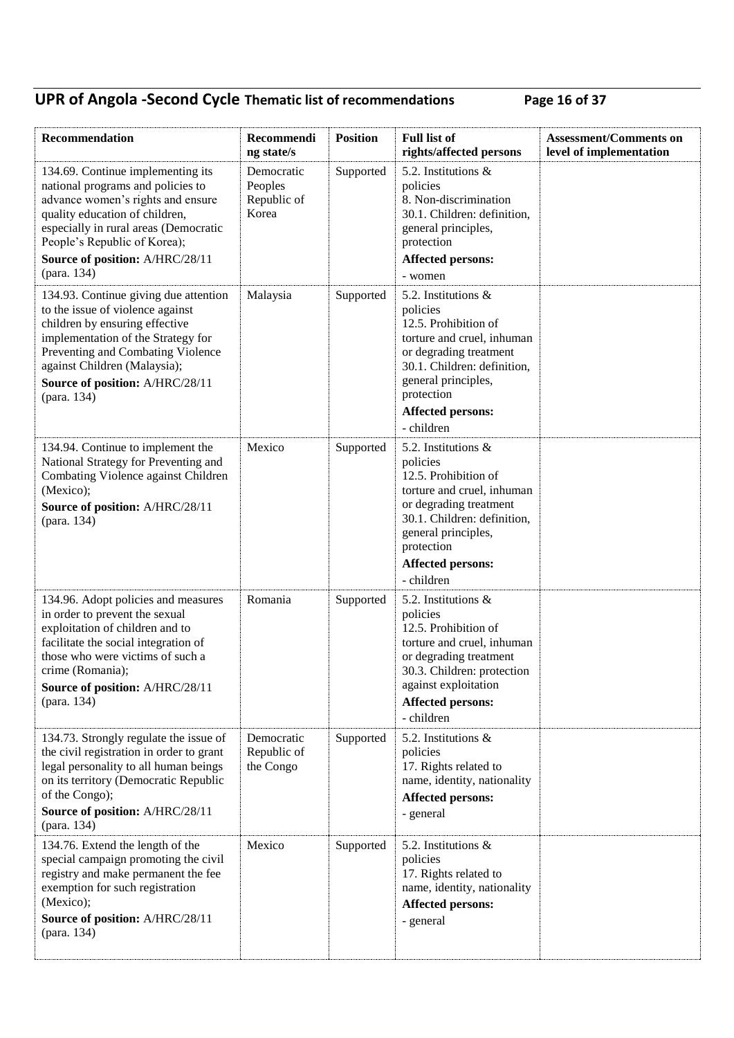## **UPR of Angola -Second Cycle Thematic list of recommendations Page 16 of 37**

| Recommendation                                                                                                                                                                                                                                                           | Recommendi<br>ng state/s                      | <b>Position</b> | <b>Full list of</b><br>rights/affected persons                                                                                                                                                                                   | <b>Assessment/Comments on</b><br>level of implementation |
|--------------------------------------------------------------------------------------------------------------------------------------------------------------------------------------------------------------------------------------------------------------------------|-----------------------------------------------|-----------------|----------------------------------------------------------------------------------------------------------------------------------------------------------------------------------------------------------------------------------|----------------------------------------------------------|
| 134.69. Continue implementing its<br>national programs and policies to<br>advance women's rights and ensure<br>quality education of children,<br>especially in rural areas (Democratic<br>People's Republic of Korea);<br>Source of position: A/HRC/28/11<br>(para. 134) | Democratic<br>Peoples<br>Republic of<br>Korea | Supported       | 5.2. Institutions &<br>policies<br>8. Non-discrimination<br>30.1. Children: definition,<br>general principles,<br>protection<br><b>Affected persons:</b><br>- women                                                              |                                                          |
| 134.93. Continue giving due attention<br>to the issue of violence against<br>children by ensuring effective<br>implementation of the Strategy for<br>Preventing and Combating Violence<br>against Children (Malaysia);<br>Source of position: A/HRC/28/11<br>(para. 134) | Malaysia                                      | Supported       | 5.2. Institutions $\&$<br>policies<br>12.5. Prohibition of<br>torture and cruel, inhuman<br>or degrading treatment<br>30.1. Children: definition,<br>general principles,<br>protection<br><b>Affected persons:</b><br>- children |                                                          |
| 134.94. Continue to implement the<br>National Strategy for Preventing and<br>Combating Violence against Children<br>(Mexico);<br>Source of position: A/HRC/28/11<br>(para. 134)                                                                                          | Mexico                                        | Supported       | 5.2. Institutions $\&$<br>policies<br>12.5. Prohibition of<br>torture and cruel, inhuman<br>or degrading treatment<br>30.1. Children: definition,<br>general principles,<br>protection<br><b>Affected persons:</b><br>- children |                                                          |
| 134.96. Adopt policies and measures<br>in order to prevent the sexual<br>exploitation of children and to<br>facilitate the social integration of<br>those who were victims of such a<br>crime (Romania);<br>Source of position: A/HRC/28/11<br>(para. 134)               | Romania                                       | Supported       | 5.2. Institutions $\&$<br>policies<br>12.5. Prohibition of<br>torture and cruel, inhuman<br>or degrading treatment<br>30.3. Children: protection<br>against exploitation<br><b>Affected persons:</b><br>- children               |                                                          |
| 134.73. Strongly regulate the issue of<br>the civil registration in order to grant<br>legal personality to all human beings<br>on its territory (Democratic Republic<br>of the Congo);<br>Source of position: A/HRC/28/11<br>(para. 134)                                 | Democratic<br>Republic of<br>the Congo        | Supported       | 5.2. Institutions &<br>policies<br>17. Rights related to<br>name, identity, nationality<br><b>Affected persons:</b><br>- general                                                                                                 |                                                          |
| 134.76. Extend the length of the<br>special campaign promoting the civil<br>registry and make permanent the fee<br>exemption for such registration<br>(Mexico);<br>Source of position: A/HRC/28/11<br>(para. 134)                                                        | Mexico                                        | Supported       | 5.2. Institutions $\&$<br>policies<br>17. Rights related to<br>name, identity, nationality<br>Affected persons:<br>- general                                                                                                     |                                                          |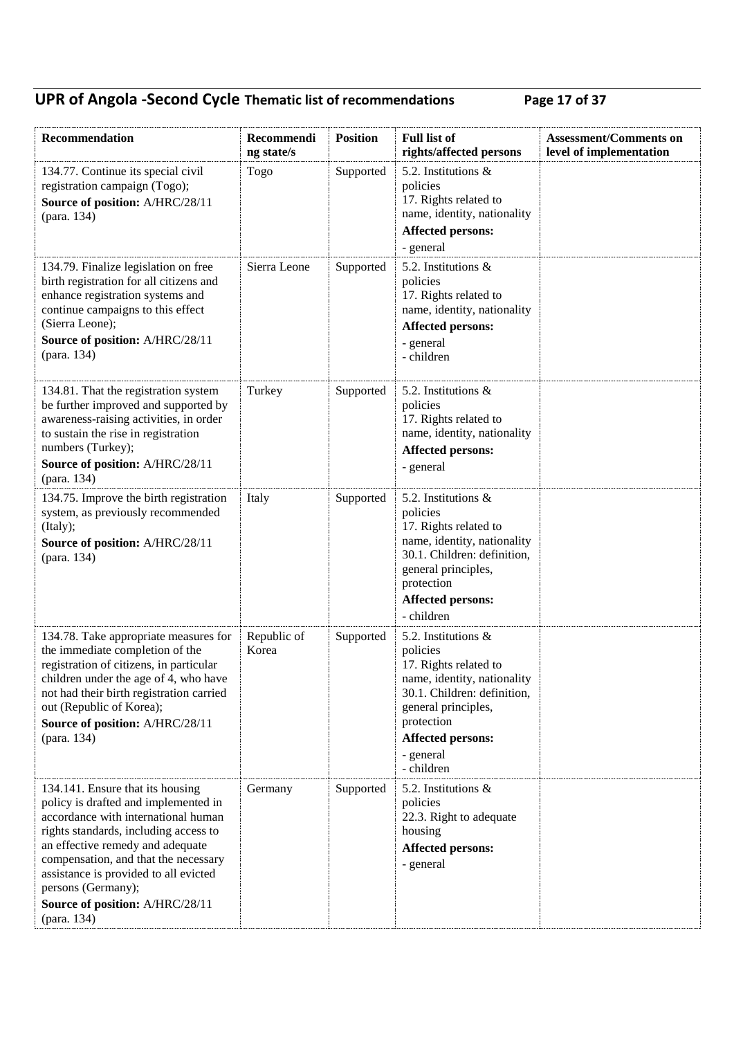## **UPR of Angola -Second Cycle Thematic list of recommendations Page 17 of 37**

| Recommendation                                                                                                                                                                                                                                                                                                                                        | Recommendi<br>ng state/s | <b>Position</b> | <b>Full list of</b><br>rights/affected persons                                                                                                                                                                     | <b>Assessment/Comments on</b><br>level of implementation |
|-------------------------------------------------------------------------------------------------------------------------------------------------------------------------------------------------------------------------------------------------------------------------------------------------------------------------------------------------------|--------------------------|-----------------|--------------------------------------------------------------------------------------------------------------------------------------------------------------------------------------------------------------------|----------------------------------------------------------|
| 134.77. Continue its special civil<br>registration campaign (Togo);<br>Source of position: A/HRC/28/11<br>(para. 134)                                                                                                                                                                                                                                 | Togo                     | Supported       | 5.2. Institutions $\&$<br>policies<br>17. Rights related to<br>name, identity, nationality<br><b>Affected persons:</b><br>- general                                                                                |                                                          |
| 134.79. Finalize legislation on free<br>birth registration for all citizens and<br>enhance registration systems and<br>continue campaigns to this effect<br>(Sierra Leone);<br>Source of position: A/HRC/28/11<br>(para. 134)                                                                                                                         | Sierra Leone             | Supported       | 5.2. Institutions &<br>policies<br>17. Rights related to<br>name, identity, nationality<br><b>Affected persons:</b><br>- general<br>- children                                                                     |                                                          |
| 134.81. That the registration system<br>be further improved and supported by<br>awareness-raising activities, in order<br>to sustain the rise in registration<br>numbers (Turkey);<br>Source of position: A/HRC/28/11<br>(para. 134)                                                                                                                  | Turkey                   | Supported       | 5.2. Institutions $\&$<br>policies<br>17. Rights related to<br>name, identity, nationality<br><b>Affected persons:</b><br>- general                                                                                |                                                          |
| 134.75. Improve the birth registration<br>system, as previously recommended<br>(Italy);<br>Source of position: A/HRC/28/11<br>(para. 134)                                                                                                                                                                                                             | Italy                    | Supported       | 5.2. Institutions $\&$<br>policies<br>17. Rights related to<br>name, identity, nationality<br>30.1. Children: definition,<br>general principles,<br>protection<br><b>Affected persons:</b><br>- children           |                                                          |
| 134.78. Take appropriate measures for<br>the immediate completion of the<br>registration of citizens, in particular<br>children under the age of 4, who have<br>not had their birth registration carried<br>out (Republic of Korea);<br>Source of position: A/HRC/28/11<br>(para. 134)                                                                | Republic of<br>Korea     | Supported       | 5.2. Institutions &<br>policies<br>17. Rights related to<br>name, identity, nationality<br>30.1. Children: definition,<br>general principles,<br>protection<br><b>Affected persons:</b><br>- general<br>- children |                                                          |
| 134.141. Ensure that its housing<br>policy is drafted and implemented in<br>accordance with international human<br>rights standards, including access to<br>an effective remedy and adequate<br>compensation, and that the necessary<br>assistance is provided to all evicted<br>persons (Germany);<br>Source of position: A/HRC/28/11<br>(para. 134) | Germany                  | Supported       | 5.2. Institutions &<br>policies<br>22.3. Right to adequate<br>housing<br><b>Affected persons:</b><br>- general                                                                                                     |                                                          |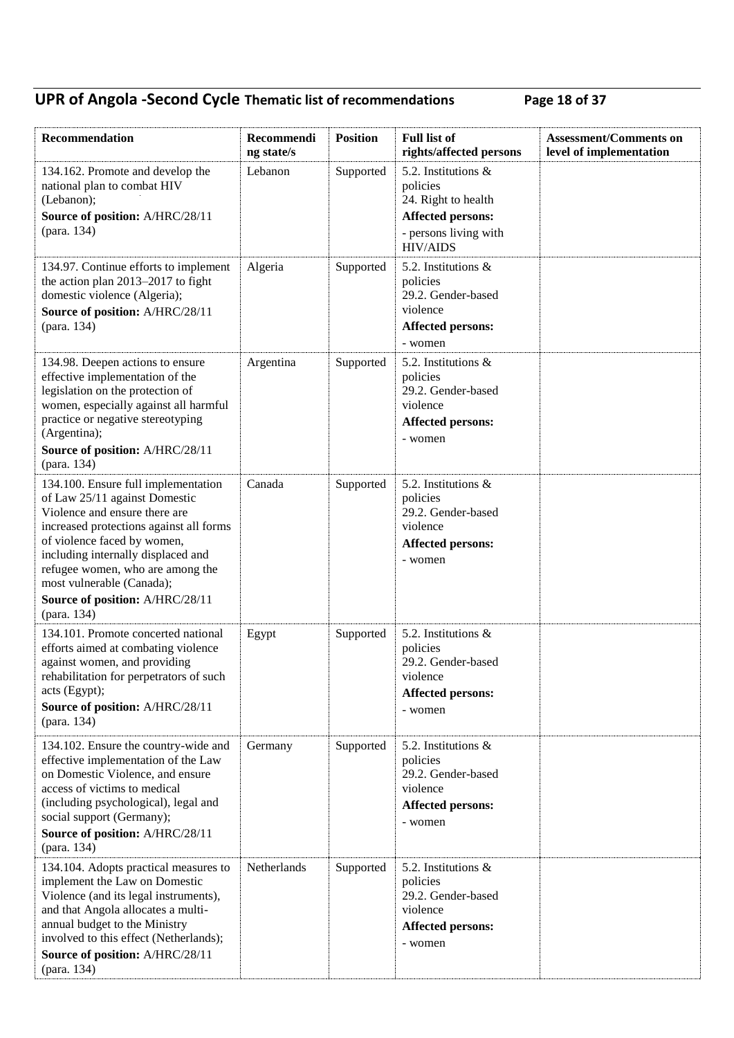## **UPR of Angola -Second Cycle Thematic list of recommendations Page 18 of 37**

| Recommendation                                                                                                                                                                                                                                                                                                                           | Recommendi<br>ng state/s | <b>Position</b> | <b>Full list of</b><br>rights/affected persons                                                                                    | <b>Assessment/Comments on</b><br>level of implementation |
|------------------------------------------------------------------------------------------------------------------------------------------------------------------------------------------------------------------------------------------------------------------------------------------------------------------------------------------|--------------------------|-----------------|-----------------------------------------------------------------------------------------------------------------------------------|----------------------------------------------------------|
| 134.162. Promote and develop the<br>national plan to combat HIV<br>(Lebanon);<br>Source of position: A/HRC/28/11<br>(para. 134)                                                                                                                                                                                                          | Lebanon                  | Supported       | 5.2. Institutions $\&$<br>policies<br>24. Right to health<br><b>Affected persons:</b><br>- persons living with<br><b>HIV/AIDS</b> |                                                          |
| 134.97. Continue efforts to implement<br>the action plan $2013-2017$ to fight<br>domestic violence (Algeria);<br>Source of position: A/HRC/28/11<br>(para. 134)                                                                                                                                                                          | Algeria                  | Supported       | 5.2. Institutions $\&$<br>policies<br>29.2. Gender-based<br>violence<br><b>Affected persons:</b><br>- women                       |                                                          |
| 134.98. Deepen actions to ensure<br>effective implementation of the<br>legislation on the protection of<br>women, especially against all harmful<br>practice or negative stereotyping<br>(Argentina);<br>Source of position: A/HRC/28/11<br>(para. 134)                                                                                  | Argentina                | Supported       | 5.2. Institutions $\&$<br>policies<br>29.2. Gender-based<br>violence<br><b>Affected persons:</b><br>- women                       |                                                          |
| 134.100. Ensure full implementation<br>of Law 25/11 against Domestic<br>Violence and ensure there are<br>increased protections against all forms<br>of violence faced by women,<br>including internally displaced and<br>refugee women, who are among the<br>most vulnerable (Canada);<br>Source of position: A/HRC/28/11<br>(para. 134) | Canada                   | Supported       | 5.2. Institutions &<br>policies<br>29.2. Gender-based<br>violence<br><b>Affected persons:</b><br>- women                          |                                                          |
| 134.101. Promote concerted national<br>efforts aimed at combating violence<br>against women, and providing<br>rehabilitation for perpetrators of such<br>acts (Egypt);<br>Source of position: A/HRC/28/11<br>(para. 134)                                                                                                                 | Egypt                    | Supported       | 5.2. Institutions &<br>policies<br>29.2. Gender-based<br>violence<br>Affected persons:<br>- women                                 |                                                          |
| 134.102. Ensure the country-wide and<br>effective implementation of the Law<br>on Domestic Violence, and ensure<br>access of victims to medical<br>(including psychological), legal and<br>social support (Germany);<br>Source of position: A/HRC/28/11<br>(para. 134)                                                                   | Germany                  | Supported       | 5.2. Institutions $\&$<br>policies<br>29.2. Gender-based<br>violence<br><b>Affected persons:</b><br>- women                       |                                                          |
| 134.104. Adopts practical measures to<br>implement the Law on Domestic<br>Violence (and its legal instruments),<br>and that Angola allocates a multi-<br>annual budget to the Ministry<br>involved to this effect (Netherlands);<br>Source of position: A/HRC/28/11<br>(para. 134)                                                       | Netherlands              | Supported       | 5.2. Institutions $\&$<br>policies<br>29.2. Gender-based<br>violence<br><b>Affected persons:</b><br>- women                       |                                                          |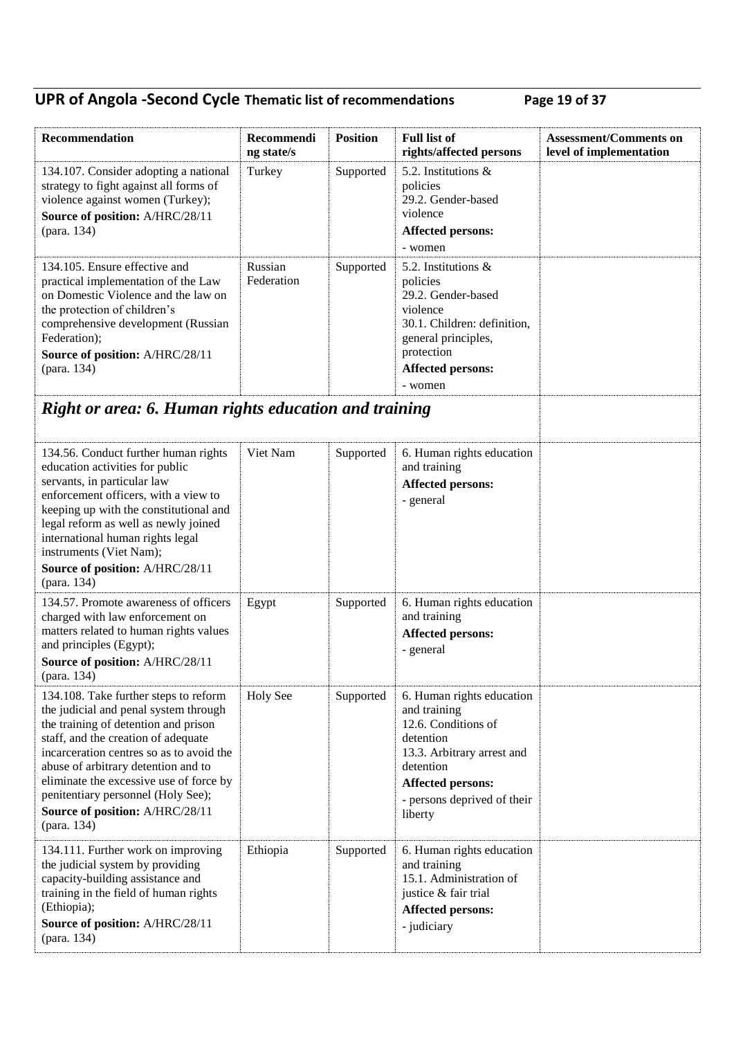## **UPR of Angola -Second Cycle Thematic list of recommendations Page 19 of 37**

| Recommendation                                                                                                                                                                                                                                                                                                                                                                      | Recommendi<br>ng state/s | <b>Position</b> | <b>Full list of</b><br>rights/affected persons                                                                                                                                                 | <b>Assessment/Comments on</b><br>level of implementation |
|-------------------------------------------------------------------------------------------------------------------------------------------------------------------------------------------------------------------------------------------------------------------------------------------------------------------------------------------------------------------------------------|--------------------------|-----------------|------------------------------------------------------------------------------------------------------------------------------------------------------------------------------------------------|----------------------------------------------------------|
| 134.107. Consider adopting a national<br>strategy to fight against all forms of<br>violence against women (Turkey);<br>Source of position: A/HRC/28/11<br>(para. 134)                                                                                                                                                                                                               | Turkey                   | Supported       | 5.2. Institutions $\&$<br>policies<br>29.2. Gender-based<br>violence<br><b>Affected persons:</b><br>- women                                                                                    |                                                          |
| 134.105. Ensure effective and<br>practical implementation of the Law<br>on Domestic Violence and the law on<br>the protection of children's<br>comprehensive development (Russian<br>Federation);<br>Source of position: A/HRC/28/11<br>(para. 134)                                                                                                                                 | Russian<br>Federation    | Supported       | 5.2. Institutions $\&$<br>policies<br>29.2. Gender-based<br>violence<br>30.1. Children: definition,<br>general principles,<br>protection<br><b>Affected persons:</b><br>- women                |                                                          |
| Right or area: 6. Human rights education and training                                                                                                                                                                                                                                                                                                                               |                          |                 |                                                                                                                                                                                                |                                                          |
| 134.56. Conduct further human rights<br>education activities for public<br>servants, in particular law<br>enforcement officers, with a view to<br>keeping up with the constitutional and<br>legal reform as well as newly joined<br>international human rights legal<br>instruments (Viet Nam);<br>Source of position: A/HRC/28/11<br>(para. 134)                                   | Viet Nam                 | Supported       | 6. Human rights education<br>and training<br><b>Affected persons:</b><br>- general                                                                                                             |                                                          |
| 134.57. Promote awareness of officers<br>charged with law enforcement on<br>matters related to human rights values<br>and principles (Egypt);<br>Source of position: A/HRC/28/11<br>(para. 134)                                                                                                                                                                                     | Egypt                    | Supported       | 6. Human rights education<br>and training<br><b>Affected persons:</b><br>- general                                                                                                             |                                                          |
| 134.108. Take further steps to reform<br>the judicial and penal system through<br>the training of detention and prison<br>staff, and the creation of adequate<br>incarceration centres so as to avoid the<br>abuse of arbitrary detention and to<br>eliminate the excessive use of force by<br>penitentiary personnel (Holy See);<br>Source of position: A/HRC/28/11<br>(para. 134) | <b>Holy See</b>          | Supported       | 6. Human rights education<br>and training<br>12.6. Conditions of<br>detention<br>13.3. Arbitrary arrest and<br>detention<br><b>Affected persons:</b><br>- persons deprived of their<br>liberty |                                                          |
| 134.111. Further work on improving<br>the judicial system by providing<br>capacity-building assistance and<br>training in the field of human rights<br>(Ethiopia);<br>Source of position: A/HRC/28/11<br>(para. 134)                                                                                                                                                                | Ethiopia                 | Supported       | 6. Human rights education<br>and training<br>15.1. Administration of<br>justice & fair trial<br><b>Affected persons:</b><br>- judiciary                                                        |                                                          |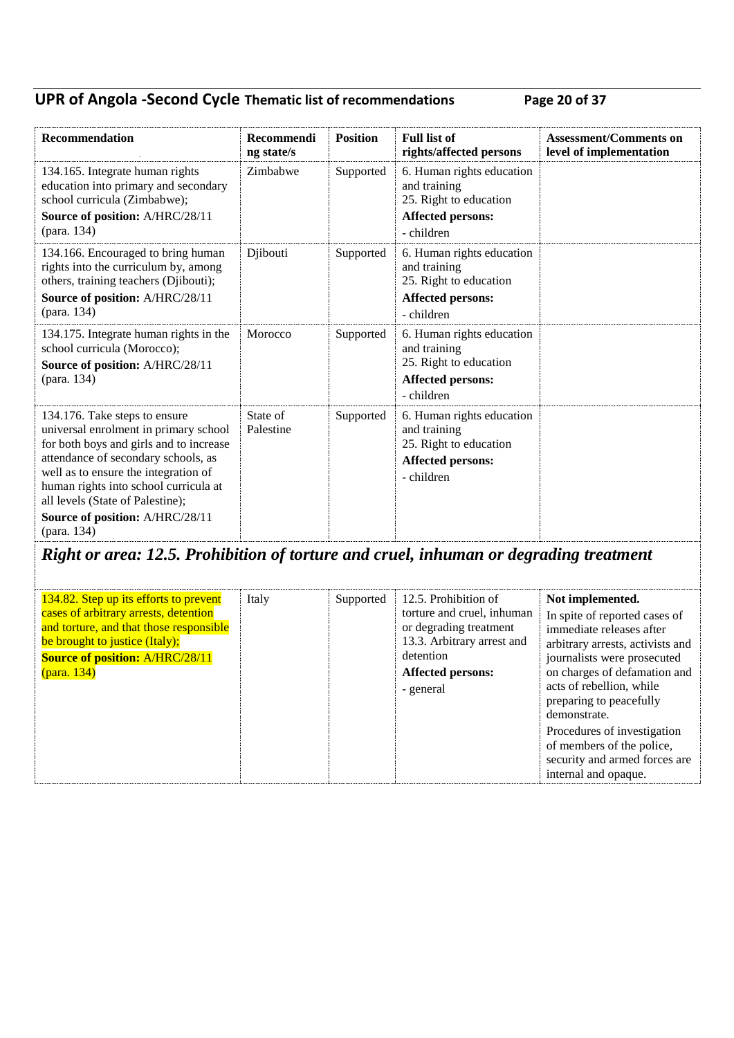### **UPR of Angola -Second Cycle Thematic list of recommendations Page 20 of 37**

| Recommendation                                                                                                                                                                                                                                                                                                                  | Recommendi<br>ng state/s | <b>Position</b> | <b>Full list of</b><br>rights/affected persons                                                                | <b>Assessment/Comments on</b><br>level of implementation |
|---------------------------------------------------------------------------------------------------------------------------------------------------------------------------------------------------------------------------------------------------------------------------------------------------------------------------------|--------------------------|-----------------|---------------------------------------------------------------------------------------------------------------|----------------------------------------------------------|
| 134.165. Integrate human rights<br>education into primary and secondary<br>school curricula (Zimbabwe);<br>Source of position: A/HRC/28/11<br>(para. 134)                                                                                                                                                                       | Zimbabwe                 | Supported       | 6. Human rights education<br>and training<br>25. Right to education<br><b>Affected persons:</b><br>- children |                                                          |
| 134.166. Encouraged to bring human<br>rights into the curriculum by, among<br>others, training teachers (Djibouti);<br>Source of position: A/HRC/28/11<br>(para. 134)                                                                                                                                                           | Djibouti                 | Supported       | 6. Human rights education<br>and training<br>25. Right to education<br><b>Affected persons:</b><br>- children |                                                          |
| 134.175. Integrate human rights in the<br>school curricula (Morocco);<br>Source of position: A/HRC/28/11<br>(para. 134)                                                                                                                                                                                                         | Morocco                  | Supported       | 6. Human rights education<br>and training<br>25. Right to education<br><b>Affected persons:</b><br>- children |                                                          |
| 134.176. Take steps to ensure<br>universal enrolment in primary school<br>for both boys and girls and to increase<br>attendance of secondary schools, as<br>well as to ensure the integration of<br>human rights into school curricula at<br>all levels (State of Palestine);<br>Source of position: A/HRC/28/11<br>(para. 134) | State of<br>Palestine    | Supported       | 6. Human rights education<br>and training<br>25. Right to education<br>Affected persons:<br>- children        |                                                          |

# *Right or area: 12.5. Prohibition of torture and cruel, inhuman or degrading treatment*

| 134.82. Step up its efforts to prevent<br>cases of arbitrary arrests, detention<br>and torture, and that those responsible<br>be brought to justice (Italy);<br><b>Source of position: A/HRC/28/11</b><br>(para. 134) | Italy<br>Supported | 12.5. Prohibition of<br>torture and cruel, inhuman<br>or degrading treatment<br>13.3. Arbitrary arrest and<br>detention<br><b>Affected persons:</b><br>- general | Not implemented.<br>In spite of reported cases of<br>immediate releases after<br>arbitrary arrests, activists and<br>journalists were prosecuted<br>on charges of defamation and<br>acts of rebellion, while<br>preparing to peacefully<br>demonstrate.<br>Procedures of investigation<br>of members of the police,<br>security and armed forces are<br>internal and opaque. |
|-----------------------------------------------------------------------------------------------------------------------------------------------------------------------------------------------------------------------|--------------------|------------------------------------------------------------------------------------------------------------------------------------------------------------------|------------------------------------------------------------------------------------------------------------------------------------------------------------------------------------------------------------------------------------------------------------------------------------------------------------------------------------------------------------------------------|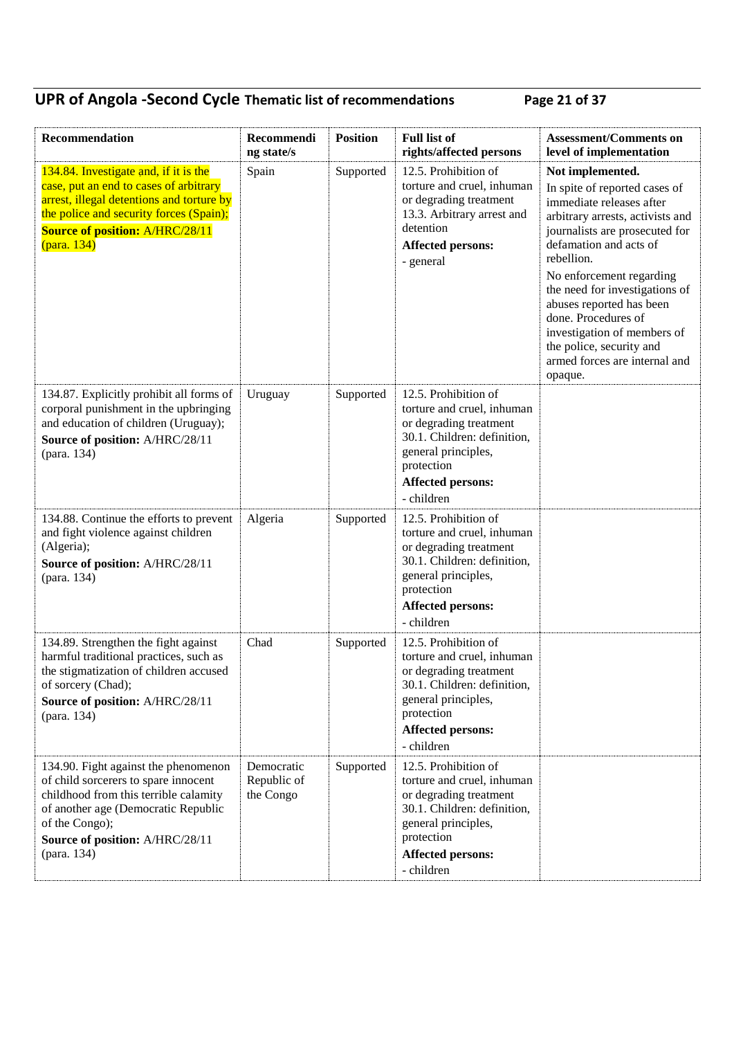## **UPR of Angola -Second Cycle Thematic list of recommendations Page 21 of 37**

| Recommendation                                                                                                                                                                                                                   | Recommendi<br>ng state/s               | <b>Position</b> | <b>Full list of</b><br>rights/affected persons                                                                                                                                             | <b>Assessment/Comments on</b><br>level of implementation                                                                                                                                                                                                                                                                                                                                                            |
|----------------------------------------------------------------------------------------------------------------------------------------------------------------------------------------------------------------------------------|----------------------------------------|-----------------|--------------------------------------------------------------------------------------------------------------------------------------------------------------------------------------------|---------------------------------------------------------------------------------------------------------------------------------------------------------------------------------------------------------------------------------------------------------------------------------------------------------------------------------------------------------------------------------------------------------------------|
| 134.84. Investigate and, if it is the<br>case, put an end to cases of arbitrary<br>arrest, illegal detentions and torture by<br>the police and security forces (Spain);<br><b>Source of position: A/HRC/28/11</b><br>(para. 134) | Spain                                  | Supported       | 12.5. Prohibition of<br>torture and cruel, inhuman<br>or degrading treatment<br>13.3. Arbitrary arrest and<br>detention<br><b>Affected persons:</b><br>- general                           | Not implemented.<br>In spite of reported cases of<br>immediate releases after<br>arbitrary arrests, activists and<br>journalists are prosecuted for<br>defamation and acts of<br>rebellion.<br>No enforcement regarding<br>the need for investigations of<br>abuses reported has been<br>done. Procedures of<br>investigation of members of<br>the police, security and<br>armed forces are internal and<br>opaque. |
| 134.87. Explicitly prohibit all forms of<br>corporal punishment in the upbringing<br>and education of children (Uruguay);<br>Source of position: A/HRC/28/11<br>(para. 134)                                                      | Uruguay                                | Supported       | 12.5. Prohibition of<br>torture and cruel, inhuman<br>or degrading treatment<br>30.1. Children: definition,<br>general principles,<br>protection<br><b>Affected persons:</b><br>- children |                                                                                                                                                                                                                                                                                                                                                                                                                     |
| 134.88. Continue the efforts to prevent<br>and fight violence against children<br>(Algeria);<br>Source of position: A/HRC/28/11<br>(para. 134)                                                                                   | Algeria                                | Supported       | 12.5. Prohibition of<br>torture and cruel, inhuman<br>or degrading treatment<br>30.1. Children: definition,<br>general principles,<br>protection<br><b>Affected persons:</b><br>- children |                                                                                                                                                                                                                                                                                                                                                                                                                     |
| 134.89. Strengthen the fight against<br>harmful traditional practices, such as<br>the stigmatization of children accused<br>of sorcery (Chad);<br>Source of position: A/HRC/28/11<br>(para. 134)                                 | Chad                                   | Supported       | 12.5. Prohibition of<br>torture and cruel, inhuman<br>or degrading treatment<br>30.1. Children: definition,<br>general principles,<br>protection<br><b>Affected persons:</b><br>- children |                                                                                                                                                                                                                                                                                                                                                                                                                     |
| 134.90. Fight against the phenomenon<br>of child sorcerers to spare innocent<br>childhood from this terrible calamity<br>of another age (Democratic Republic<br>of the Congo);<br>Source of position: A/HRC/28/11<br>(para. 134) | Democratic<br>Republic of<br>the Congo | Supported       | 12.5. Prohibition of<br>torture and cruel, inhuman<br>or degrading treatment<br>30.1. Children: definition,<br>general principles,<br>protection<br><b>Affected persons:</b><br>- children |                                                                                                                                                                                                                                                                                                                                                                                                                     |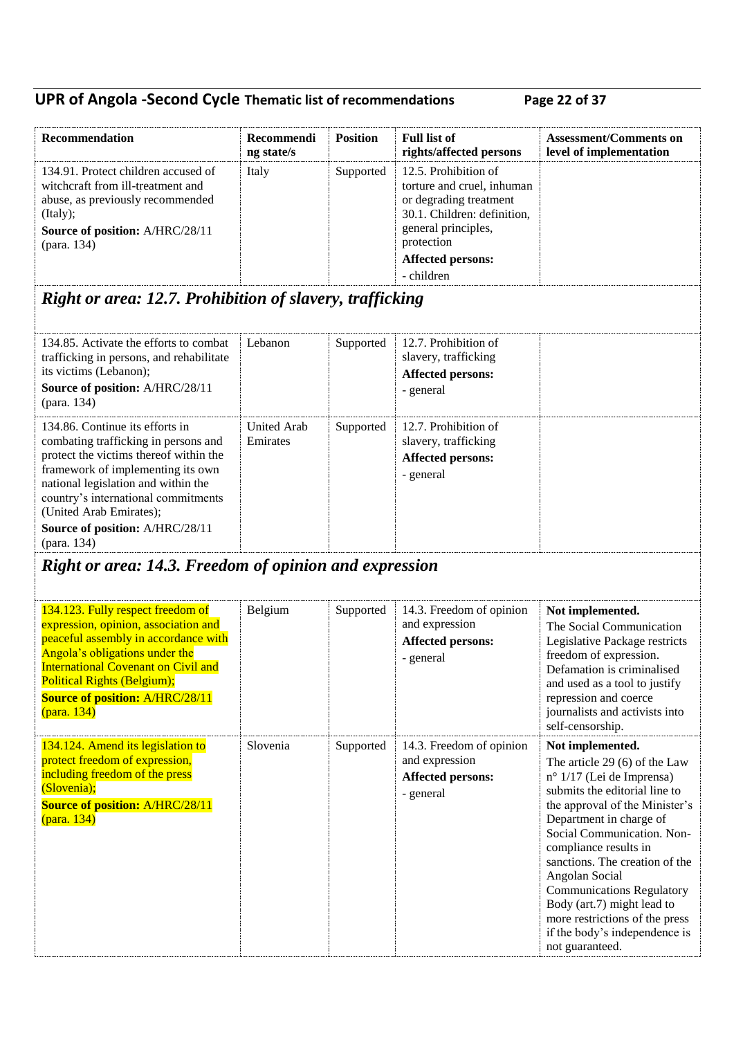## **UPR of Angola -Second Cycle Thematic list of recommendations Page 22 of 37**

| Recommendation                                                                                                                                                                                                                                                                                                    | Recommendi<br>ng state/s       | <b>Position</b> | <b>Full list of</b><br>rights/affected persons                                                                                                                                             | <b>Assessment/Comments on</b><br>level of implementation                                                                                                                                                                                                                                                                                                                                                                                                 |
|-------------------------------------------------------------------------------------------------------------------------------------------------------------------------------------------------------------------------------------------------------------------------------------------------------------------|--------------------------------|-----------------|--------------------------------------------------------------------------------------------------------------------------------------------------------------------------------------------|----------------------------------------------------------------------------------------------------------------------------------------------------------------------------------------------------------------------------------------------------------------------------------------------------------------------------------------------------------------------------------------------------------------------------------------------------------|
| 134.91. Protect children accused of<br>witchcraft from ill-treatment and<br>abuse, as previously recommended<br>(Italy);<br>Source of position: A/HRC/28/11<br>(para. 134)                                                                                                                                        | Italy                          | Supported       | 12.5. Prohibition of<br>torture and cruel, inhuman<br>or degrading treatment<br>30.1. Children: definition,<br>general principles,<br>protection<br><b>Affected persons:</b><br>- children |                                                                                                                                                                                                                                                                                                                                                                                                                                                          |
| Right or area: 12.7. Prohibition of slavery, trafficking                                                                                                                                                                                                                                                          |                                |                 |                                                                                                                                                                                            |                                                                                                                                                                                                                                                                                                                                                                                                                                                          |
| 134.85. Activate the efforts to combat<br>trafficking in persons, and rehabilitate<br>its victims (Lebanon);<br>Source of position: A/HRC/28/11<br>(para. 134)                                                                                                                                                    | Lebanon                        | Supported       | 12.7. Prohibition of<br>slavery, trafficking<br><b>Affected persons:</b><br>- general                                                                                                      |                                                                                                                                                                                                                                                                                                                                                                                                                                                          |
| 134.86. Continue its efforts in<br>combating trafficking in persons and<br>protect the victims thereof within the<br>framework of implementing its own<br>national legislation and within the<br>country's international commitments<br>(United Arab Emirates);<br>Source of position: A/HRC/28/11<br>(para. 134) | <b>United Arab</b><br>Emirates | Supported       | 12.7. Prohibition of<br>slavery, trafficking<br><b>Affected persons:</b><br>- general                                                                                                      |                                                                                                                                                                                                                                                                                                                                                                                                                                                          |
| <b>Right or area: 14.3. Freedom of opinion and expression</b>                                                                                                                                                                                                                                                     |                                |                 |                                                                                                                                                                                            |                                                                                                                                                                                                                                                                                                                                                                                                                                                          |
| 134.123. Fully respect freedom of<br>expression, opinion, association and<br>peaceful assembly in accordance with<br>Angola's obligations under the<br><b>International Covenant on Civil and</b><br><b>Political Rights (Belgium);</b><br><b>Source of position: A/HRC/28/11</b><br>(para. 134)                  | Belgium                        | Supported       | 14.3. Freedom of opinion<br>and expression<br><b>Affected persons:</b><br>- general                                                                                                        | Not implemented.<br>The Social Communication<br>Legislative Package restricts<br>freedom of expression.<br>Defamation is criminalised<br>and used as a tool to justify<br>repression and coerce<br>journalists and activists into<br>self-censorship.                                                                                                                                                                                                    |
| 134.124. Amend its legislation to<br>protect freedom of expression,<br>including freedom of the press<br>(Slovenia);<br><b>Source of position: A/HRC/28/11</b><br>(para. 134)                                                                                                                                     | Slovenia                       | Supported       | 14.3. Freedom of opinion<br>and expression<br><b>Affected persons:</b><br>- general                                                                                                        | Not implemented.<br>The article 29 (6) of the Law<br>$n^{\circ}$ 1/17 (Lei de Imprensa)<br>submits the editorial line to<br>the approval of the Minister's<br>Department in charge of<br>Social Communication. Non-<br>compliance results in<br>sanctions. The creation of the<br>Angolan Social<br><b>Communications Regulatory</b><br>Body (art.7) might lead to<br>more restrictions of the press<br>if the body's independence is<br>not guaranteed. |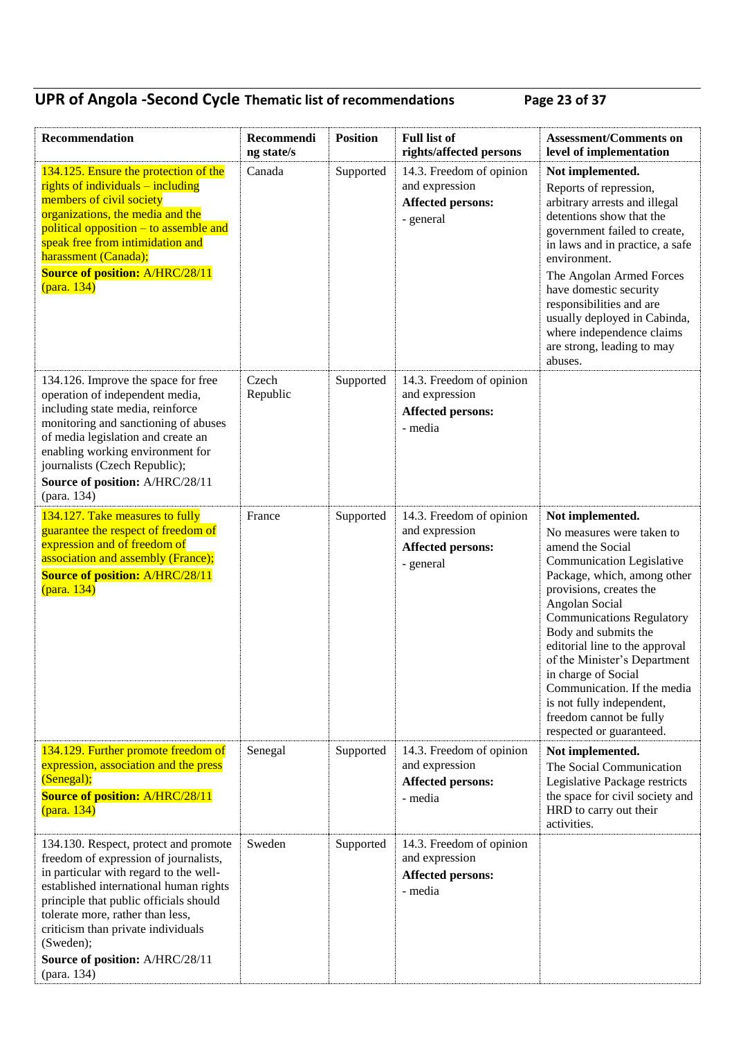## **UPR of Angola -Second Cycle Thematic list of recommendations Page 23 of 37**

| Recommendation                                                                                                                                                                                                                                                                                                                                        | Recommendi<br>ng state/s | <b>Position</b> | <b>Full list of</b><br>rights/affected persons                                      | <b>Assessment/Comments on</b><br>level of implementation                                                                                                                                                                                                                                                                                                                                                                                                  |
|-------------------------------------------------------------------------------------------------------------------------------------------------------------------------------------------------------------------------------------------------------------------------------------------------------------------------------------------------------|--------------------------|-----------------|-------------------------------------------------------------------------------------|-----------------------------------------------------------------------------------------------------------------------------------------------------------------------------------------------------------------------------------------------------------------------------------------------------------------------------------------------------------------------------------------------------------------------------------------------------------|
| 134.125. Ensure the protection of the<br>rights of individuals – including<br>members of civil society<br>organizations, the media and the<br>political opposition – to assemble and<br>speak free from intimidation and<br>harassment (Canada);<br><b>Source of position: A/HRC/28/11</b><br>(para. 134)                                             | Canada                   | Supported       | 14.3. Freedom of opinion<br>and expression<br><b>Affected persons:</b><br>- general | Not implemented.<br>Reports of repression,<br>arbitrary arrests and illegal<br>detentions show that the<br>government failed to create,<br>in laws and in practice, a safe<br>environment.<br>The Angolan Armed Forces<br>have domestic security<br>responsibilities and are<br>usually deployed in Cabinda,<br>where independence claims<br>are strong, leading to may<br>abuses.                                                                        |
| 134.126. Improve the space for free<br>operation of independent media,<br>including state media, reinforce<br>monitoring and sanctioning of abuses<br>of media legislation and create an<br>enabling working environment for<br>journalists (Czech Republic);<br>Source of position: A/HRC/28/11<br>(para. 134)                                       | Czech<br>Republic        | Supported       | 14.3. Freedom of opinion<br>and expression<br><b>Affected persons:</b><br>- media   |                                                                                                                                                                                                                                                                                                                                                                                                                                                           |
| 134.127. Take measures to fully<br>guarantee the respect of freedom of<br>expression and of freedom of<br>association and assembly (France);<br><b>Source of position: A/HRC/28/11</b><br>(para. 134)                                                                                                                                                 | France                   | Supported       | 14.3. Freedom of opinion<br>and expression<br><b>Affected persons:</b><br>- general | Not implemented.<br>No measures were taken to<br>amend the Social<br><b>Communication Legislative</b><br>Package, which, among other<br>provisions, creates the<br>Angolan Social<br><b>Communications Regulatory</b><br>Body and submits the<br>editorial line to the approval<br>of the Minister's Department<br>in charge of Social<br>Communication. If the media<br>is not fully independent,<br>freedom cannot be fully<br>respected or guaranteed. |
| 134.129. Further promote freedom of<br>expression, association and the press<br>(Senegal);<br><b>Source of position: A/HRC/28/11</b><br>(para. 134)                                                                                                                                                                                                   | Senegal                  | Supported       | 14.3. Freedom of opinion<br>and expression<br><b>Affected persons:</b><br>- media   | Not implemented.<br>The Social Communication<br>Legislative Package restricts<br>the space for civil society and<br>HRD to carry out their<br>activities.                                                                                                                                                                                                                                                                                                 |
| 134.130. Respect, protect and promote<br>freedom of expression of journalists,<br>in particular with regard to the well-<br>established international human rights<br>principle that public officials should<br>tolerate more, rather than less,<br>criticism than private individuals<br>(Sweden);<br>Source of position: A/HRC/28/11<br>(para. 134) | Sweden                   | Supported       | 14.3. Freedom of opinion<br>and expression<br><b>Affected persons:</b><br>- media   |                                                                                                                                                                                                                                                                                                                                                                                                                                                           |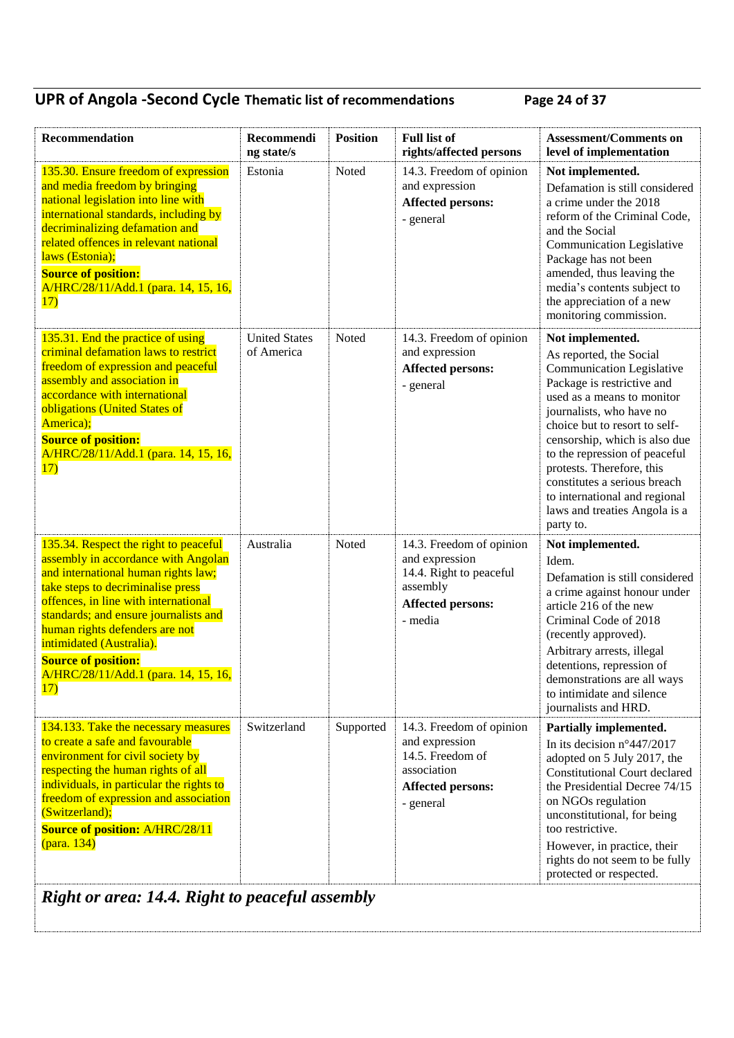### **UPR of Angola -Second Cycle Thematic list of recommendations Page 24 of 37**

| Recommendation                                                                                                                                                                                                                                                                                                                                                                       | Recommendi<br>ng state/s           | <b>Position</b> | <b>Full list of</b><br>rights/affected persons                                                                           | <b>Assessment/Comments on</b><br>level of implementation                                                                                                                                                                                                                                                                                                                                                               |
|--------------------------------------------------------------------------------------------------------------------------------------------------------------------------------------------------------------------------------------------------------------------------------------------------------------------------------------------------------------------------------------|------------------------------------|-----------------|--------------------------------------------------------------------------------------------------------------------------|------------------------------------------------------------------------------------------------------------------------------------------------------------------------------------------------------------------------------------------------------------------------------------------------------------------------------------------------------------------------------------------------------------------------|
| 135.30. Ensure freedom of expression<br>and media freedom by bringing<br>national legislation into line with<br>international standards, including by<br>decriminalizing defamation and<br>related offences in relevant national<br>laws (Estonia);<br><b>Source of position:</b><br>A/HRC/28/11/Add.1 (para. 14, 15, 16,<br>17)                                                     | Estonia                            | Noted           | 14.3. Freedom of opinion<br>and expression<br><b>Affected persons:</b><br>- general                                      | Not implemented.<br>Defamation is still considered<br>a crime under the 2018<br>reform of the Criminal Code,<br>and the Social<br>Communication Legislative<br>Package has not been<br>amended, thus leaving the<br>media's contents subject to<br>the appreciation of a new<br>monitoring commission.                                                                                                                 |
| 135.31. End the practice of using<br>criminal defamation laws to restrict<br>freedom of expression and peaceful<br>assembly and association in<br>accordance with international<br>obligations (United States of<br>America);<br><b>Source of position:</b><br>A/HRC/28/11/Add.1 (para. 14, 15, 16,<br>17)                                                                           | <b>United States</b><br>of America | Noted           | 14.3. Freedom of opinion<br>and expression<br><b>Affected persons:</b><br>- general                                      | Not implemented.<br>As reported, the Social<br><b>Communication Legislative</b><br>Package is restrictive and<br>used as a means to monitor<br>journalists, who have no<br>choice but to resort to self-<br>censorship, which is also due<br>to the repression of peaceful<br>protests. Therefore, this<br>constitutes a serious breach<br>to international and regional<br>laws and treaties Angola is a<br>party to. |
| 135.34. Respect the right to peaceful<br>assembly in accordance with Angolan<br>and international human rights law;<br>take steps to decriminalise press<br>offences, in line with international<br>standards; and ensure journalists and<br>human rights defenders are not<br>intimidated (Australia).<br><b>Source of position:</b><br>A/HRC/28/11/Add.1 (para. 14, 15, 16,<br>17) | Australia                          | Noted           | 14.3. Freedom of opinion<br>and expression<br>14.4. Right to peaceful<br>assembly<br><b>Affected persons:</b><br>- media | Not implemented.<br>Idem.<br>Defamation is still considered<br>a crime against honour under<br>article 216 of the new<br>Criminal Code of 2018<br>(recently approved).<br>Arbitrary arrests, illegal<br>detentions, repression of<br>demonstrations are all ways<br>to intimidate and silence<br>journalists and HRD.                                                                                                  |
| 134.133. Take the necessary measures<br>to create a safe and favourable<br>environment for civil society by<br>respecting the human rights of all<br>individuals, in particular the rights to<br>freedom of expression and association<br>(Switzerland);<br><b>Source of position: A/HRC/28/11</b><br>(para. 134)                                                                    | Switzerland                        | Supported       | 14.3. Freedom of opinion<br>and expression<br>14.5. Freedom of<br>association<br><b>Affected persons:</b><br>- general   | Partially implemented.<br>In its decision $n^{\circ}447/2017$<br>adopted on 5 July 2017, the<br><b>Constitutional Court declared</b><br>the Presidential Decree 74/15<br>on NGOs regulation<br>unconstitutional, for being<br>too restrictive.<br>However, in practice, their<br>rights do not seem to be fully<br>protected or respected.                                                                             |

*Right or area: 14.4. Right to peaceful assembly*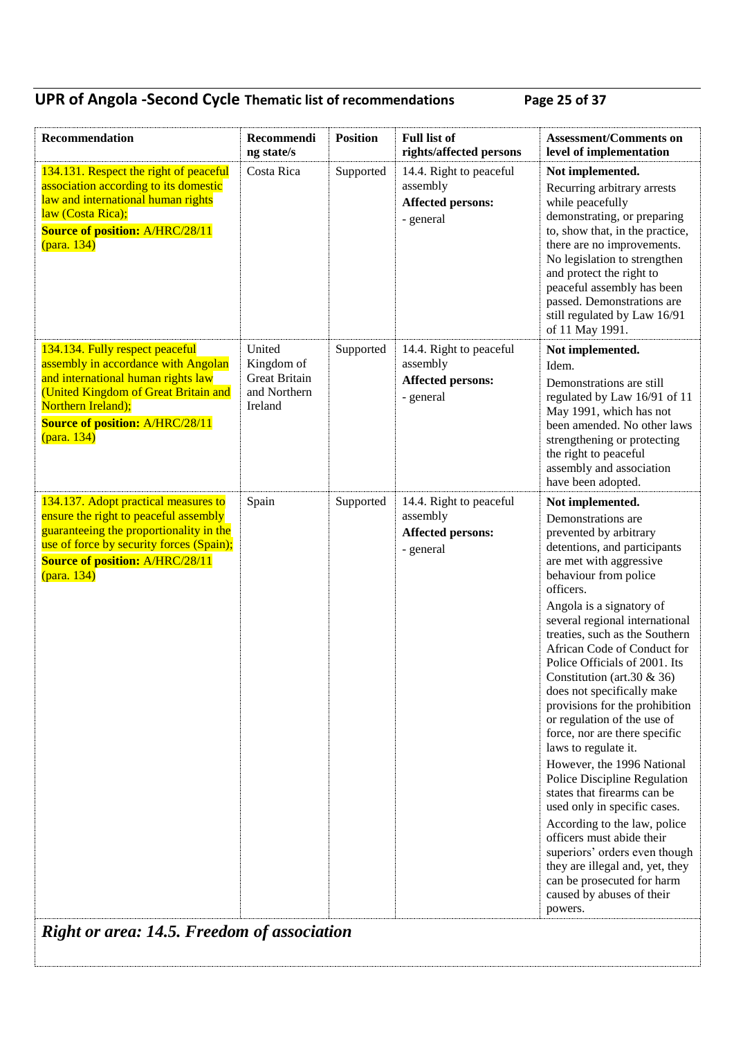## **UPR of Angola -Second Cycle Thematic list of recommendations Page 25 of 37**

| Recommendation                                                                                                                                                                                                                      | Recommendi<br>ng state/s                                                | <b>Position</b> | <b>Full list of</b><br>rights/affected persons                               | <b>Assessment/Comments on</b><br>level of implementation                                                                                                                                                                                                                                                                                                                                                                                                                                                                                                                                                                                                                                                                                                                                                                                                      |  |
|-------------------------------------------------------------------------------------------------------------------------------------------------------------------------------------------------------------------------------------|-------------------------------------------------------------------------|-----------------|------------------------------------------------------------------------------|---------------------------------------------------------------------------------------------------------------------------------------------------------------------------------------------------------------------------------------------------------------------------------------------------------------------------------------------------------------------------------------------------------------------------------------------------------------------------------------------------------------------------------------------------------------------------------------------------------------------------------------------------------------------------------------------------------------------------------------------------------------------------------------------------------------------------------------------------------------|--|
| 134.131. Respect the right of peaceful<br>association according to its domestic<br>law and international human rights<br>law (Costa Rica);<br><b>Source of position: A/HRC/28/11</b><br>(para. 134)                                 | Costa Rica                                                              | Supported       | 14.4. Right to peaceful<br>assembly<br><b>Affected persons:</b><br>- general | Not implemented.<br>Recurring arbitrary arrests<br>while peacefully<br>demonstrating, or preparing<br>to, show that, in the practice,<br>there are no improvements.<br>No legislation to strengthen<br>and protect the right to<br>peaceful assembly has been<br>passed. Demonstrations are<br>still regulated by Law 16/91<br>of 11 May 1991.                                                                                                                                                                                                                                                                                                                                                                                                                                                                                                                |  |
| 134.134. Fully respect peaceful<br>assembly in accordance with Angolan<br>and international human rights law<br>(United Kingdom of Great Britain and<br>Northern Ireland);<br><b>Source of position: A/HRC/28/11</b><br>(para. 134) | United<br>Kingdom of<br><b>Great Britain</b><br>and Northern<br>Ireland | Supported       | 14.4. Right to peaceful<br>assembly<br><b>Affected persons:</b><br>- general | Not implemented.<br>Idem.<br>Demonstrations are still<br>regulated by Law 16/91 of 11<br>May 1991, which has not<br>been amended. No other laws<br>strengthening or protecting<br>the right to peaceful<br>assembly and association<br>have been adopted.                                                                                                                                                                                                                                                                                                                                                                                                                                                                                                                                                                                                     |  |
| 134.137. Adopt practical measures to<br>ensure the right to peaceful assembly<br>guaranteeing the proportionality in the<br>use of force by security forces (Spain);<br><b>Source of position: A/HRC/28/11</b><br>(para. 134)       | Spain                                                                   | Supported       | 14.4. Right to peaceful<br>assembly<br><b>Affected persons:</b><br>- general | Not implemented.<br>Demonstrations are<br>prevented by arbitrary<br>detentions, and participants<br>are met with aggressive<br>behaviour from police<br>officers.<br>Angola is a signatory of<br>several regional international<br>treaties, such as the Southern<br>African Code of Conduct for<br>Police Officials of 2001. Its<br>Constitution (art.30 $&$ 36)<br>does not specifically make<br>provisions for the prohibition<br>or regulation of the use of<br>force, nor are there specific<br>laws to regulate it.<br>However, the 1996 National<br>Police Discipline Regulation<br>states that firearms can be<br>used only in specific cases.<br>According to the law, police<br>officers must abide their<br>superiors' orders even though<br>they are illegal and, yet, they<br>can be prosecuted for harm<br>caused by abuses of their<br>powers. |  |
| <b>Right or area: 14.5. Freedom of association</b>                                                                                                                                                                                  |                                                                         |                 |                                                                              |                                                                                                                                                                                                                                                                                                                                                                                                                                                                                                                                                                                                                                                                                                                                                                                                                                                               |  |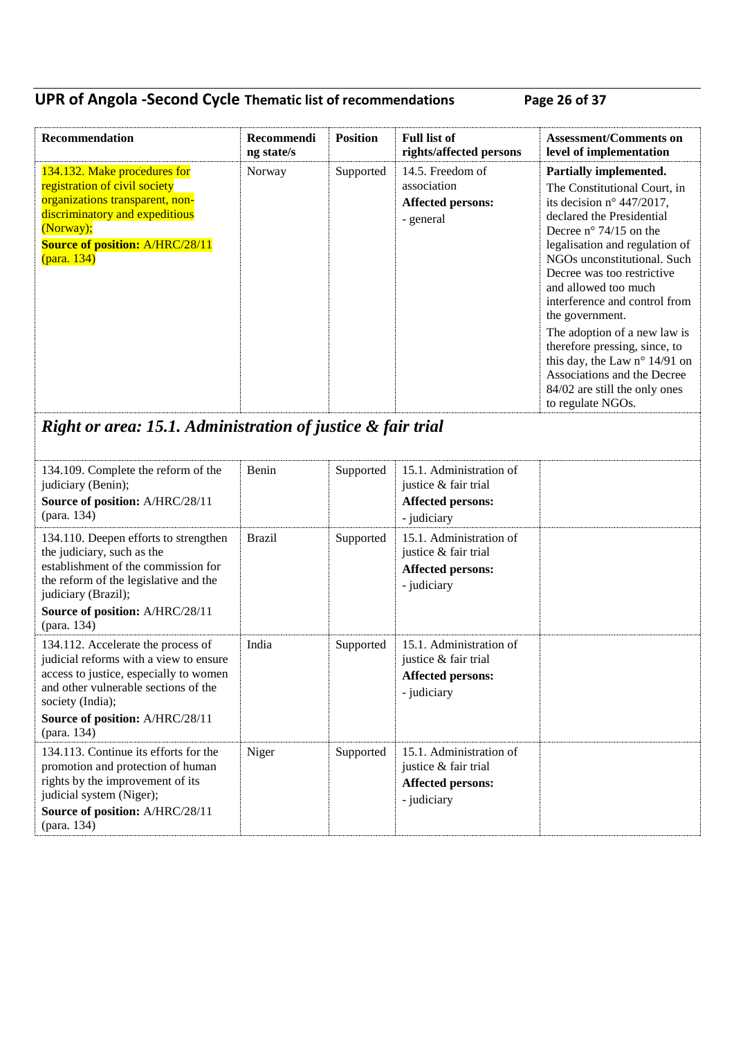### **UPR of Angola -Second Cycle Thematic list of recommendations Page 26 of 37**

| Recommendation                                                                                                                                                                                           | Recommendi<br>ng state/s | <b>Position</b> | <b>Full list of</b><br>rights/affected persons                           | <b>Assessment/Comments on</b><br>level of implementation                                                                                                                                                                                                                                                                                                                                                                                                                                                                       |
|----------------------------------------------------------------------------------------------------------------------------------------------------------------------------------------------------------|--------------------------|-----------------|--------------------------------------------------------------------------|--------------------------------------------------------------------------------------------------------------------------------------------------------------------------------------------------------------------------------------------------------------------------------------------------------------------------------------------------------------------------------------------------------------------------------------------------------------------------------------------------------------------------------|
| 134.132. Make procedures for<br>registration of civil society<br>organizations transparent, non-<br>discriminatory and expeditious<br>(Norway);<br><b>Source of position: A/HRC/28/11</b><br>(para. 134) | Norway                   | Supported       | 14.5. Freedom of<br>association<br><b>Affected persons:</b><br>- general | Partially implemented.<br>The Constitutional Court, in<br>its decision $n^{\circ}$ 447/2017,<br>declared the Presidential<br>Decree $n^{\circ}$ 74/15 on the<br>legalisation and regulation of<br>NGOs unconstitutional. Such<br>Decree was too restrictive<br>and allowed too much<br>interference and control from<br>the government.<br>The adoption of a new law is<br>therefore pressing, since, to<br>this day, the Law n° 14/91 on<br>Associations and the Decree<br>84/02 are still the only ones<br>to regulate NGOs. |

# *Right or area: 15.1. Administration of justice & fair trial*

| 134.109. Complete the reform of the<br>judiciary (Benin);<br>Source of position: A/HRC/28/11<br>(para. 134)                                                                                  | Benin         | Supported | 15.1. Administration of<br>justice & fair trial<br><b>Affected persons:</b><br>- judiciary |  |
|----------------------------------------------------------------------------------------------------------------------------------------------------------------------------------------------|---------------|-----------|--------------------------------------------------------------------------------------------|--|
| 134.110. Deepen efforts to strengthen<br>the judiciary, such as the<br>establishment of the commission for<br>the reform of the legislative and the<br>judiciary (Brazil);                   | <b>Brazil</b> | Supported | 15.1. Administration of<br>justice & fair trial<br><b>Affected persons:</b><br>- judiciary |  |
| Source of position: A/HRC/28/11<br>(para. 134)                                                                                                                                               |               |           |                                                                                            |  |
| 134.112. Accelerate the process of<br>judicial reforms with a view to ensure<br>access to justice, especially to women<br>and other vulnerable sections of the<br>society (India);           | India         | Supported | 15.1. Administration of<br>justice & fair trial<br><b>Affected persons:</b><br>- judiciary |  |
| Source of position: A/HRC/28/11<br>(para. 134)                                                                                                                                               |               |           |                                                                                            |  |
| 134.113. Continue its efforts for the<br>promotion and protection of human<br>rights by the improvement of its<br>judicial system (Niger);<br>Source of position: A/HRC/28/11<br>(para. 134) | Niger         | Supported | 15.1. Administration of<br>justice & fair trial<br><b>Affected persons:</b><br>- judiciary |  |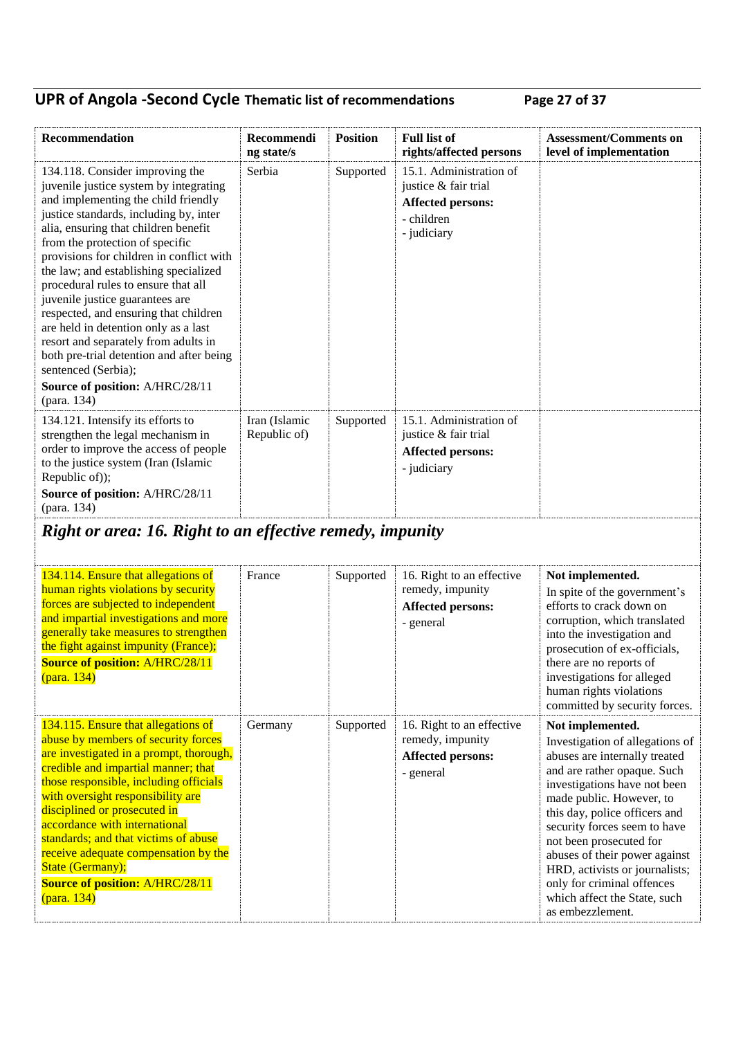## **UPR of Angola -Second Cycle Thematic list of recommendations Page 27 of 37**

| Recommendation                                                                                                                                                                                                                                                                                                                                                                                                                                                                                                                                                                                                                                     | Recommendi<br>ng state/s      | <b>Position</b> | <b>Full list of</b><br>rights/affected persons                                                           | <b>Assessment/Comments on</b><br>level of implementation                                                                                                                                                                                                                                                                                                                                                                         |
|----------------------------------------------------------------------------------------------------------------------------------------------------------------------------------------------------------------------------------------------------------------------------------------------------------------------------------------------------------------------------------------------------------------------------------------------------------------------------------------------------------------------------------------------------------------------------------------------------------------------------------------------------|-------------------------------|-----------------|----------------------------------------------------------------------------------------------------------|----------------------------------------------------------------------------------------------------------------------------------------------------------------------------------------------------------------------------------------------------------------------------------------------------------------------------------------------------------------------------------------------------------------------------------|
| 134.118. Consider improving the<br>juvenile justice system by integrating<br>and implementing the child friendly<br>justice standards, including by, inter<br>alia, ensuring that children benefit<br>from the protection of specific<br>provisions for children in conflict with<br>the law; and establishing specialized<br>procedural rules to ensure that all<br>juvenile justice guarantees are<br>respected, and ensuring that children<br>are held in detention only as a last<br>resort and separately from adults in<br>both pre-trial detention and after being<br>sentenced (Serbia);<br>Source of position: A/HRC/28/11<br>(para. 134) | Serbia                        | Supported       | 15.1. Administration of<br>justice & fair trial<br><b>Affected persons:</b><br>- children<br>- judiciary |                                                                                                                                                                                                                                                                                                                                                                                                                                  |
| 134.121. Intensify its efforts to<br>strengthen the legal mechanism in<br>order to improve the access of people<br>to the justice system (Iran (Islamic<br>Republic of));<br>Source of position: A/HRC/28/11<br>(para. 134)                                                                                                                                                                                                                                                                                                                                                                                                                        | Iran (Islamic<br>Republic of) | Supported       | 15.1. Administration of<br>justice & fair trial<br><b>Affected persons:</b><br>- judiciary               |                                                                                                                                                                                                                                                                                                                                                                                                                                  |
| Right or area: 16. Right to an effective remedy, impunity                                                                                                                                                                                                                                                                                                                                                                                                                                                                                                                                                                                          |                               |                 |                                                                                                          |                                                                                                                                                                                                                                                                                                                                                                                                                                  |
| 134.114. Ensure that allegations of<br>human rights violations by security<br>forces are subjected to independent<br>and impartial investigations and more<br>generally take measures to strengthen<br>the fight against impunity (France);<br><b>Source of position: A/HRC/28/11</b><br>(para. 134)                                                                                                                                                                                                                                                                                                                                               | France                        | Supported       | 16. Right to an effective<br>remedy, impunity<br><b>Affected persons:</b><br>- general                   | Not implemented.<br>In spite of the government's<br>efforts to crack down on<br>corruption, which translated<br>into the investigation and<br>prosecution of ex-officials,<br>there are no reports of<br>investigations for alleged<br>human rights violations<br>committed by security forces.                                                                                                                                  |
| 134.115. Ensure that allegations of<br>abuse by members of security forces<br>are investigated in a prompt, thorough,<br>credible and impartial manner; that<br>those responsible, including officials<br>with oversight responsibility are<br>disciplined or prosecuted in<br>accordance with international<br>standards; and that victims of abuse<br>receive adequate compensation by the<br>State (Germany);<br><b>Source of position: A/HRC/28/11</b><br>(para. 134)                                                                                                                                                                          | Germany                       | Supported       | 16. Right to an effective<br>remedy, impunity<br><b>Affected persons:</b><br>- general                   | Not implemented.<br>Investigation of allegations of<br>abuses are internally treated<br>and are rather opaque. Such<br>investigations have not been<br>made public. However, to<br>this day, police officers and<br>security forces seem to have<br>not been prosecuted for<br>abuses of their power against<br>HRD, activists or journalists;<br>only for criminal offences<br>which affect the State, such<br>as embezzlement. |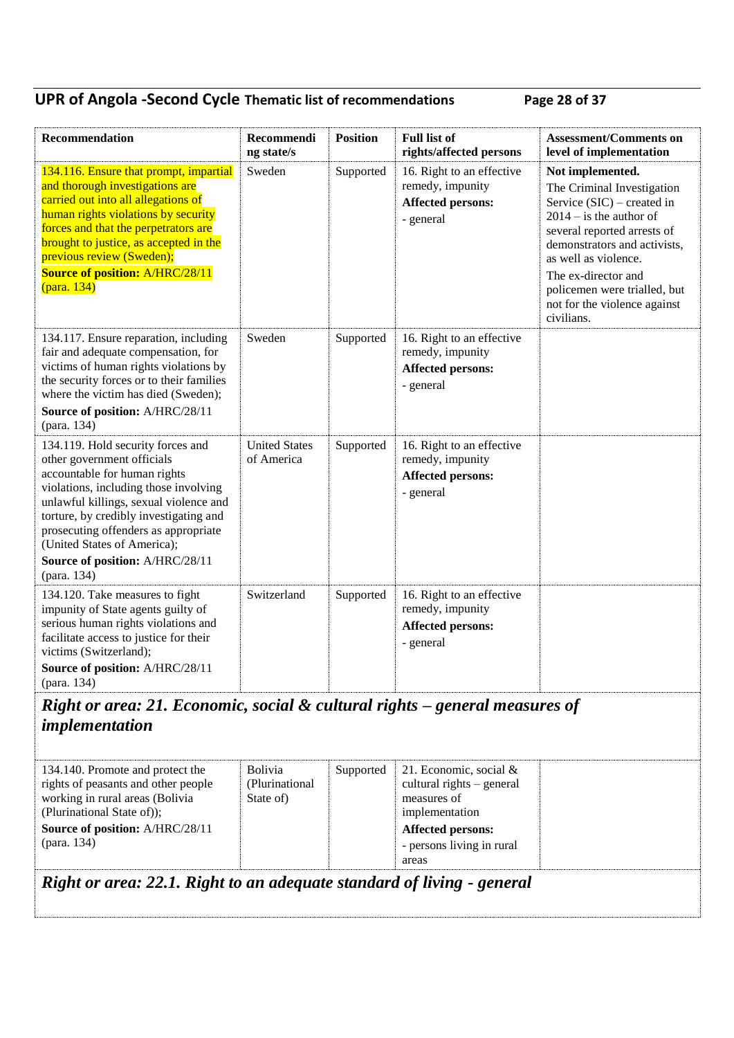## **UPR of Angola -Second Cycle Thematic list of recommendations Page 28 of 37**

| Recommendation                                                                                                                                                                                                                                                                                                                                        | Recommendi<br>ng state/s           | <b>Position</b> | <b>Full list of</b><br>rights/affected persons                                  | <b>Assessment/Comments on</b><br>level of implementation                                                                                                                                                                                                                                                |
|-------------------------------------------------------------------------------------------------------------------------------------------------------------------------------------------------------------------------------------------------------------------------------------------------------------------------------------------------------|------------------------------------|-----------------|---------------------------------------------------------------------------------|---------------------------------------------------------------------------------------------------------------------------------------------------------------------------------------------------------------------------------------------------------------------------------------------------------|
| 134.116. Ensure that prompt, impartial<br>and thorough investigations are<br>carried out into all allegations of<br>human rights violations by security<br>forces and that the perpetrators are<br>brought to justice, as accepted in the<br>previous review (Sweden);<br><b>Source of position: A/HRC/28/11</b><br>(para. 134)                       | Sweden                             | Supported       | 16. Right to an effective<br>remedy, impunity<br>Affected persons:<br>- general | Not implemented.<br>The Criminal Investigation<br>Service $(SIC)$ – created in<br>$2014 -$ is the author of<br>several reported arrests of<br>demonstrators and activists,<br>as well as violence.<br>The ex-director and<br>policemen were trialled, but<br>not for the violence against<br>civilians. |
| 134.117. Ensure reparation, including<br>fair and adequate compensation, for<br>victims of human rights violations by<br>the security forces or to their families<br>where the victim has died (Sweden);<br>Source of position: A/HRC/28/11<br>(para. 134)                                                                                            | Sweden                             | Supported       | 16. Right to an effective<br>remedy, impunity<br>Affected persons:<br>- general |                                                                                                                                                                                                                                                                                                         |
| 134.119. Hold security forces and<br>other government officials<br>accountable for human rights<br>violations, including those involving<br>unlawful killings, sexual violence and<br>torture, by credibly investigating and<br>prosecuting offenders as appropriate<br>(United States of America);<br>Source of position: A/HRC/28/11<br>(para. 134) | <b>United States</b><br>of America | Supported       | 16. Right to an effective<br>remedy, impunity<br>Affected persons:<br>- general |                                                                                                                                                                                                                                                                                                         |
| 134.120. Take measures to fight<br>impunity of State agents guilty of<br>serious human rights violations and<br>facilitate access to justice for their<br>victims (Switzerland);<br>Source of position: A/HRC/28/11<br>(para. 134)                                                                                                                    | Switzerland                        | Supported       | 16. Right to an effective<br>remedy, impunity<br>Affected persons:<br>- general |                                                                                                                                                                                                                                                                                                         |
| Right or area: 21. Economic, social & cultural rights – general measures of<br>implementation                                                                                                                                                                                                                                                         |                                    |                 |                                                                                 |                                                                                                                                                                                                                                                                                                         |

| 134.140. Promote and protect the    | <b>Bolivia</b>  | Supported | 21. Economic, social $\&$   |  |
|-------------------------------------|-----------------|-----------|-----------------------------|--|
| rights of peasants and other people | (Plurinational) |           | cultural rights $-$ general |  |
| working in rural areas (Bolivia     | State of)       |           | measures of                 |  |
| (Plurinational State of));          |                 |           | implementation              |  |
| Source of position: A/HRC/28/11     |                 |           | <b>Affected persons:</b>    |  |
| (para. 134)                         |                 |           | - persons living in rural   |  |
|                                     |                 |           | areas                       |  |
|                                     |                 |           |                             |  |

### *Right or area: 22.1. Right to an adequate standard of living - general*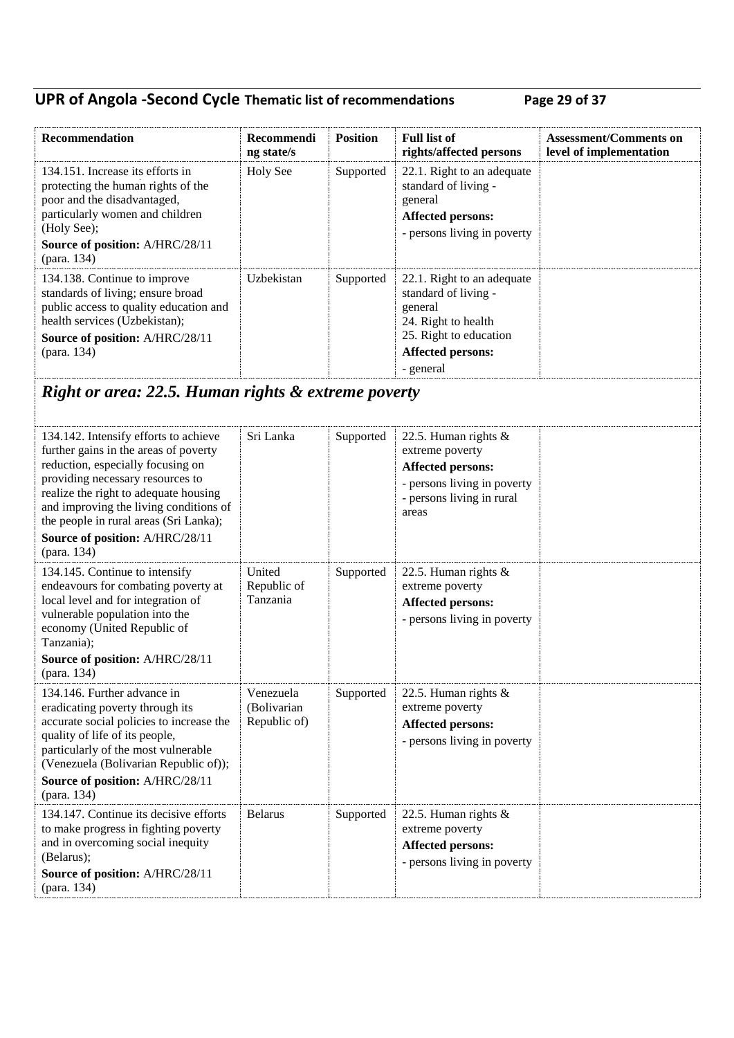## **UPR of Angola -Second Cycle Thematic list of recommendations Page 29 of 37**

| Recommendation                                                                                                                                                                                                   | <b>Recommendi</b><br>ng state/s | <b>Position</b> | <b>Full list of</b><br>rights/affected persons                                                                                                          | <b>Assessment/Comments on</b><br>level of implementation |  |
|------------------------------------------------------------------------------------------------------------------------------------------------------------------------------------------------------------------|---------------------------------|-----------------|---------------------------------------------------------------------------------------------------------------------------------------------------------|----------------------------------------------------------|--|
| 134.151. Increase its efforts in<br>protecting the human rights of the<br>poor and the disadvantaged,<br>particularly women and children<br>(Holy See);<br><b>Source of position: A/HRC/28/11</b><br>(para. 134) | <b>Holy See</b>                 | Supported       | 22.1. Right to an adequate<br>standard of living -<br>general<br><b>Affected persons:</b><br>- persons living in poverty                                |                                                          |  |
| 134.138. Continue to improve<br>standards of living; ensure broad<br>public access to quality education and<br>health services (Uzbekistan);<br>Source of position: A/HRC/28/11<br>(para. 134)                   | Uzbekistan                      | Supported       | 22.1. Right to an adequate<br>standard of living -<br>general<br>24. Right to health<br>25. Right to education<br><b>Affected persons:</b><br>- general |                                                          |  |
| Right or area: 22.5. Human rights & extreme poverty                                                                                                                                                              |                                 |                 |                                                                                                                                                         |                                                          |  |

| 134.142. Intensify efforts to achieve<br>further gains in the areas of poverty<br>reduction, especially focusing on<br>providing necessary resources to<br>realize the right to adequate housing<br>and improving the living conditions of<br>the people in rural areas (Sri Lanka);<br>Source of position: A/HRC/28/11<br>(para. 134) | Sri Lanka                                | Supported | 22.5. Human rights $\&$<br>extreme poverty<br><b>Affected persons:</b><br>- persons living in poverty<br>- persons living in rural<br>areas |  |
|----------------------------------------------------------------------------------------------------------------------------------------------------------------------------------------------------------------------------------------------------------------------------------------------------------------------------------------|------------------------------------------|-----------|---------------------------------------------------------------------------------------------------------------------------------------------|--|
| 134.145. Continue to intensify<br>endeavours for combating poverty at<br>local level and for integration of<br>vulnerable population into the<br>economy (United Republic of<br>Tanzania);<br>Source of position: A/HRC/28/11<br>(para. 134)                                                                                           | United<br>Republic of<br>Tanzania        | Supported | 22.5. Human rights $\&$<br>extreme poverty<br><b>Affected persons:</b><br>- persons living in poverty                                       |  |
| 134.146. Further advance in<br>eradicating poverty through its<br>accurate social policies to increase the<br>quality of life of its people,<br>particularly of the most vulnerable<br>(Venezuela (Bolivarian Republic of));<br>Source of position: A/HRC/28/11<br>(para. 134)                                                         | Venezuela<br>(Bolivarian<br>Republic of) | Supported | 22.5. Human rights $\&$<br>extreme poverty<br><b>Affected persons:</b><br>- persons living in poverty                                       |  |
| 134.147. Continue its decisive efforts<br>to make progress in fighting poverty<br>and in overcoming social inequity<br>(Belarus);<br>Source of position: A/HRC/28/11<br>(para. 134)                                                                                                                                                    | <b>Belarus</b>                           | Supported | 22.5. Human rights $\&$<br>extreme poverty<br><b>Affected persons:</b><br>- persons living in poverty                                       |  |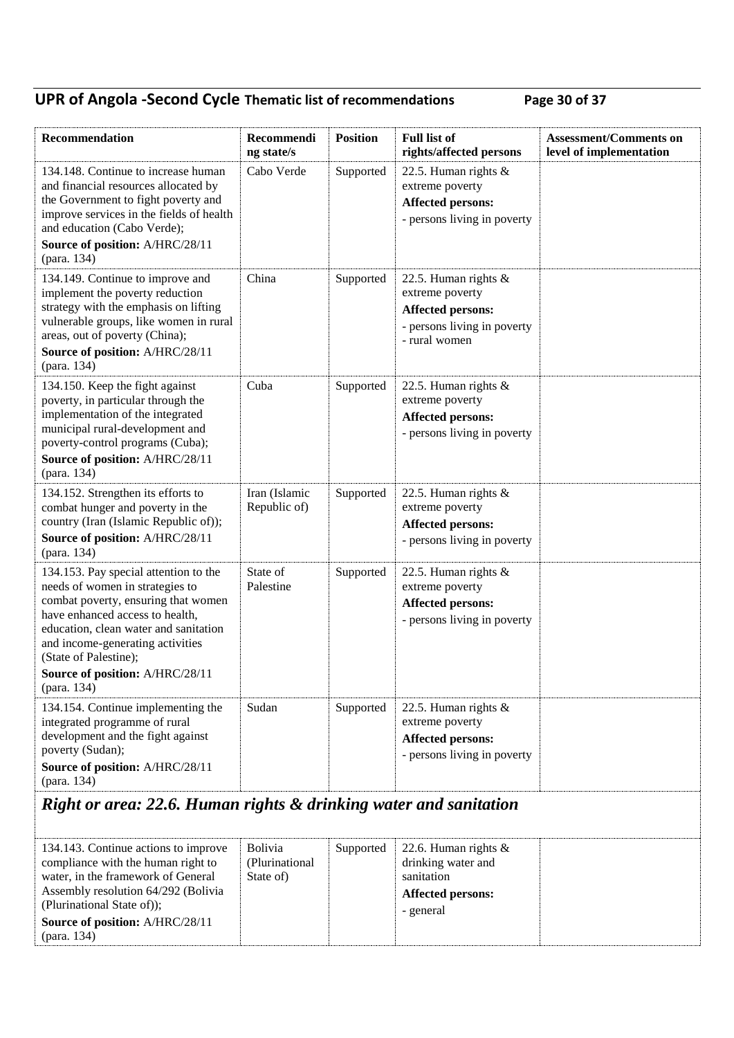## **UPR of Angola -Second Cycle Thematic list of recommendations Page 30 of 37**

| Recommendation                                                                                                                                                                                                                                                                              | Recommendi<br>ng state/s      | <b>Position</b> | <b>Full list of</b><br>rights/affected persons                                                                      | <b>Assessment/Comments on</b><br>level of implementation |  |
|---------------------------------------------------------------------------------------------------------------------------------------------------------------------------------------------------------------------------------------------------------------------------------------------|-------------------------------|-----------------|---------------------------------------------------------------------------------------------------------------------|----------------------------------------------------------|--|
| 134.148. Continue to increase human<br>and financial resources allocated by<br>the Government to fight poverty and<br>improve services in the fields of health<br>and education (Cabo Verde);<br>Source of position: A/HRC/28/11<br>(para. 134)                                             | Cabo Verde                    | Supported       | 22.5. Human rights $\&$<br>extreme poverty<br><b>Affected persons:</b><br>- persons living in poverty               |                                                          |  |
| 134.149. Continue to improve and<br>implement the poverty reduction<br>strategy with the emphasis on lifting<br>vulnerable groups, like women in rural<br>areas, out of poverty (China);<br>Source of position: A/HRC/28/11<br>(para. 134)                                                  | China                         | Supported       | 22.5. Human rights &<br>extreme poverty<br><b>Affected persons:</b><br>- persons living in poverty<br>- rural women |                                                          |  |
| 134.150. Keep the fight against<br>poverty, in particular through the<br>implementation of the integrated<br>municipal rural-development and<br>poverty-control programs (Cuba);<br>Source of position: A/HRC/28/11<br>(para. 134)                                                          | Cuba                          | Supported       | 22.5. Human rights &<br>extreme poverty<br><b>Affected persons:</b><br>- persons living in poverty                  |                                                          |  |
| 134.152. Strengthen its efforts to<br>combat hunger and poverty in the<br>country (Iran (Islamic Republic of));<br>Source of position: A/HRC/28/11<br>(para. 134)                                                                                                                           | Iran (Islamic<br>Republic of) | Supported       | 22.5. Human rights $\&$<br>extreme poverty<br><b>Affected persons:</b><br>- persons living in poverty               |                                                          |  |
| 134.153. Pay special attention to the<br>needs of women in strategies to<br>combat poverty, ensuring that women<br>have enhanced access to health,<br>education, clean water and sanitation<br>and income-generating activities<br>(State of Palestine);<br>Source of position: A/HRC/28/11 | State of<br>Palestine         | Supported       | 22.5. Human rights &<br>extreme poverty<br><b>Affected persons:</b><br>- persons living in poverty                  |                                                          |  |
| (para. 134)                                                                                                                                                                                                                                                                                 |                               |                 |                                                                                                                     |                                                          |  |
| 134.154. Continue implementing the<br>integrated programme of rural<br>development and the fight against<br>poverty (Sudan);<br>Source of position: A/HRC/28/11<br>(para. 134)                                                                                                              | Sudan                         | Supported       | 22.5. Human rights $\&$<br>extreme poverty<br><b>Affected persons:</b><br>- persons living in poverty               |                                                          |  |
| Right or area: 22.6. Human rights & drinking water and sanitation                                                                                                                                                                                                                           |                               |                 |                                                                                                                     |                                                          |  |

| 134.143. Continue actions to improve | <b>Bolivia</b>  | Supported | 22.6. Human rights $\&$  |
|--------------------------------------|-----------------|-----------|--------------------------|
| compliance with the human right to   | (Plurinational) |           | drinking water and       |
| water, in the framework of General   | State of)       |           | sanitation               |
| Assembly resolution 64/292 (Bolivia  |                 |           | <b>Affected persons:</b> |
| (Plurinational State of));           |                 |           | - general                |
| Source of position: A/HRC/28/11      |                 |           |                          |
| (para. 134)                          |                 |           |                          |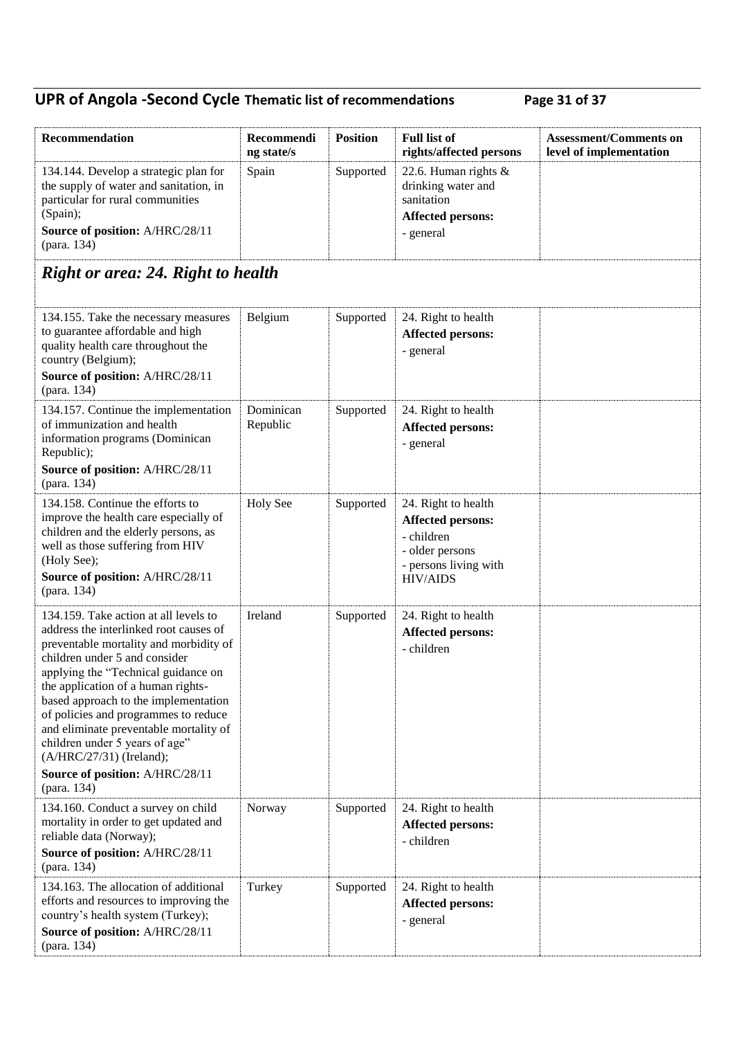## **UPR of Angola -Second Cycle Thematic list of recommendations Page 31 of 37**

| Recommendation                                                                                                                                                                                                                                                                                                                                                                                                                  | Recommendi<br>ng state/s | <b>Position</b> | <b>Full list of</b><br>rights/affected persons                                                                               | <b>Assessment/Comments on</b><br>level of implementation |
|---------------------------------------------------------------------------------------------------------------------------------------------------------------------------------------------------------------------------------------------------------------------------------------------------------------------------------------------------------------------------------------------------------------------------------|--------------------------|-----------------|------------------------------------------------------------------------------------------------------------------------------|----------------------------------------------------------|
| 134.144. Develop a strategic plan for<br>the supply of water and sanitation, in<br>particular for rural communities<br>(Spain);<br>Source of position: A/HRC/28/11<br>(para. 134)                                                                                                                                                                                                                                               | Spain                    | Supported       | 22.6. Human rights $\&$<br>drinking water and<br>sanitation<br><b>Affected persons:</b><br>- general                         |                                                          |
| <b>Right or area: 24. Right to health</b>                                                                                                                                                                                                                                                                                                                                                                                       |                          |                 |                                                                                                                              |                                                          |
| 134.155. Take the necessary measures<br>to guarantee affordable and high<br>quality health care throughout the<br>country (Belgium);<br>Source of position: A/HRC/28/11<br>(para. 134)                                                                                                                                                                                                                                          | Belgium                  | Supported       | 24. Right to health<br><b>Affected persons:</b><br>- general                                                                 |                                                          |
| 134.157. Continue the implementation<br>of immunization and health<br>information programs (Dominican<br>Republic);<br>Source of position: A/HRC/28/11<br>(para. 134)                                                                                                                                                                                                                                                           | Dominican<br>Republic    | Supported       | 24. Right to health<br><b>Affected persons:</b><br>- general                                                                 |                                                          |
| 134.158. Continue the efforts to<br>improve the health care especially of<br>children and the elderly persons, as<br>well as those suffering from HIV<br>(Holy See);<br>Source of position: A/HRC/28/11<br>(para. 134)                                                                                                                                                                                                          | <b>Holy See</b>          | Supported       | 24. Right to health<br><b>Affected persons:</b><br>- children<br>- older persons<br>- persons living with<br><b>HIV/AIDS</b> |                                                          |
| 134.159. Take action at all levels to<br>address the interlinked root causes of<br>preventable mortality and morbidity of<br>children under 5 and consider<br>applying the "Technical guidance on<br>the application of a human rights-<br>based approach to the implementation<br>of policies and programmes to reduce<br>and eliminate preventable mortality of<br>children under 5 years of age"<br>(A/HRC/27/31) (Ireland); | Ireland                  | Supported       | 24. Right to health<br><b>Affected persons:</b><br>- children                                                                |                                                          |
| Source of position: A/HRC/28/11<br>(para. 134)                                                                                                                                                                                                                                                                                                                                                                                  |                          |                 |                                                                                                                              |                                                          |
| 134.160. Conduct a survey on child<br>mortality in order to get updated and<br>reliable data (Norway);<br>Source of position: A/HRC/28/11<br>(para. 134)                                                                                                                                                                                                                                                                        | Norway                   | Supported       | 24. Right to health<br><b>Affected persons:</b><br>- children                                                                |                                                          |
| 134.163. The allocation of additional<br>efforts and resources to improving the<br>country's health system (Turkey);<br>Source of position: A/HRC/28/11<br>(para. 134)                                                                                                                                                                                                                                                          | Turkey                   | Supported       | 24. Right to health<br><b>Affected persons:</b><br>- general                                                                 |                                                          |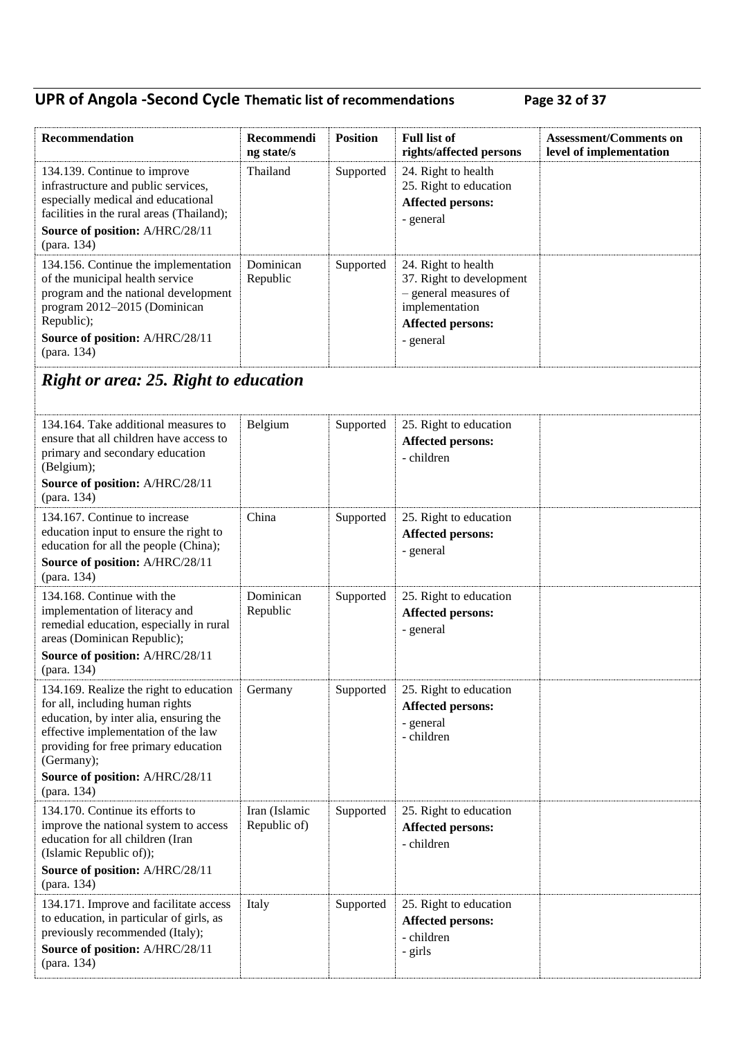## **UPR of Angola -Second Cycle Thematic list of recommendations Page 32 of 37**

| Recommendation                                                                                                                                                                                                                                                      | Recommendi<br>ng state/s      | <b>Position</b> | <b>Full list of</b><br>rights/affected persons                                                                                      | <b>Assessment/Comments on</b><br>level of implementation |
|---------------------------------------------------------------------------------------------------------------------------------------------------------------------------------------------------------------------------------------------------------------------|-------------------------------|-----------------|-------------------------------------------------------------------------------------------------------------------------------------|----------------------------------------------------------|
| 134.139. Continue to improve<br>infrastructure and public services,<br>especially medical and educational<br>facilities in the rural areas (Thailand);<br>Source of position: A/HRC/28/11<br>(para. 134)                                                            | Thailand                      | Supported       | 24. Right to health<br>25. Right to education<br><b>Affected persons:</b><br>- general                                              |                                                          |
| 134.156. Continue the implementation<br>of the municipal health service<br>program and the national development<br>program 2012-2015 (Dominican<br>Republic);<br>Source of position: A/HRC/28/11<br>(para. 134)                                                     | Dominican<br>Republic         | Supported       | 24. Right to health<br>37. Right to development<br>- general measures of<br>implementation<br><b>Affected persons:</b><br>- general |                                                          |
| <b>Right or area: 25. Right to education</b>                                                                                                                                                                                                                        |                               |                 |                                                                                                                                     |                                                          |
| 134.164. Take additional measures to<br>ensure that all children have access to<br>primary and secondary education<br>(Belgium);<br>Source of position: A/HRC/28/11<br>(para. 134)                                                                                  | Belgium                       | Supported       | 25. Right to education<br><b>Affected persons:</b><br>- children                                                                    |                                                          |
| 134.167. Continue to increase<br>education input to ensure the right to<br>education for all the people (China);<br>Source of position: A/HRC/28/11                                                                                                                 | China                         | Supported       | 25. Right to education<br><b>Affected persons:</b><br>- general                                                                     |                                                          |
| (para. 134)<br>134.168. Continue with the<br>implementation of literacy and<br>remedial education, especially in rural<br>areas (Dominican Republic);<br>Source of position: A/HRC/28/11<br>(para. 134)                                                             | Dominican<br>Republic         | Supported       | 25. Right to education<br><b>Affected persons:</b><br>- general                                                                     |                                                          |
| 134.169. Realize the right to education<br>for all, including human rights<br>education, by inter alia, ensuring the<br>effective implementation of the law<br>providing for free primary education<br>(Germany);<br>Source of position: A/HRC/28/11<br>(para. 134) | Germany                       | Supported       | 25. Right to education<br><b>Affected persons:</b><br>- general<br>- children                                                       |                                                          |
| 134.170. Continue its efforts to<br>improve the national system to access<br>education for all children (Iran<br>(Islamic Republic of));<br>Source of position: A/HRC/28/11<br>(para. 134)                                                                          | Iran (Islamic<br>Republic of) | Supported       | 25. Right to education<br><b>Affected persons:</b><br>- children                                                                    |                                                          |
| 134.171. Improve and facilitate access<br>to education, in particular of girls, as<br>previously recommended (Italy);<br>Source of position: A/HRC/28/11<br>(para. 134)                                                                                             | Italy                         | Supported       | 25. Right to education<br><b>Affected persons:</b><br>- children<br>- girls                                                         |                                                          |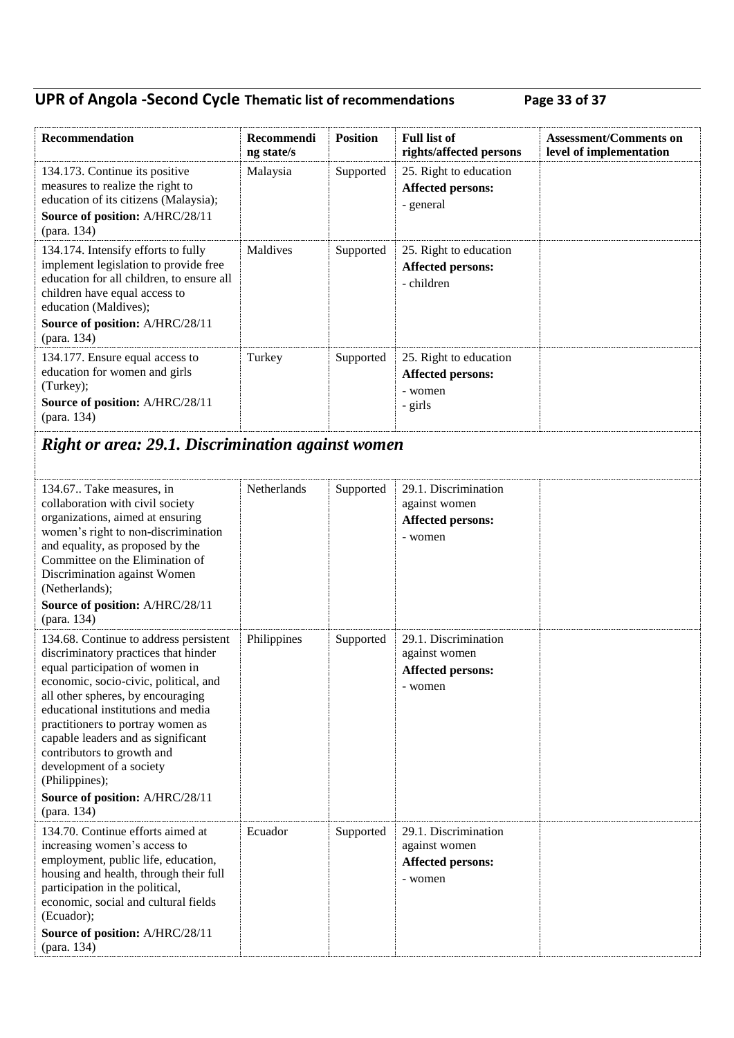## **UPR of Angola -Second Cycle Thematic list of recommendations Page 33 of 37**

| Recommendation                                                                                                                                                                                                                                                                                                                                                                               | Recommendi<br>ng state/s | <b>Position</b> | <b>Full list of</b><br>rights/affected persons                               | <b>Assessment/Comments on</b><br>level of implementation |
|----------------------------------------------------------------------------------------------------------------------------------------------------------------------------------------------------------------------------------------------------------------------------------------------------------------------------------------------------------------------------------------------|--------------------------|-----------------|------------------------------------------------------------------------------|----------------------------------------------------------|
| 134.173. Continue its positive<br>measures to realize the right to<br>education of its citizens (Malaysia);<br>Source of position: A/HRC/28/11<br>(para. 134)                                                                                                                                                                                                                                | Malaysia                 | Supported       | 25. Right to education<br><b>Affected persons:</b><br>- general              |                                                          |
| 134.174. Intensify efforts to fully<br>implement legislation to provide free<br>education for all children, to ensure all<br>children have equal access to<br>education (Maldives);<br>Source of position: A/HRC/28/11                                                                                                                                                                       | Maldives                 | Supported       | 25. Right to education<br><b>Affected persons:</b><br>- children             |                                                          |
| (para. 134)                                                                                                                                                                                                                                                                                                                                                                                  |                          |                 |                                                                              |                                                          |
| 134.177. Ensure equal access to<br>education for women and girls<br>(Turkey);<br>Source of position: A/HRC/28/11<br>(para. 134)                                                                                                                                                                                                                                                              | Turkey                   | Supported       | 25. Right to education<br><b>Affected persons:</b><br>- women<br>- girls     |                                                          |
| <b>Right or area: 29.1. Discrimination against women</b>                                                                                                                                                                                                                                                                                                                                     |                          |                 |                                                                              |                                                          |
| 134.67. Take measures, in<br>collaboration with civil society<br>organizations, aimed at ensuring<br>women's right to non-discrimination<br>and equality, as proposed by the<br>Committee on the Elimination of<br>Discrimination against Women<br>(Netherlands);                                                                                                                            | Netherlands              | Supported       | 29.1. Discrimination<br>against women<br><b>Affected persons:</b><br>- women |                                                          |
| Source of position: A/HRC/28/11<br>(para. 134)                                                                                                                                                                                                                                                                                                                                               |                          |                 |                                                                              |                                                          |
| 134.68. Continue to address persistent<br>discriminatory practices that hinder<br>equal participation of women in<br>economic, socio-civic, political, and<br>all other spheres, by encouraging<br>educational institutions and media<br>practitioners to portray women as<br>capable leaders and as significant<br>contributors to growth and<br>development of a society<br>(Philippines); | Philippines              | Supported       | 29.1. Discrimination<br>against women<br><b>Affected persons:</b><br>- women |                                                          |
| Source of position: A/HRC/28/11<br>(para. 134)                                                                                                                                                                                                                                                                                                                                               |                          |                 |                                                                              |                                                          |
| 134.70. Continue efforts aimed at<br>increasing women's access to<br>employment, public life, education,<br>housing and health, through their full<br>participation in the political,<br>economic, social and cultural fields<br>(Ecuador);<br>Source of position: A/HRC/28/11<br>(para. 134)                                                                                                | Ecuador                  | Supported       | 29.1. Discrimination<br>against women<br><b>Affected persons:</b><br>- women |                                                          |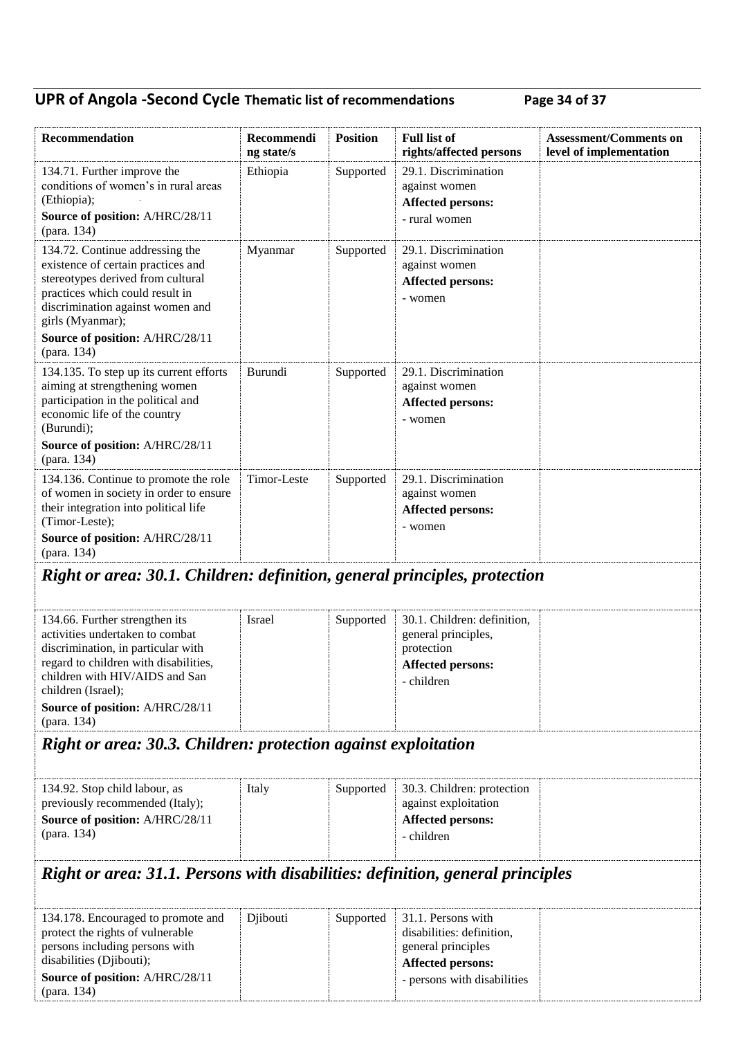## **UPR of Angola -Second Cycle Thematic list of recommendations Page 34 of 37**

| Recommendation                                                                                                                                                                                                                                             | Recommendi<br>ng state/s | <b>Position</b> | <b>Full list of</b><br>rights/affected persons                                                                                   | <b>Assessment/Comments on</b><br>level of implementation |
|------------------------------------------------------------------------------------------------------------------------------------------------------------------------------------------------------------------------------------------------------------|--------------------------|-----------------|----------------------------------------------------------------------------------------------------------------------------------|----------------------------------------------------------|
| 134.71. Further improve the<br>conditions of women's in rural areas<br>(Ethiopia);<br>Source of position: A/HRC/28/11<br>(para. 134)                                                                                                                       | Ethiopia                 | Supported       | 29.1. Discrimination<br>against women<br><b>Affected persons:</b><br>- rural women                                               |                                                          |
| 134.72. Continue addressing the<br>existence of certain practices and<br>stereotypes derived from cultural<br>practices which could result in<br>discrimination against women and<br>girls (Myanmar);<br>Source of position: A/HRC/28/11                   | Myanmar                  | Supported       | 29.1. Discrimination<br>against women<br><b>Affected persons:</b><br>- women                                                     |                                                          |
| (para. 134)<br>134.135. To step up its current efforts<br>aiming at strengthening women<br>participation in the political and<br>economic life of the country<br>(Burundi);<br>Source of position: A/HRC/28/11<br>(para. 134)                              | Burundi                  | Supported       | 29.1. Discrimination<br>against women<br><b>Affected persons:</b><br>- women                                                     |                                                          |
| 134.136. Continue to promote the role<br>of women in society in order to ensure<br>their integration into political life<br>(Timor-Leste);<br>Source of position: A/HRC/28/11<br>(para. 134)                                                               | Timor-Leste              | Supported       | 29.1. Discrimination<br>against women<br><b>Affected persons:</b><br>- women                                                     |                                                          |
| Right or area: 30.1. Children: definition, general principles, protection                                                                                                                                                                                  |                          |                 |                                                                                                                                  |                                                          |
| 134.66. Further strengthen its<br>activities undertaken to combat<br>discrimination, in particular with<br>regard to children with disabilities,<br>children with HIV/AIDS and San<br>children (Israel);<br>Source of position: A/HRC/28/11<br>(para. 134) | <b>Israel</b>            | Supported       | 30.1. Children: definition,<br>general principles,<br>protection<br><b>Affected persons:</b><br>- children                       |                                                          |
| Right or area: 30.3. Children: protection against exploitation                                                                                                                                                                                             |                          |                 |                                                                                                                                  |                                                          |
| 134.92. Stop child labour, as<br>previously recommended (Italy);<br>Source of position: A/HRC/28/11<br>(para. 134)                                                                                                                                         | Italy                    | Supported       | 30.3. Children: protection<br>against exploitation<br><b>Affected persons:</b><br>- children                                     |                                                          |
| Right or area: 31.1. Persons with disabilities: definition, general principles                                                                                                                                                                             |                          |                 |                                                                                                                                  |                                                          |
| 134.178. Encouraged to promote and<br>protect the rights of vulnerable<br>persons including persons with<br>disabilities (Djibouti);<br>Source of position: A/HRC/28/11<br>(para. 134)                                                                     | Djibouti                 | Supported       | 31.1. Persons with<br>disabilities: definition,<br>general principles<br><b>Affected persons:</b><br>- persons with disabilities |                                                          |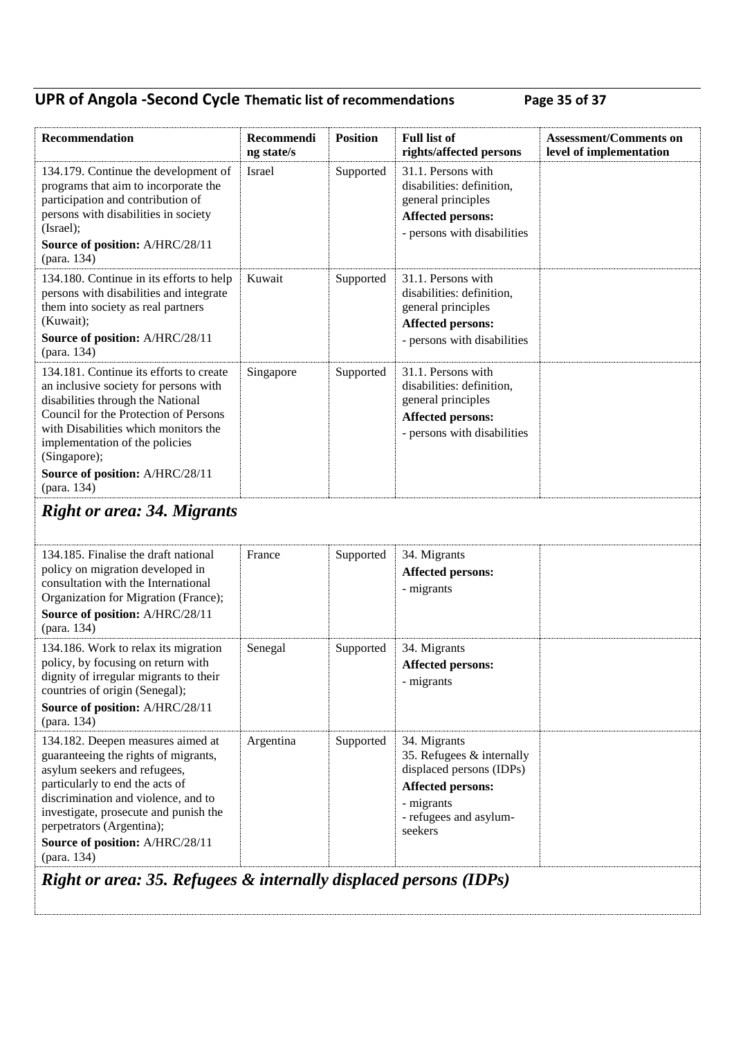## **UPR of Angola -Second Cycle Thematic list of recommendations Page 35 of 37**

| Recommendation                                                                                                                                                                                                                                                                                              | Recommendi<br>ng state/s | <b>Position</b> | <b>Full list of</b><br>rights/affected persons                                                                                                       | <b>Assessment/Comments on</b><br>level of implementation |  |  |  |
|-------------------------------------------------------------------------------------------------------------------------------------------------------------------------------------------------------------------------------------------------------------------------------------------------------------|--------------------------|-----------------|------------------------------------------------------------------------------------------------------------------------------------------------------|----------------------------------------------------------|--|--|--|
| 134.179. Continue the development of<br>programs that aim to incorporate the<br>participation and contribution of<br>persons with disabilities in society<br>(Israel);<br>Source of position: A/HRC/28/11<br>(para. 134)                                                                                    | Israel                   | Supported       | 31.1. Persons with<br>disabilities: definition,<br>general principles<br><b>Affected persons:</b><br>- persons with disabilities                     |                                                          |  |  |  |
| 134.180. Continue in its efforts to help<br>persons with disabilities and integrate<br>them into society as real partners<br>(Kuwait);<br>Source of position: A/HRC/28/11<br>(para. 134)                                                                                                                    | Kuwait                   | Supported       | 31.1. Persons with<br>disabilities: definition,<br>general principles<br><b>Affected persons:</b><br>- persons with disabilities                     |                                                          |  |  |  |
| 134.181. Continue its efforts to create<br>an inclusive society for persons with<br>disabilities through the National<br>Council for the Protection of Persons<br>with Disabilities which monitors the<br>implementation of the policies<br>(Singapore);                                                    | Singapore                | Supported       | 31.1. Persons with<br>disabilities: definition,<br>general principles<br><b>Affected persons:</b><br>- persons with disabilities                     |                                                          |  |  |  |
| Source of position: A/HRC/28/11<br>(para. 134)                                                                                                                                                                                                                                                              |                          |                 |                                                                                                                                                      |                                                          |  |  |  |
| <b>Right or area: 34. Migrants</b>                                                                                                                                                                                                                                                                          |                          |                 |                                                                                                                                                      |                                                          |  |  |  |
|                                                                                                                                                                                                                                                                                                             |                          |                 |                                                                                                                                                      |                                                          |  |  |  |
| 134.185. Finalise the draft national<br>policy on migration developed in<br>consultation with the International<br>Organization for Migration (France);<br>Source of position: A/HRC/28/11<br>(para. 134)                                                                                                   | France                   | Supported       | 34. Migrants<br><b>Affected persons:</b><br>- migrants                                                                                               |                                                          |  |  |  |
| 134.186. Work to relax its migration<br>policy, by focusing on return with<br>dignity of irregular migrants to their<br>countries of origin (Senegal);<br>Source of position: A/HRC/28/11<br>(para. 134)                                                                                                    | Senegal                  | Supported       | 34. Migrants<br><b>Affected persons:</b><br>- migrants                                                                                               |                                                          |  |  |  |
| 134.182. Deepen measures aimed at<br>guaranteeing the rights of migrants,<br>asylum seekers and refugees,<br>particularly to end the acts of<br>discrimination and violence, and to<br>investigate, prosecute and punish the<br>perpetrators (Argentina);<br>Source of position: A/HRC/28/11<br>(para. 134) | Argentina                | Supported       | 34. Migrants<br>35. Refugees & internally<br>displaced persons (IDPs)<br><b>Affected persons:</b><br>- migrants<br>- refugees and asylum-<br>seekers |                                                          |  |  |  |
| Right or area: 35. Refugees & internally displaced persons (IDPs)                                                                                                                                                                                                                                           |                          |                 |                                                                                                                                                      |                                                          |  |  |  |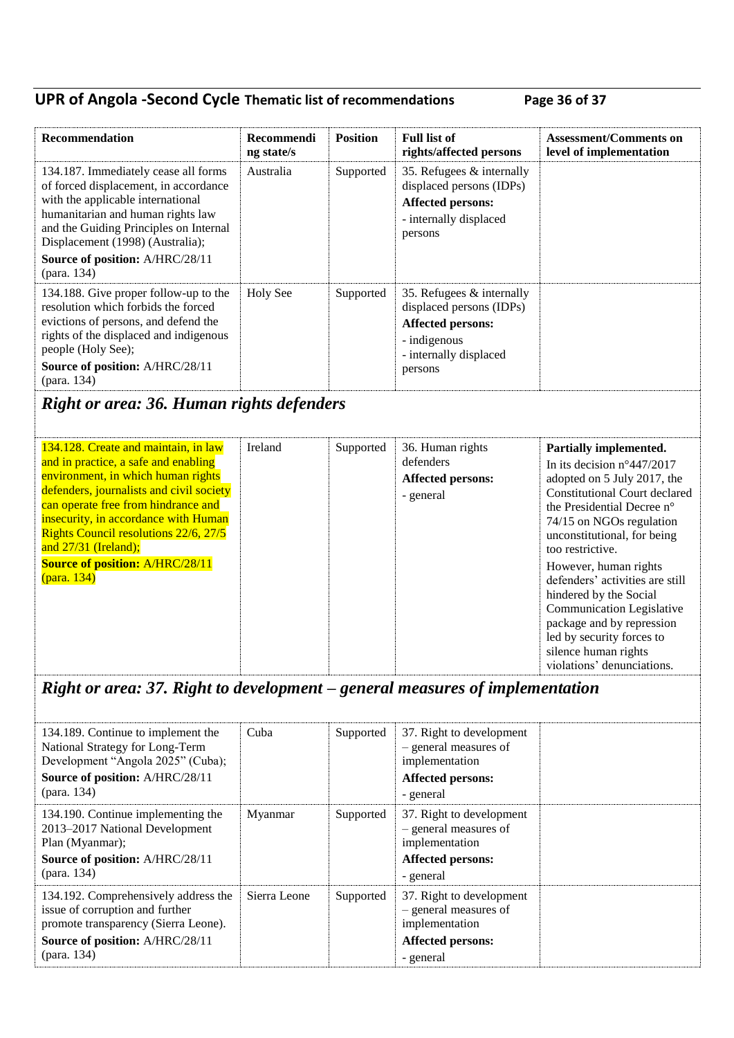### **UPR of Angola -Second Cycle Thematic list of recommendations Page 36 of 37**

| Recommendation                                                                                                                                                                                                                                                                          | <b>Recommendi</b><br>ng state/s | <b>Position</b> | <b>Full list of</b><br>rights/affected persons                                                                                    | <b>Assessment/Comments on</b><br>level of implementation |
|-----------------------------------------------------------------------------------------------------------------------------------------------------------------------------------------------------------------------------------------------------------------------------------------|---------------------------------|-----------------|-----------------------------------------------------------------------------------------------------------------------------------|----------------------------------------------------------|
| 134.187. Immediately cease all forms<br>of forced displacement, in accordance<br>with the applicable international<br>humanitarian and human rights law<br>and the Guiding Principles on Internal<br>Displacement (1998) (Australia);<br>Source of position: A/HRC/28/11<br>(para. 134) | Australia                       | Supported       | 35. Refugees $&$ internally<br>displaced persons (IDPs)<br><b>Affected persons:</b><br>- internally displaced<br>persons          |                                                          |
| 134.188. Give proper follow-up to the<br>resolution which forbids the forced<br>evictions of persons, and defend the<br>rights of the displaced and indigenous<br>people (Holy See);<br>Source of position: A/HRC/28/11<br>(para. 134)                                                  | <b>Holy See</b>                 | Supported       | 35. Refugees $&$ internally<br>displaced persons (IDPs)<br>Affected persons:<br>- indigenous<br>- internally displaced<br>persons |                                                          |

## *Right or area: 36. Human rights defenders*

| 134.128. Create and maintain, in law<br>and in practice, a safe and enabling<br>environment, in which human rights<br>defenders, journalists and civil society<br>can operate free from hindrance and<br>insecurity, in accordance with Human<br><b>Rights Council resolutions 22/6, 27/5</b><br>and $27/31$ (Ireland);<br><b>Source of position: A/HRC/28/11</b><br>(para. 134) | Ireland | Supported | 36. Human rights<br>defenders<br>Affected persons:<br>- general | Partially implemented.<br>In its decision $n^{\circ}447/2017$<br>adopted on 5 July 2017, the<br><b>Constitutional Court declared</b><br>the Presidential Decree n <sup>o</sup><br>74/15 on NGOs regulation<br>unconstitutional, for being<br>too restrictive.<br>However, human rights<br>defenders' activities are still<br>hindered by the Social<br>Communication Legislative<br>package and by repression<br>led by security forces to<br>silence human rights<br>violations' denunciations. |
|----------------------------------------------------------------------------------------------------------------------------------------------------------------------------------------------------------------------------------------------------------------------------------------------------------------------------------------------------------------------------------|---------|-----------|-----------------------------------------------------------------|--------------------------------------------------------------------------------------------------------------------------------------------------------------------------------------------------------------------------------------------------------------------------------------------------------------------------------------------------------------------------------------------------------------------------------------------------------------------------------------------------|
|----------------------------------------------------------------------------------------------------------------------------------------------------------------------------------------------------------------------------------------------------------------------------------------------------------------------------------------------------------------------------------|---------|-----------|-----------------------------------------------------------------|--------------------------------------------------------------------------------------------------------------------------------------------------------------------------------------------------------------------------------------------------------------------------------------------------------------------------------------------------------------------------------------------------------------------------------------------------------------------------------------------------|

### *Right or area: 37. Right to development – general measures of implementation*

| 134.189. Continue to implement the<br>National Strategy for Long-Term<br>Development "Angola 2025" (Cuba);<br>Source of position: A/HRC/28/11<br>(para. 134)      | Cuba         | Supported | 37. Right to development<br>- general measures of<br>implementation<br>Affected persons:<br>- general        |  |
|-------------------------------------------------------------------------------------------------------------------------------------------------------------------|--------------|-----------|--------------------------------------------------------------------------------------------------------------|--|
| 134.190. Continue implementing the<br>2013-2017 National Development<br>Plan (Myanmar);<br>Source of position: A/HRC/28/11<br>(para. 134)                         | Myanmar      | Supported | 37. Right to development<br>- general measures of<br>implementation<br><b>Affected persons:</b><br>- general |  |
| 134.192. Comprehensively address the<br>issue of corruption and further<br>promote transparency (Sierra Leone).<br>Source of position: A/HRC/28/11<br>(para. 134) | Sierra Leone | Supported | 37. Right to development<br>- general measures of<br>implementation<br>Affected persons:<br>- general        |  |